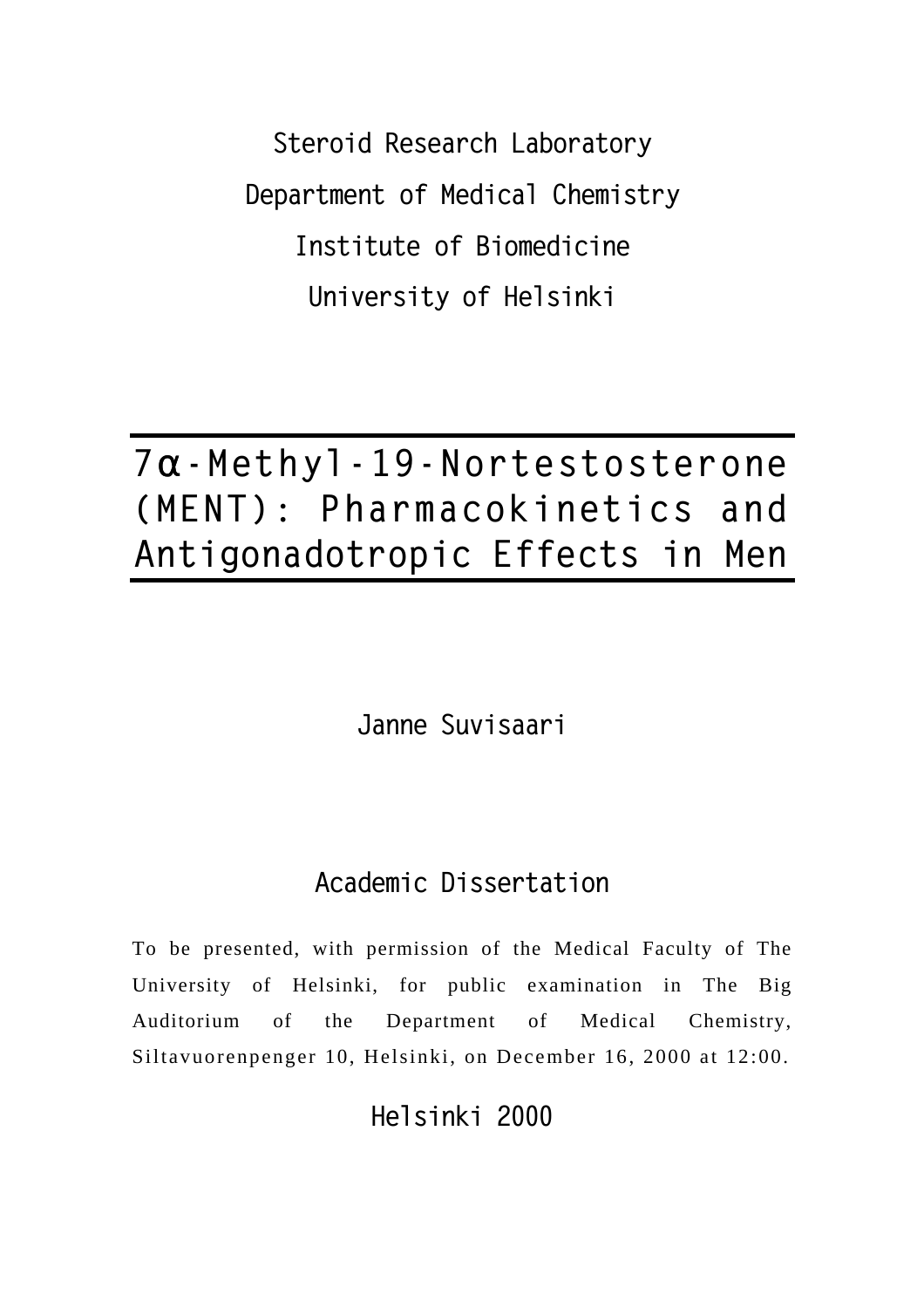**Steroid Research Laboratory Department of Medical Chemistry Institute of Biomedicine University of Helsinki** 

## **7a-Methyl - 1 9 - Nortestosterone (MENT): Pharmacokinetics and Antigonadotropic Effects in Men**

**Janne Suvisaari**

## **Academic Dissertation**

To be presented, with permission of the Medical Faculty of The University of Helsinki, for public examination in The Big Auditorium of the Department of Medical Chemistry, Siltavuorenpenger 10, Helsinki, on December 16, 2000 at 12:00.

**Helsinki 2000**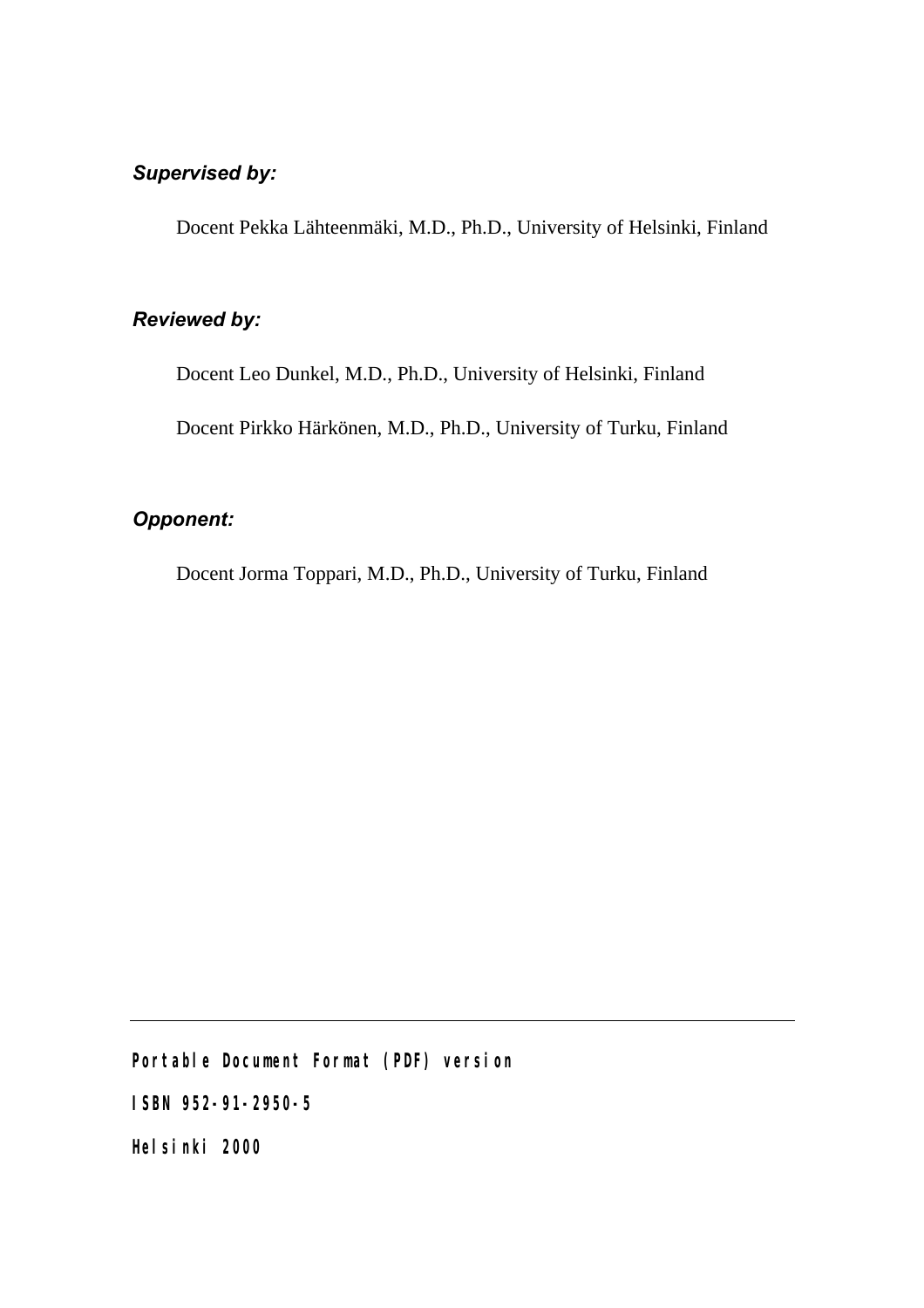#### *Supervised by:*

Docent Pekka Lähteenmäki, M.D., Ph.D., University of Helsinki, Finland

#### *Reviewed by:*

Docent Leo Dunkel, M.D., Ph.D., University of Helsinki, Finland

Docent Pirkko Härkönen, M.D., Ph.D., University of Turku, Finland

#### *Opponent:*

Docent Jorma Toppari, M.D., Ph.D., University of Turku, Finland

**Portable Document Format (PDF) version**

**ISBN 952-91-2950-5**

**Helsinki 2000**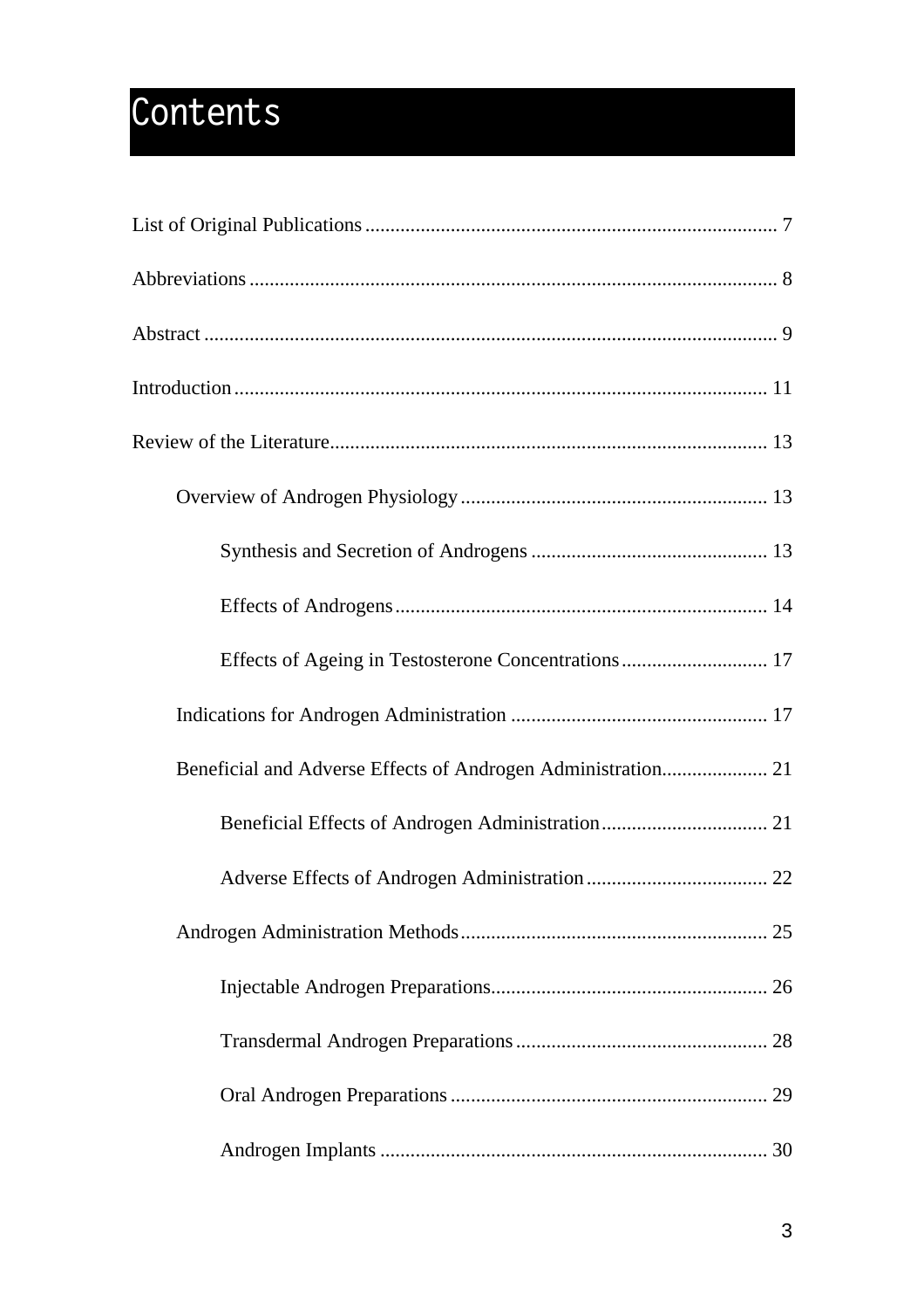# **Contents**

| Effects of Ageing in Testosterone Concentrations 17 |
|-----------------------------------------------------|
|                                                     |
|                                                     |
|                                                     |
|                                                     |
|                                                     |
|                                                     |
|                                                     |
|                                                     |
|                                                     |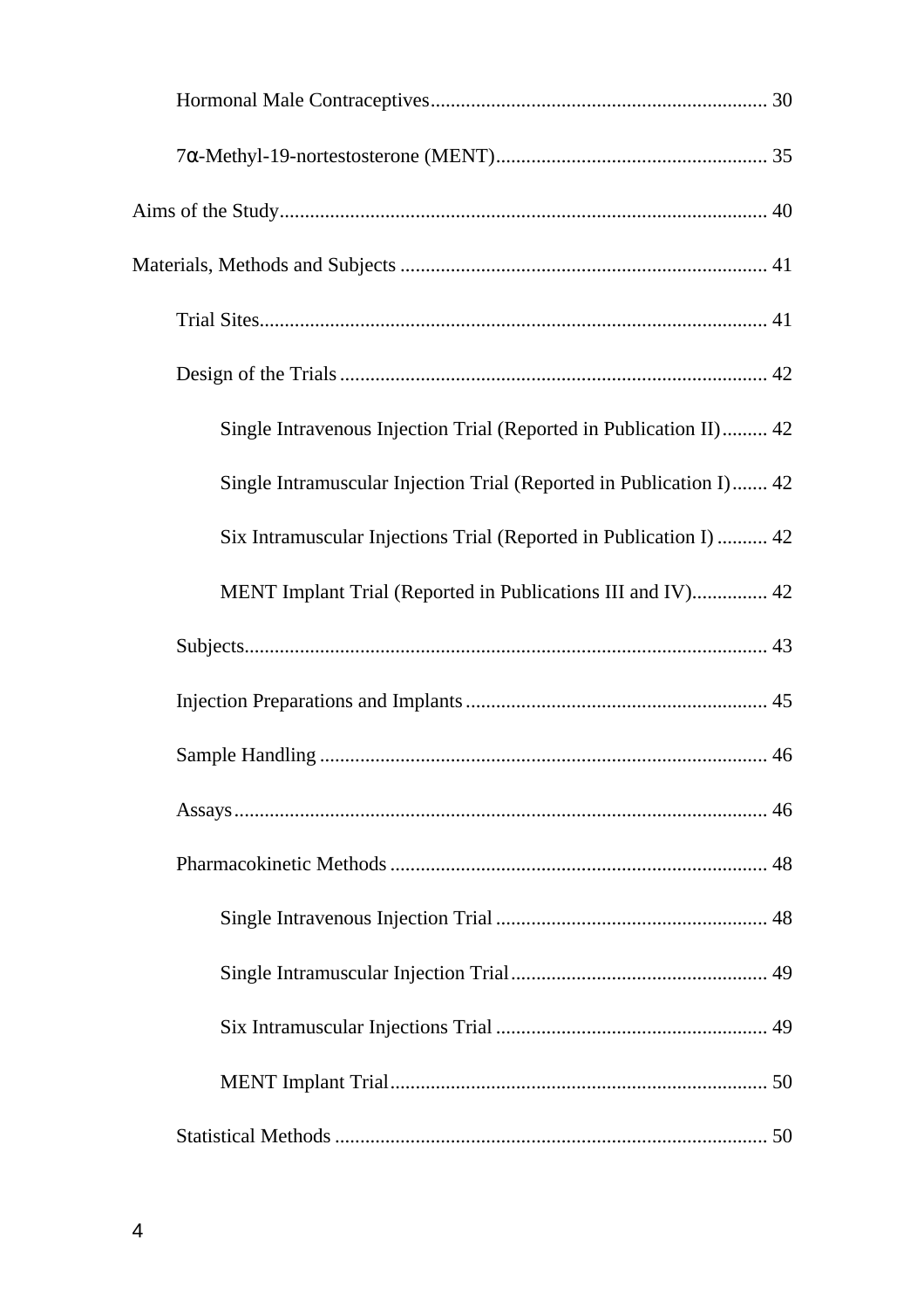| Single Intravenous Injection Trial (Reported in Publication II) 42  |
|---------------------------------------------------------------------|
| Single Intramuscular Injection Trial (Reported in Publication I) 42 |
| Six Intramuscular Injections Trial (Reported in Publication I)  42  |
| MENT Implant Trial (Reported in Publications III and IV) 42         |
|                                                                     |
|                                                                     |
|                                                                     |
|                                                                     |
|                                                                     |
|                                                                     |
|                                                                     |
|                                                                     |
|                                                                     |
|                                                                     |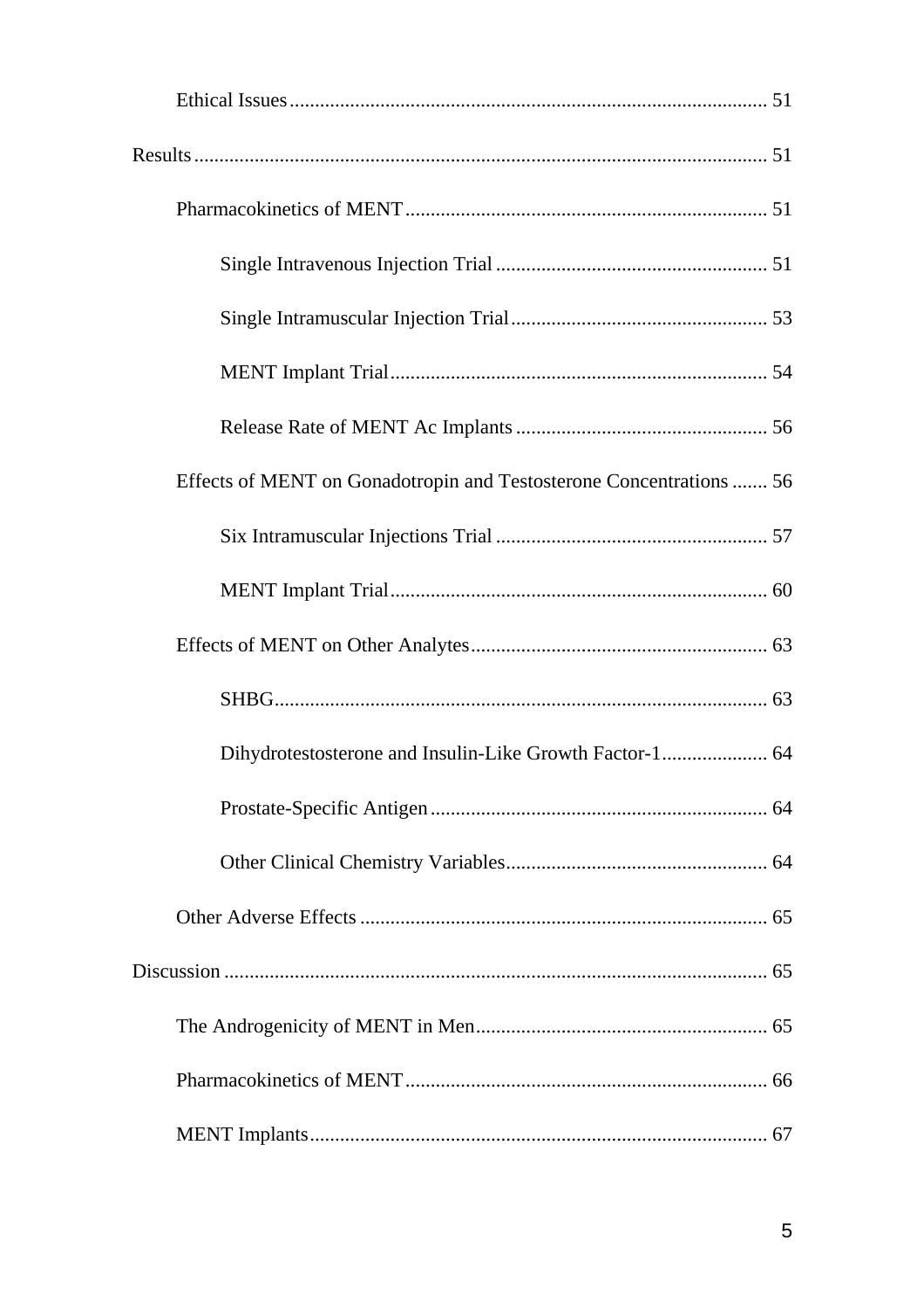| Effects of MENT on Gonadotropin and Testosterone Concentrations  56 |
|---------------------------------------------------------------------|
|                                                                     |
|                                                                     |
|                                                                     |
|                                                                     |
| Dihydrotestosterone and Insulin-Like Growth Factor-1 64             |
|                                                                     |
|                                                                     |
|                                                                     |
|                                                                     |
|                                                                     |
|                                                                     |
|                                                                     |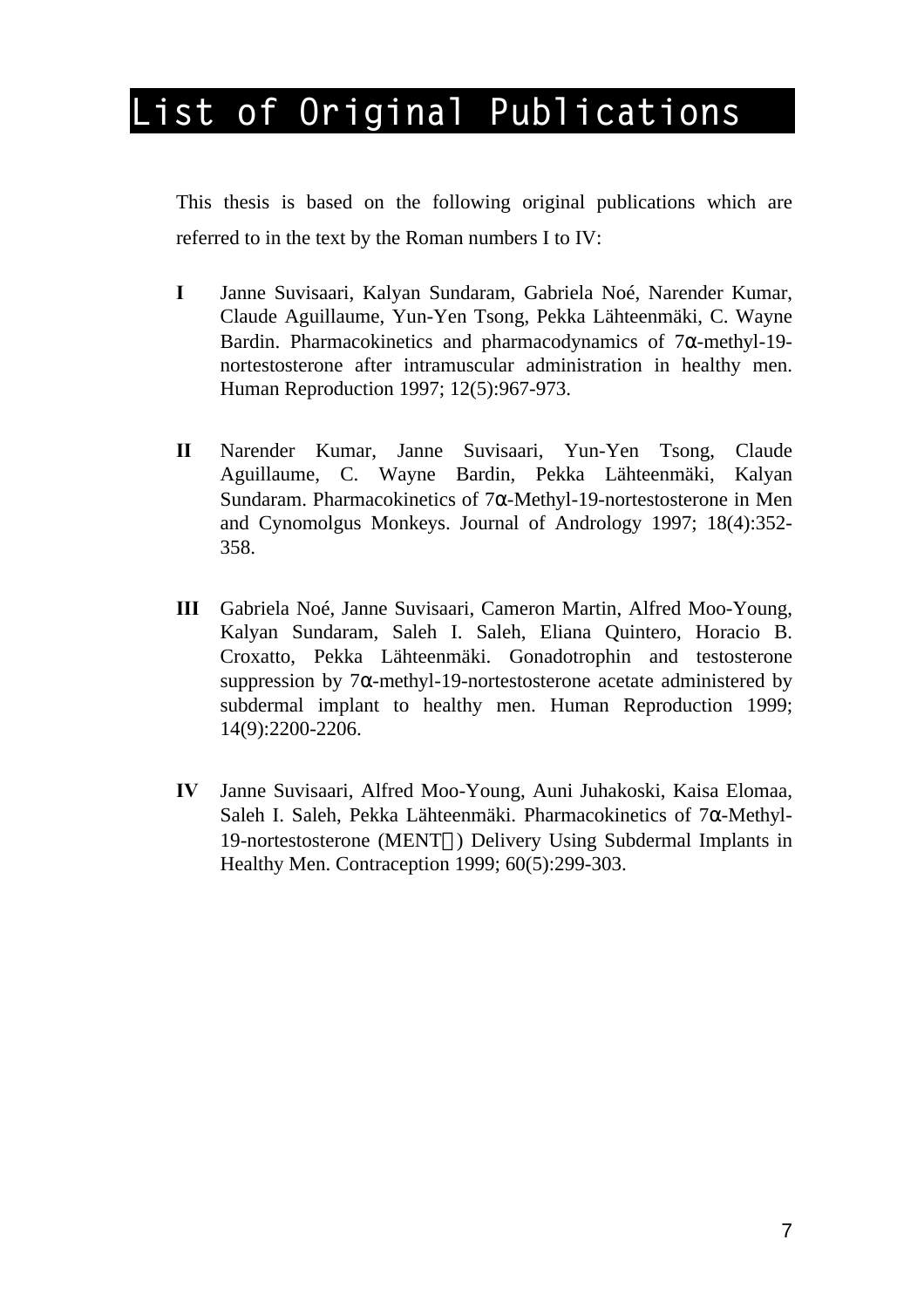## **List of Original Publications**

This thesis is based on the following original publications which are referred to in the text by the Roman numbers I to IV:

- **I** Janne Suvisaari, Kalyan Sundaram, Gabriela Noé, Narender Kumar, Claude Aguillaume, Yun-Yen Tsong, Pekka Lähteenmäki, C. Wayne Bardin. Pharmacokinetics and pharmacodynamics of 7α-methyl-19 nortestosterone after intramuscular administration in healthy men. Human Reproduction 1997; 12(5):967-973.
- **II** Narender Kumar, Janne Suvisaari, Yun-Yen Tsong, Claude Aguillaume, C. Wayne Bardin, Pekka Lähteenmäki, Kalyan Sundaram. Pharmacokinetics of 7α-Methyl-19-nortestosterone in Men and Cynomolgus Monkeys. Journal of Andrology 1997; 18(4):352- 358.
- **III** Gabriela Noé, Janne Suvisaari, Cameron Martin, Alfred Moo-Young, Kalyan Sundaram, Saleh I. Saleh, Eliana Quintero, Horacio B. Croxatto, Pekka Lähteenmäki. Gonadotrophin and testosterone suppression by  $7\alpha$ -methyl-19-nortestosterone acetate administered by subdermal implant to healthy men. Human Reproduction 1999; 14(9):2200-2206.
- **IV** Janne Suvisaari, Alfred Moo-Young, Auni Juhakoski, Kaisa Elomaa, Saleh I. Saleh, Pekka Lähteenmäki. Pharmacokinetics of 7α-Methyl-19-nortestosterone (MENT<sup>™</sup>) Delivery Using Subdermal Implants in Healthy Men. Contraception 1999; 60(5):299-303.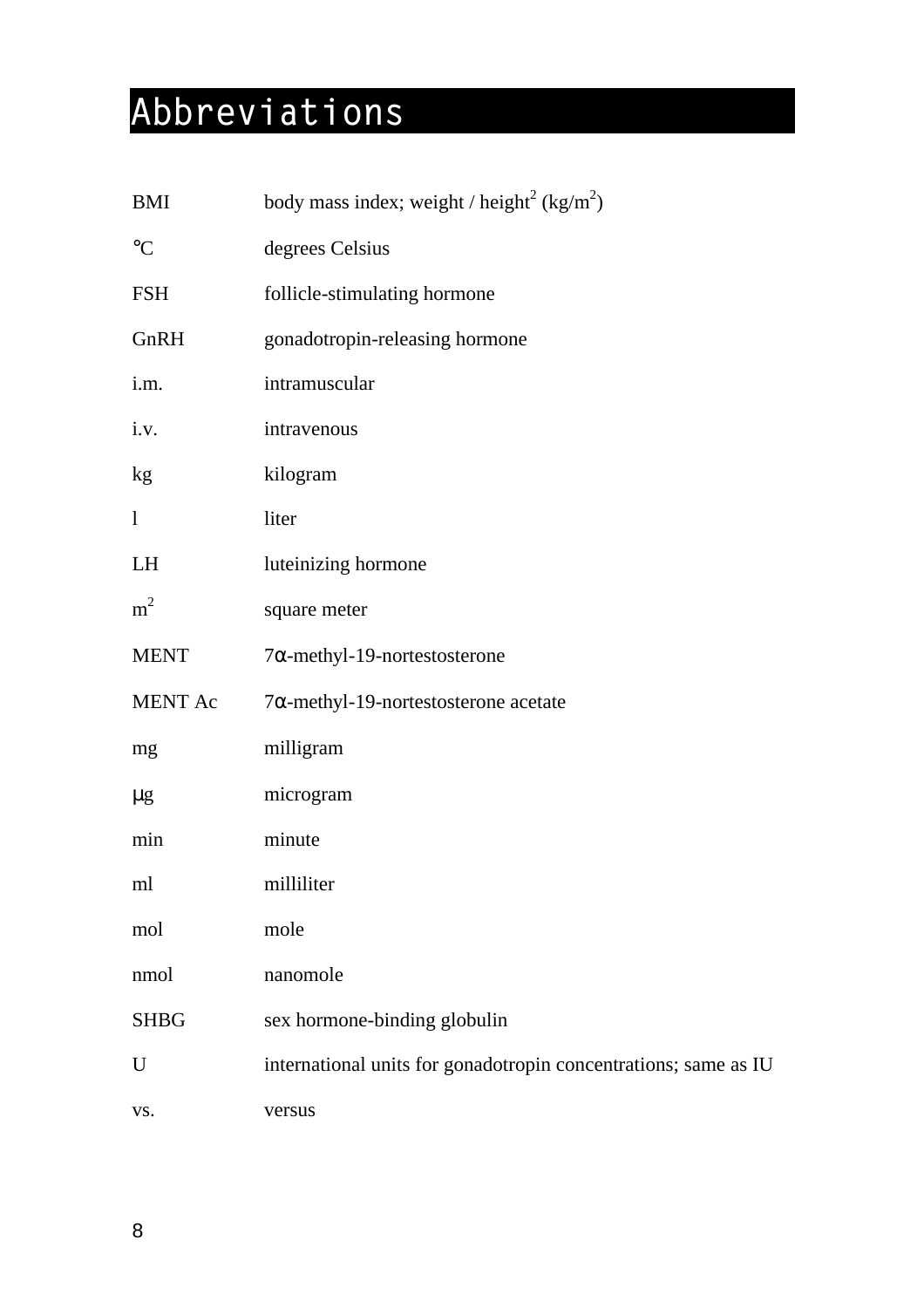# **Abbreviations**

| <b>BMI</b>        | body mass index; weight / height <sup>2</sup> (kg/m <sup>2</sup> ) |
|-------------------|--------------------------------------------------------------------|
| $^{\circ}{\rm C}$ | degrees Celsius                                                    |
| <b>FSH</b>        | follicle-stimulating hormone                                       |
| GnRH              | gonadotropin-releasing hormone                                     |
| i.m.              | intramuscular                                                      |
| i.v.              | intravenous                                                        |
| kg                | kilogram                                                           |
| $\mathbf{1}$      | liter                                                              |
| LH                | luteinizing hormone                                                |
| m <sup>2</sup>    | square meter                                                       |
| <b>MENT</b>       | $7\alpha$ -methyl-19-nortestosterone                               |
| MENT Ac           | $7\alpha$ -methyl-19-nortestosterone acetate                       |
| mg                | milligram                                                          |
| $\mu$ g           | microgram                                                          |
| min               | minute                                                             |
| ml                | milliliter                                                         |
| mol               | mole                                                               |
| nmol              | nanomole                                                           |
| <b>SHBG</b>       | sex hormone-binding globulin                                       |
| U                 | international units for gonadotropin concentrations; same as IU    |
| VS.               | versus                                                             |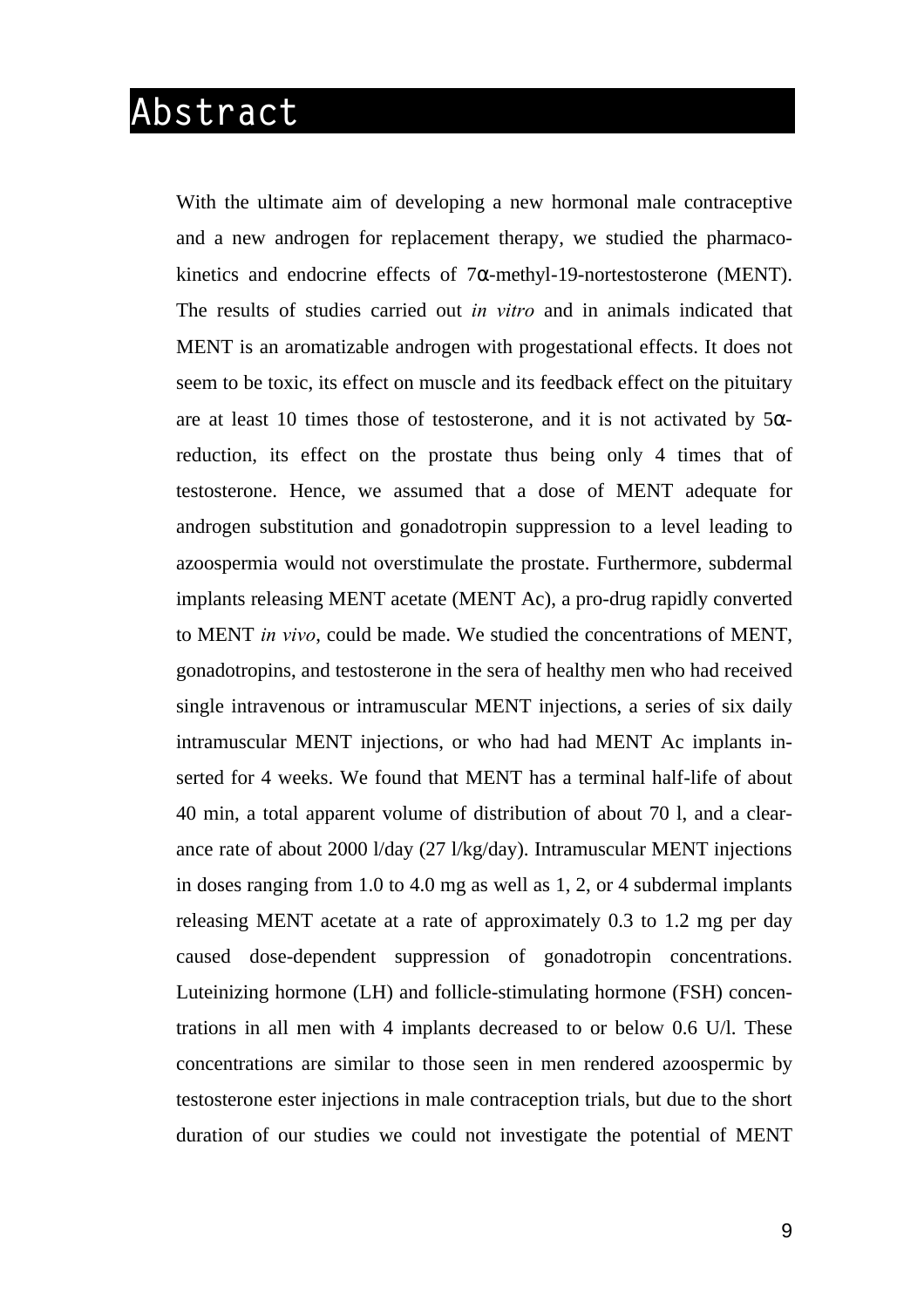## **Abstract**

With the ultimate aim of developing a new hormonal male contraceptive and a new androgen for replacement therapy, we studied the pharmacokinetics and endocrine effects of  $7\alpha$ -methyl-19-nortestosterone (MENT). The results of studies carried out *in vitro* and in animals indicated that MENT is an aromatizable androgen with progestational effects. It does not seem to be toxic, its effect on muscle and its feedback effect on the pituitary are at least 10 times those of testosterone, and it is not activated by  $5\alpha$ reduction, its effect on the prostate thus being only 4 times that of testosterone. Hence, we assumed that a dose of MENT adequate for androgen substitution and gonadotropin suppression to a level leading to azoospermia would not overstimulate the prostate. Furthermore, subdermal implants releasing MENT acetate (MENT Ac), a pro-drug rapidly converted to MENT *in vivo*, could be made. We studied the concentrations of MENT, gonadotropins, and testosterone in the sera of healthy men who had received single intravenous or intramuscular MENT injections, a series of six daily intramuscular MENT injections, or who had had MENT Ac implants inserted for 4 weeks. We found that MENT has a terminal half-life of about 40 min, a total apparent volume of distribution of about 70 l, and a clearance rate of about 2000 l/day (27 l/kg/day). Intramuscular MENT injections in doses ranging from 1.0 to 4.0 mg as well as 1, 2, or 4 subdermal implants releasing MENT acetate at a rate of approximately 0.3 to 1.2 mg per day caused dose-dependent suppression of gonadotropin concentrations. Luteinizing hormone (LH) and follicle-stimulating hormone (FSH) concentrations in all men with 4 implants decreased to or below 0.6 U/l. These concentrations are similar to those seen in men rendered azoospermic by testosterone ester injections in male contraception trials, but due to the short duration of our studies we could not investigate the potential of MENT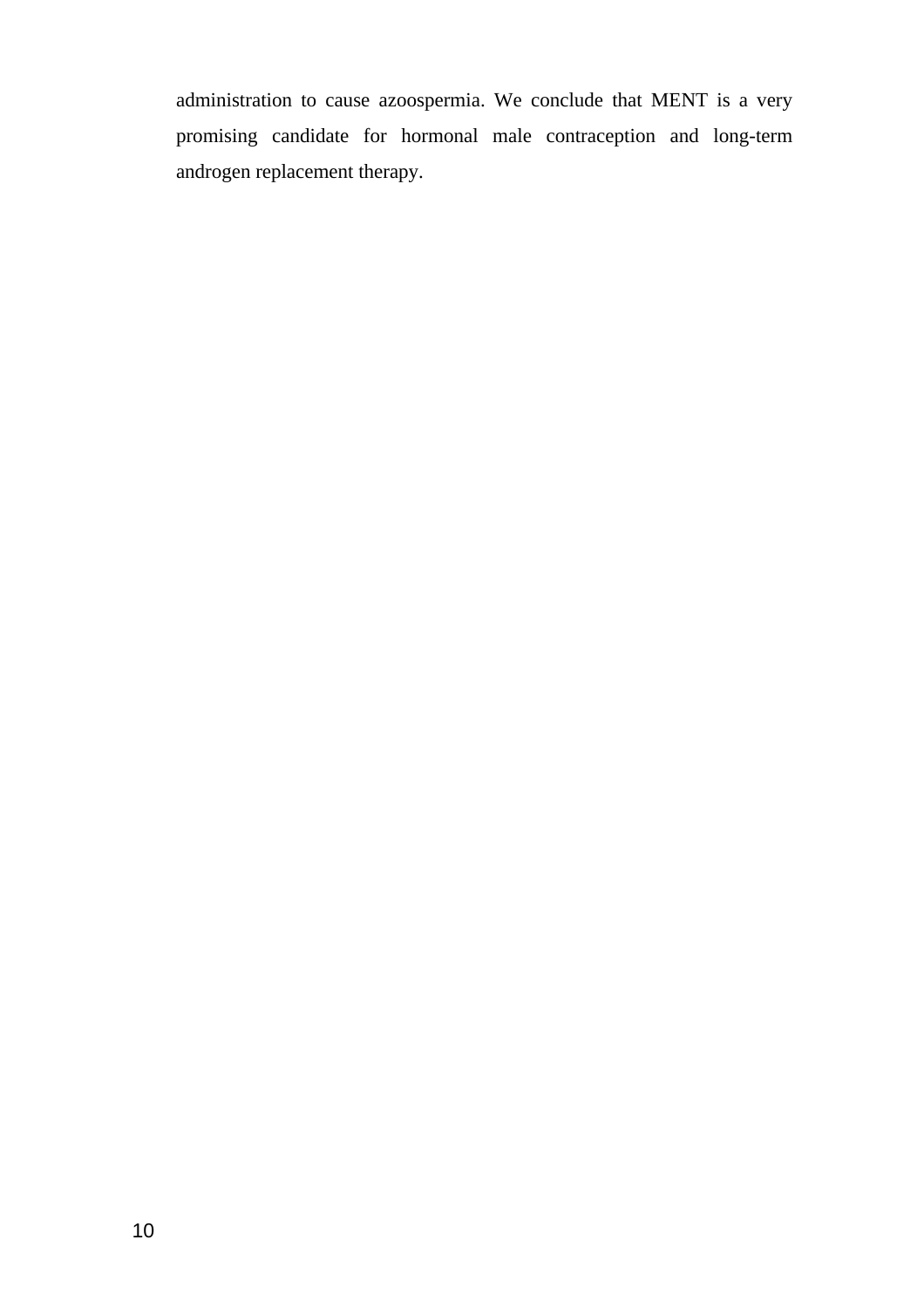administration to cause azoospermia. We conclude that MENT is a very promising candidate for hormonal male contraception and long-term androgen replacement therapy.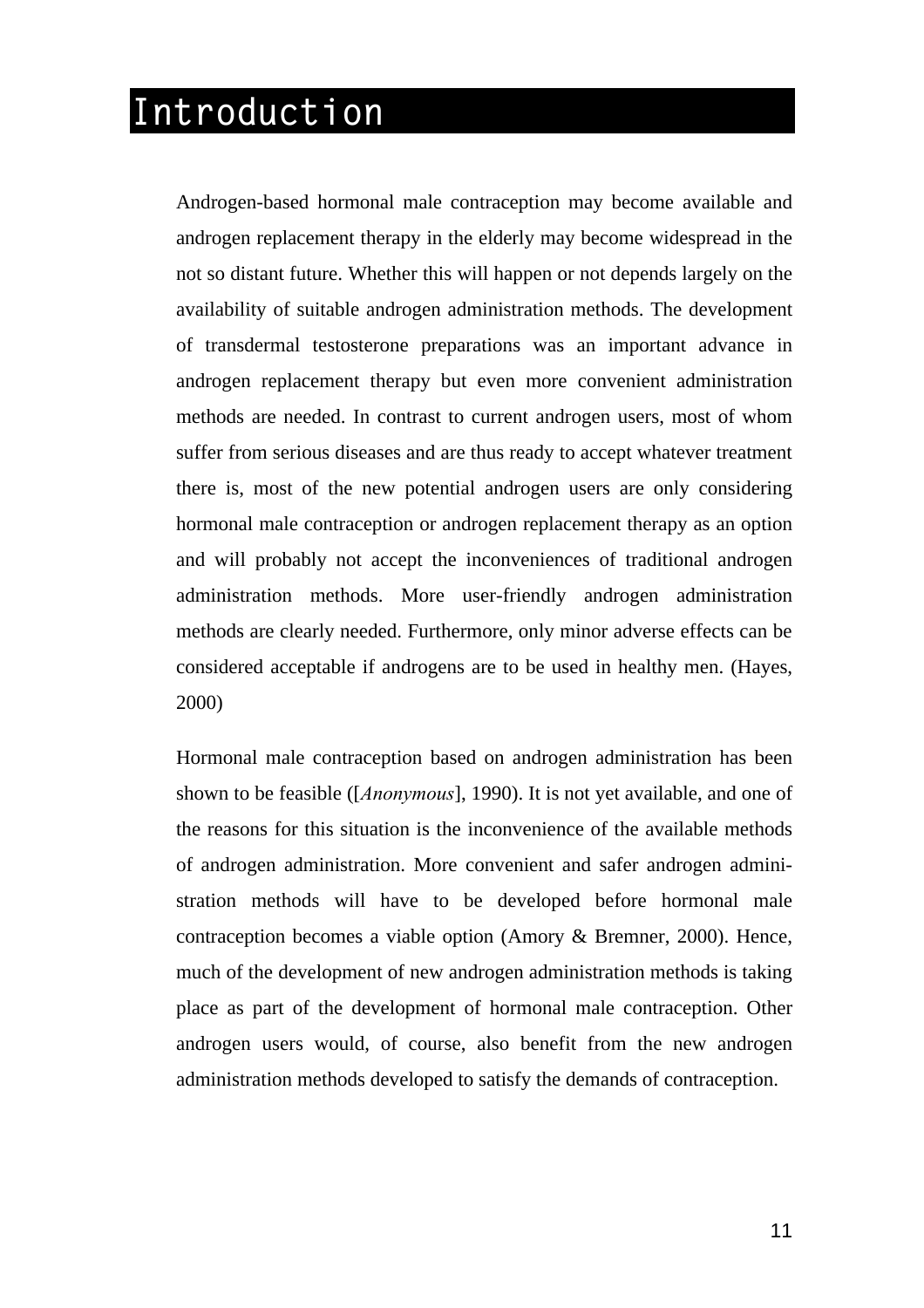## **Introduction**

Androgen-based hormonal male contraception may become available and androgen replacement therapy in the elderly may become widespread in the not so distant future. Whether this will happen or not depends largely on the availability of suitable androgen administration methods. The development of transdermal testosterone preparations was an important advance in androgen replacement therapy but even more convenient administration methods are needed. In contrast to current androgen users, most of whom suffer from serious diseases and are thus ready to accept whatever treatment there is, most of the new potential androgen users are only considering hormonal male contraception or androgen replacement therapy as an option and will probably not accept the inconveniences of traditional androgen administration methods. More user-friendly androgen administration methods are clearly needed. Furthermore, only minor adverse effects can be considered acceptable if androgens are to be used in healthy men. (Hayes, 2000)

Hormonal male contraception based on androgen administration has been shown to be feasible ([*Anonymous*], 1990). It is not yet available, and one of the reasons for this situation is the inconvenience of the available methods of androgen administration. More convenient and safer androgen administration methods will have to be developed before hormonal male contraception becomes a viable option (Amory & Bremner, 2000). Hence, much of the development of new androgen administration methods is taking place as part of the development of hormonal male contraception. Other androgen users would, of course, also benefit from the new androgen administration methods developed to satisfy the demands of contraception.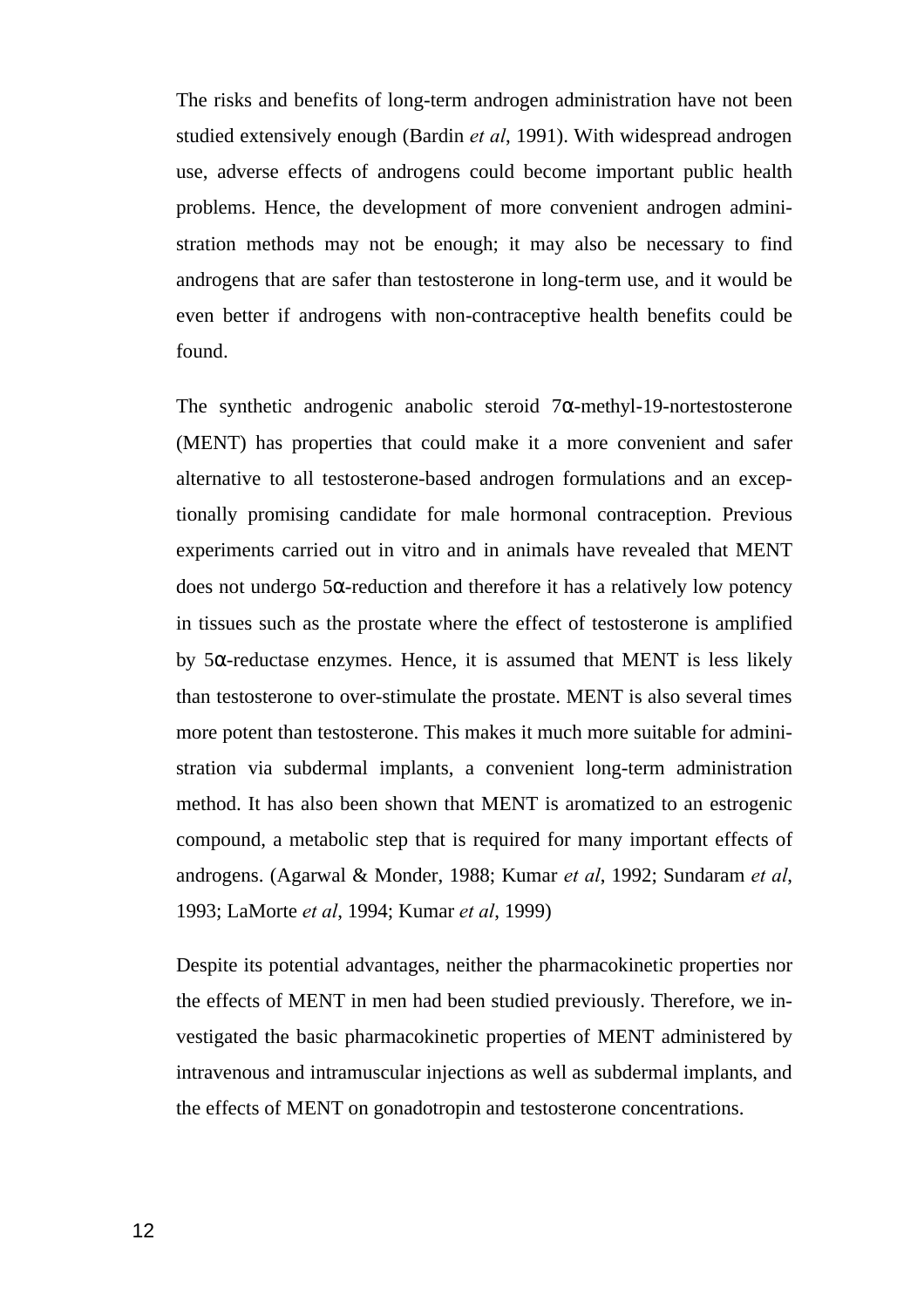The risks and benefits of long-term androgen administration have not been studied extensively enough (Bardin *et al*, 1991). With widespread androgen use, adverse effects of androgens could become important public health problems. Hence, the development of more convenient androgen administration methods may not be enough; it may also be necessary to find androgens that are safer than testosterone in long-term use, and it would be even better if androgens with non-contraceptive health benefits could be found.

The synthetic androgenic anabolic steroid  $7\alpha$ -methyl-19-nortestosterone (MENT) has properties that could make it a more convenient and safer alternative to all testosterone-based androgen formulations and an exceptionally promising candidate for male hormonal contraception. Previous experiments carried out in vitro and in animals have revealed that MENT does not undergo 5α-reduction and therefore it has a relatively low potency in tissues such as the prostate where the effect of testosterone is amplified by  $5\alpha$ -reductase enzymes. Hence, it is assumed that MENT is less likely than testosterone to over-stimulate the prostate. MENT is also several times more potent than testosterone. This makes it much more suitable for administration via subdermal implants, a convenient long-term administration method. It has also been shown that MENT is aromatized to an estrogenic compound, a metabolic step that is required for many important effects of androgens. (Agarwal & Monder, 1988; Kumar *et al*, 1992; Sundaram *et al*, 1993; LaMorte *et al*, 1994; Kumar *et al*, 1999)

Despite its potential advantages, neither the pharmacokinetic properties nor the effects of MENT in men had been studied previously. Therefore, we investigated the basic pharmacokinetic properties of MENT administered by intravenous and intramuscular injections as well as subdermal implants, and the effects of MENT on gonadotropin and testosterone concentrations.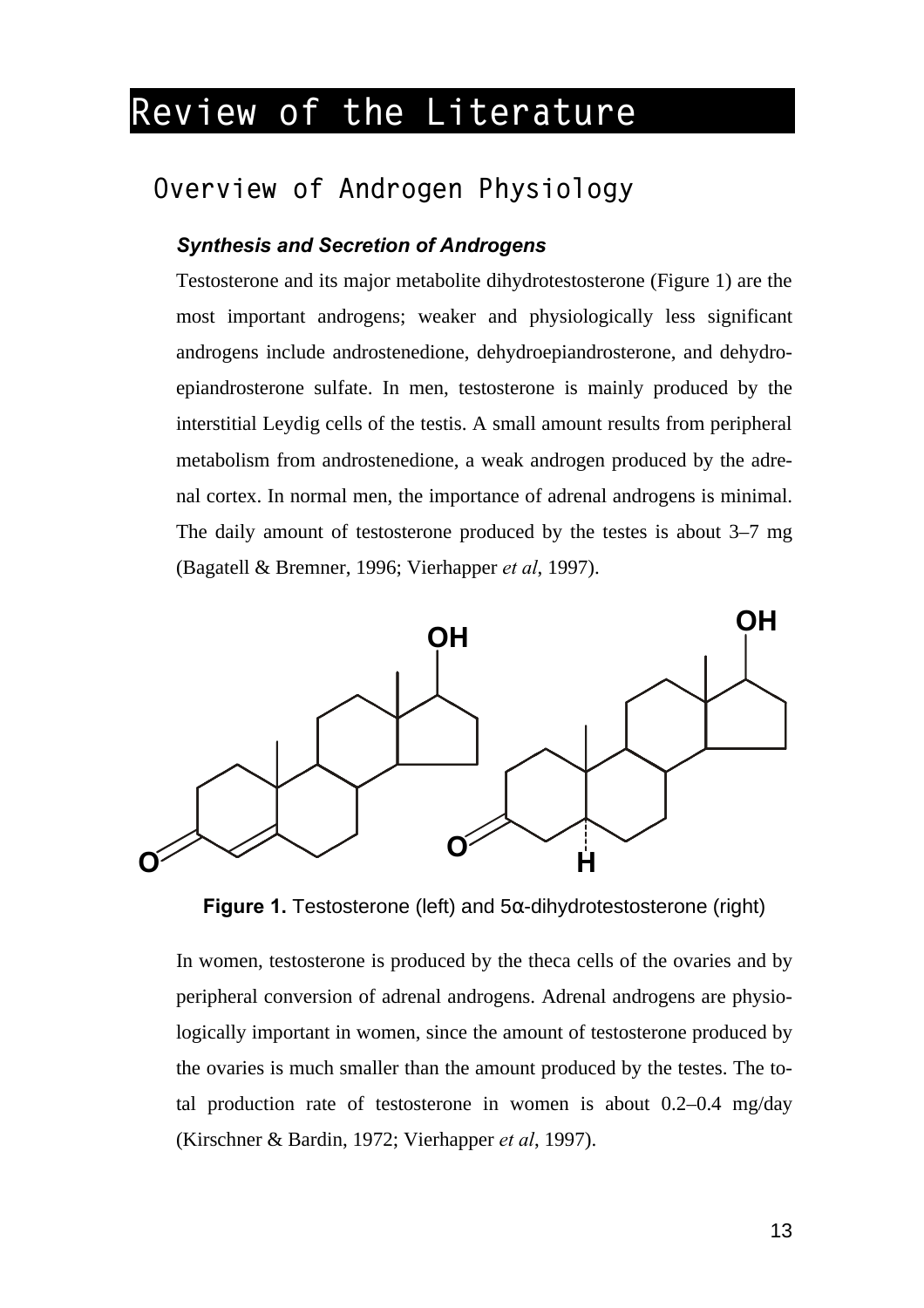## **Review of the Literature**

### **Overview of Androgen Physiology**

#### *Synthesis and Secretion of Androgens*

Testosterone and its major metabolite dihydrotestosterone (Figure 1) are the most important androgens; weaker and physiologically less significant androgens include androstenedione, dehydroepiandrosterone, and dehydroepiandrosterone sulfate. In men, testosterone is mainly produced by the interstitial Leydig cells of the testis. A small amount results from peripheral metabolism from androstenedione, a weak androgen produced by the adrenal cortex. In normal men, the importance of adrenal androgens is minimal. The daily amount of testosterone produced by the testes is about 3–7 mg (Bagatell & Bremner, 1996; Vierhapper *et al*, 1997).



**Figure 1.** Testosterone (left) and 5α-dihydrotestosterone (right)

In women, testosterone is produced by the theca cells of the ovaries and by peripheral conversion of adrenal androgens. Adrenal androgens are physiologically important in women, since the amount of testosterone produced by the ovaries is much smaller than the amount produced by the testes. The total production rate of testosterone in women is about 0.2–0.4 mg/day (Kirschner & Bardin, 1972; Vierhapper *et al*, 1997).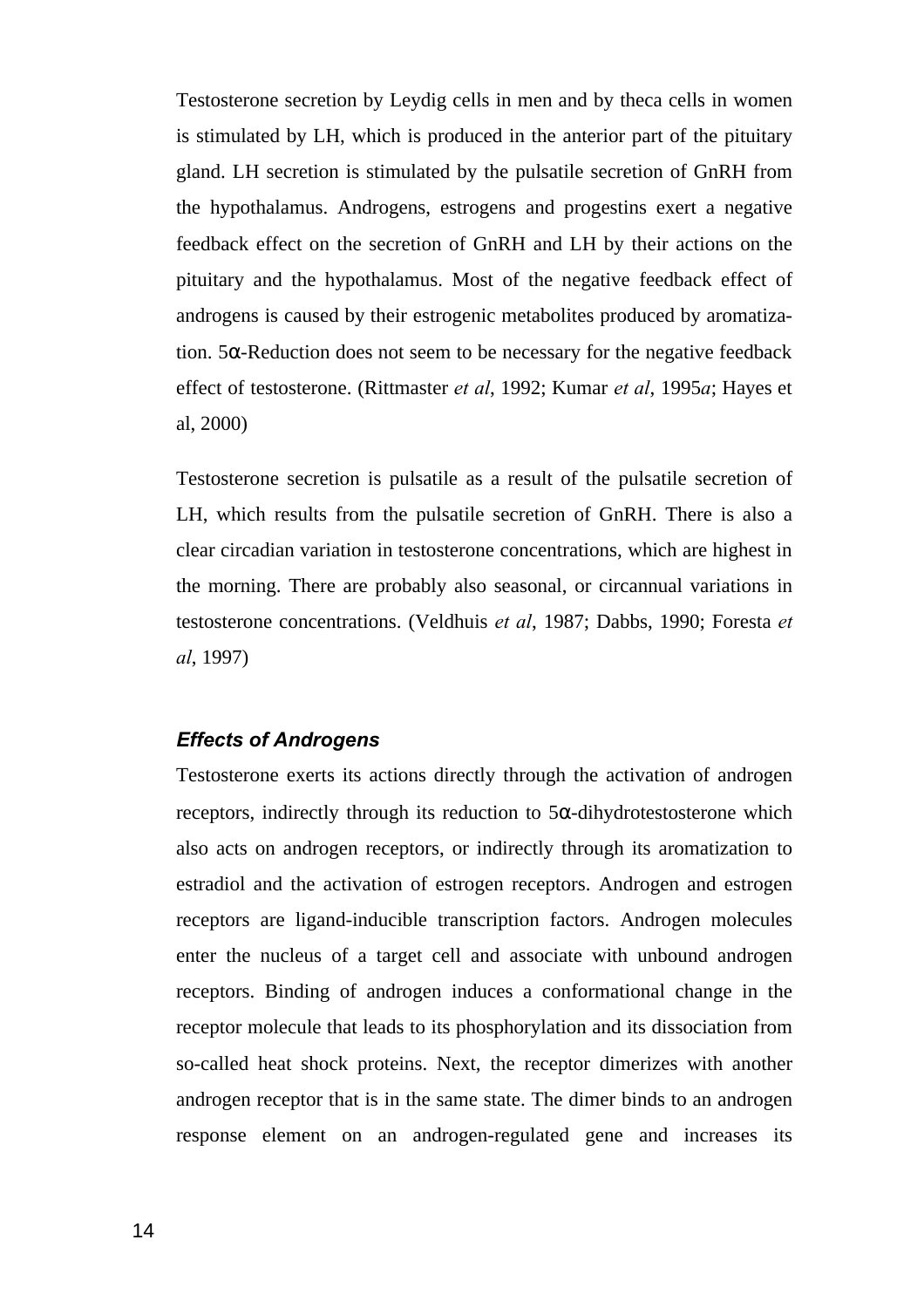Testosterone secretion by Leydig cells in men and by theca cells in women is stimulated by LH, which is produced in the anterior part of the pituitary gland. LH secretion is stimulated by the pulsatile secretion of GnRH from the hypothalamus. Androgens, estrogens and progestins exert a negative feedback effect on the secretion of GnRH and LH by their actions on the pituitary and the hypothalamus. Most of the negative feedback effect of androgens is caused by their estrogenic metabolites produced by aromatization. 5α-Reduction does not seem to be necessary for the negative feedback effect of testosterone. (Rittmaster *et al*, 1992; Kumar *et al*, 1995*a*; Hayes et al, 2000)

Testosterone secretion is pulsatile as a result of the pulsatile secretion of LH, which results from the pulsatile secretion of GnRH. There is also a clear circadian variation in testosterone concentrations, which are highest in the morning. There are probably also seasonal, or circannual variations in testosterone concentrations. (Veldhuis *et al*, 1987; Dabbs, 1990; Foresta *et al*, 1997)

#### *Effects of Androgens*

Testosterone exerts its actions directly through the activation of androgen receptors, indirectly through its reduction to  $5\alpha$ -dihydrotestosterone which also acts on androgen receptors, or indirectly through its aromatization to estradiol and the activation of estrogen receptors. Androgen and estrogen receptors are ligand-inducible transcription factors. Androgen molecules enter the nucleus of a target cell and associate with unbound androgen receptors. Binding of androgen induces a conformational change in the receptor molecule that leads to its phosphorylation and its dissociation from so-called heat shock proteins. Next, the receptor dimerizes with another androgen receptor that is in the same state. The dimer binds to an androgen response element on an androgen-regulated gene and increases its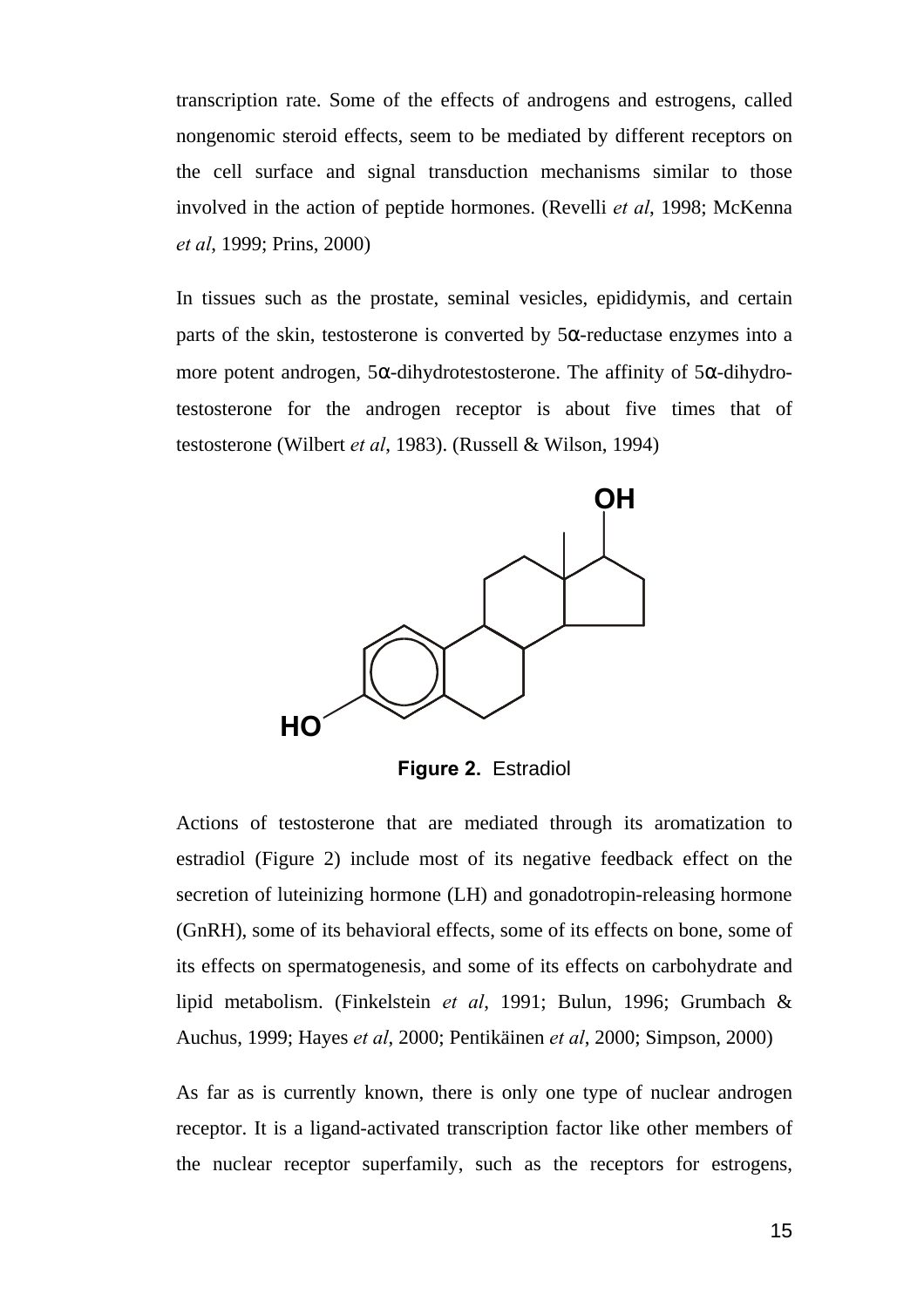transcription rate. Some of the effects of androgens and estrogens, called nongenomic steroid effects, seem to be mediated by different receptors on the cell surface and signal transduction mechanisms similar to those involved in the action of peptide hormones. (Revelli *et al*, 1998; McKenna *et al*, 1999; Prins, 2000)

In tissues such as the prostate, seminal vesicles, epididymis, and certain parts of the skin, testosterone is converted by  $5\alpha$ -reductase enzymes into a more potent androgen, 5α-dihydrotestosterone. The affinity of 5α-dihydrotestosterone for the androgen receptor is about five times that of testosterone (Wilbert *et al*, 1983). (Russell & Wilson, 1994)



**Figure 2.** Estradiol

Actions of testosterone that are mediated through its aromatization to estradiol (Figure 2) include most of its negative feedback effect on the secretion of luteinizing hormone (LH) and gonadotropin-releasing hormone (GnRH), some of its behavioral effects, some of its effects on bone, some of its effects on spermatogenesis, and some of its effects on carbohydrate and lipid metabolism. (Finkelstein *et al*, 1991; Bulun, 1996; Grumbach & Auchus, 1999; Hayes *et al*, 2000; Pentikäinen *et al*, 2000; Simpson, 2000)

As far as is currently known, there is only one type of nuclear androgen receptor. It is a ligand-activated transcription factor like other members of the nuclear receptor superfamily, such as the receptors for estrogens,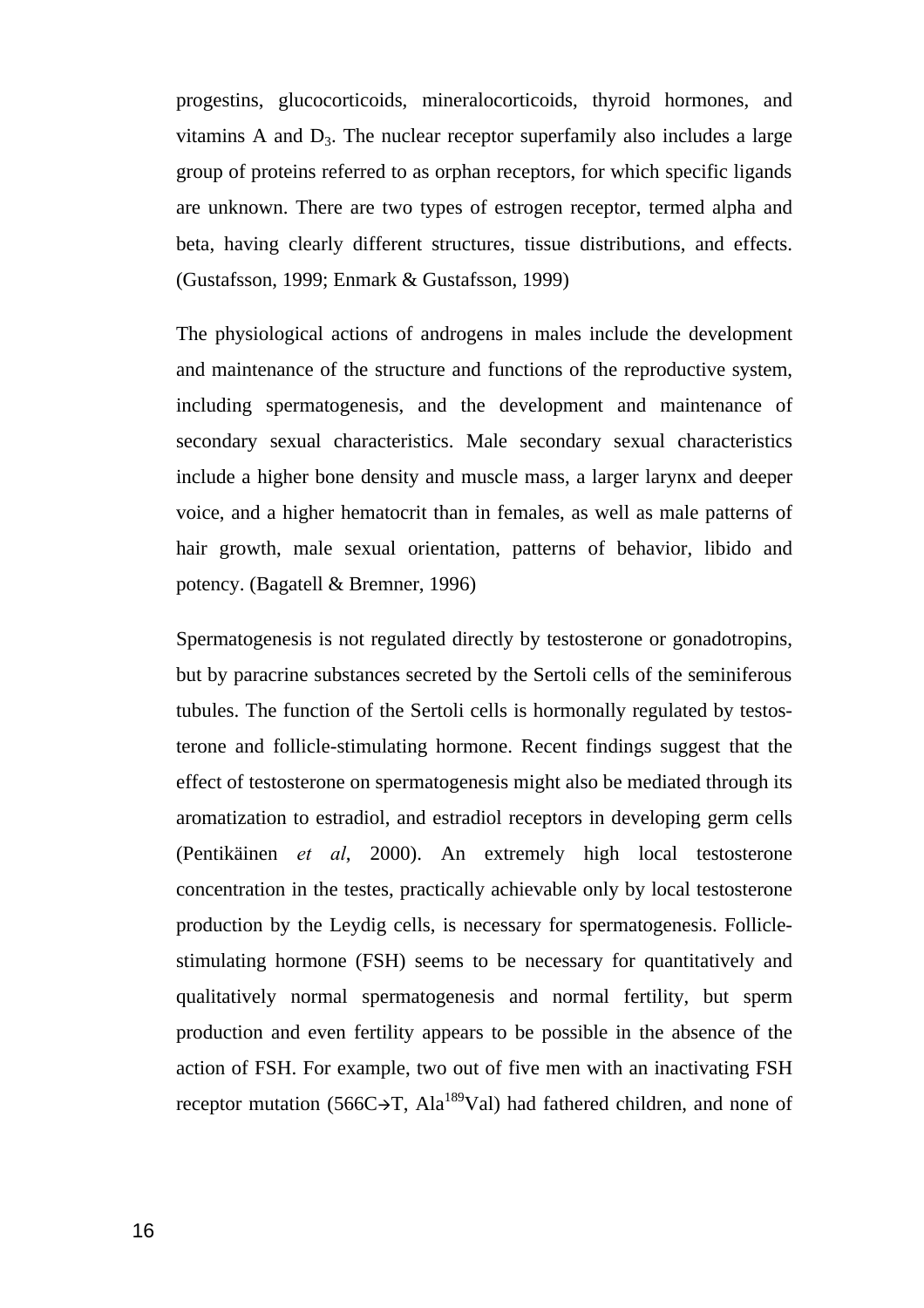progestins, glucocorticoids, mineralocorticoids, thyroid hormones, and vitamins A and  $D_3$ . The nuclear receptor superfamily also includes a large group of proteins referred to as orphan receptors, for which specific ligands are unknown. There are two types of estrogen receptor, termed alpha and beta, having clearly different structures, tissue distributions, and effects. (Gustafsson, 1999; Enmark & Gustafsson, 1999)

The physiological actions of androgens in males include the development and maintenance of the structure and functions of the reproductive system, including spermatogenesis, and the development and maintenance of secondary sexual characteristics. Male secondary sexual characteristics include a higher bone density and muscle mass, a larger larynx and deeper voice, and a higher hematocrit than in females, as well as male patterns of hair growth, male sexual orientation, patterns of behavior, libido and potency. (Bagatell & Bremner, 1996)

Spermatogenesis is not regulated directly by testosterone or gonadotropins, but by paracrine substances secreted by the Sertoli cells of the seminiferous tubules. The function of the Sertoli cells is hormonally regulated by testosterone and follicle-stimulating hormone. Recent findings suggest that the effect of testosterone on spermatogenesis might also be mediated through its aromatization to estradiol, and estradiol receptors in developing germ cells (Pentikäinen *et al*, 2000). An extremely high local testosterone concentration in the testes, practically achievable only by local testosterone production by the Leydig cells, is necessary for spermatogenesis. Folliclestimulating hormone (FSH) seems to be necessary for quantitatively and qualitatively normal spermatogenesis and normal fertility, but sperm production and even fertility appears to be possible in the absence of the action of FSH. For example, two out of five men with an inactivating FSH receptor mutation (566C $\rightarrow$ T, Ala<sup>189</sup>Val) had fathered children, and none of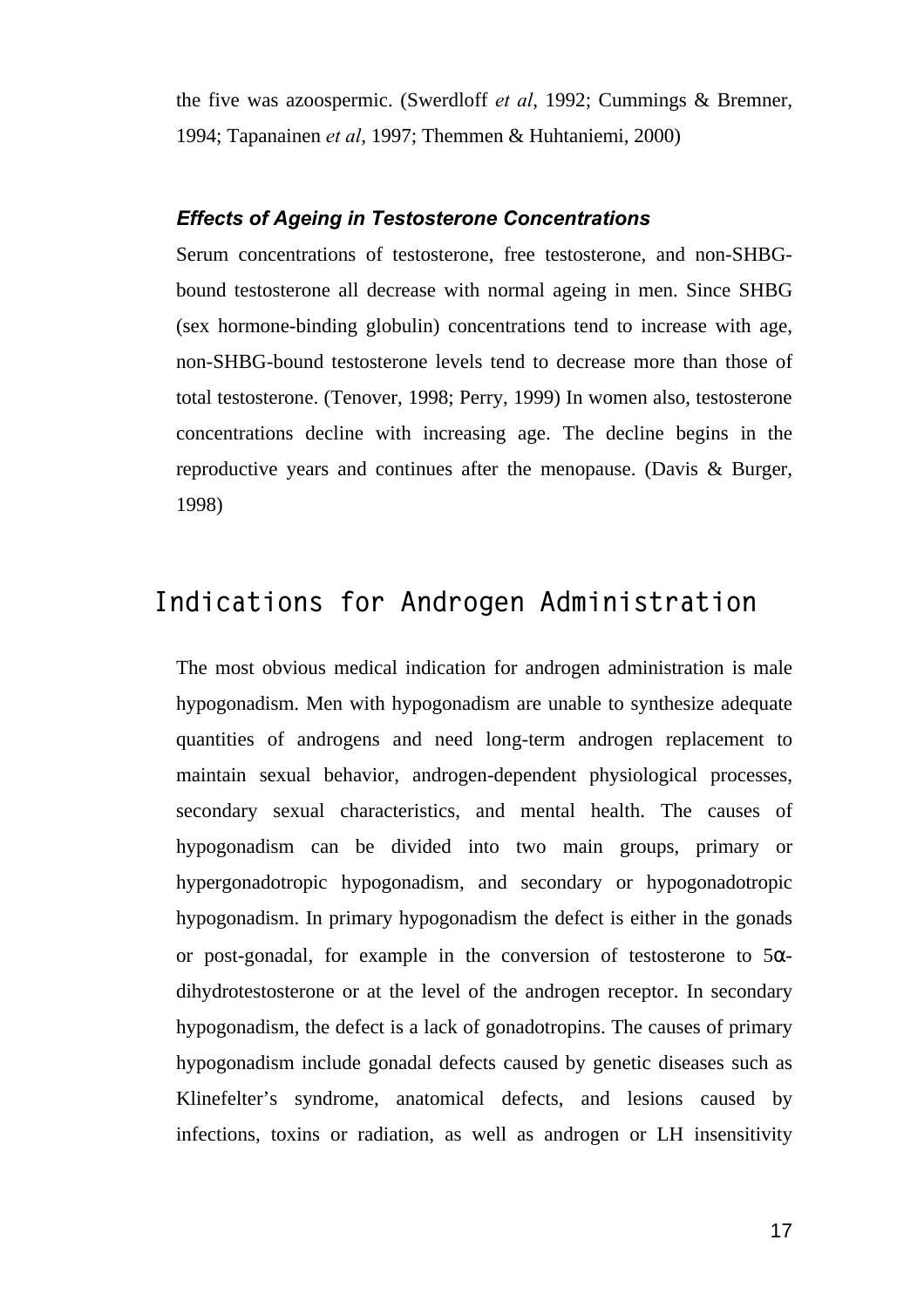the five was azoospermic. (Swerdloff *et al*, 1992; Cummings & Bremner, 1994; Tapanainen *et al*, 1997; Themmen & Huhtaniemi, 2000)

#### *Effects of Ageing in Testosterone Concentrations*

Serum concentrations of testosterone, free testosterone, and non-SHBGbound testosterone all decrease with normal ageing in men. Since SHBG (sex hormone-binding globulin) concentrations tend to increase with age, non-SHBG-bound testosterone levels tend to decrease more than those of total testosterone. (Tenover, 1998; Perry, 1999) In women also, testosterone concentrations decline with increasing age. The decline begins in the reproductive years and continues after the menopause. (Davis & Burger, 1998)

### **Indications for Androgen Administration**

The most obvious medical indication for androgen administration is male hypogonadism. Men with hypogonadism are unable to synthesize adequate quantities of androgens and need long-term androgen replacement to maintain sexual behavior, androgen-dependent physiological processes, secondary sexual characteristics, and mental health. The causes of hypogonadism can be divided into two main groups, primary or hypergonadotropic hypogonadism, and secondary or hypogonadotropic hypogonadism. In primary hypogonadism the defect is either in the gonads or post-gonadal, for example in the conversion of testosterone to  $5\alpha$ dihydrotestosterone or at the level of the androgen receptor. In secondary hypogonadism, the defect is a lack of gonadotropins. The causes of primary hypogonadism include gonadal defects caused by genetic diseases such as Klinefelter's syndrome, anatomical defects, and lesions caused by infections, toxins or radiation, as well as androgen or LH insensitivity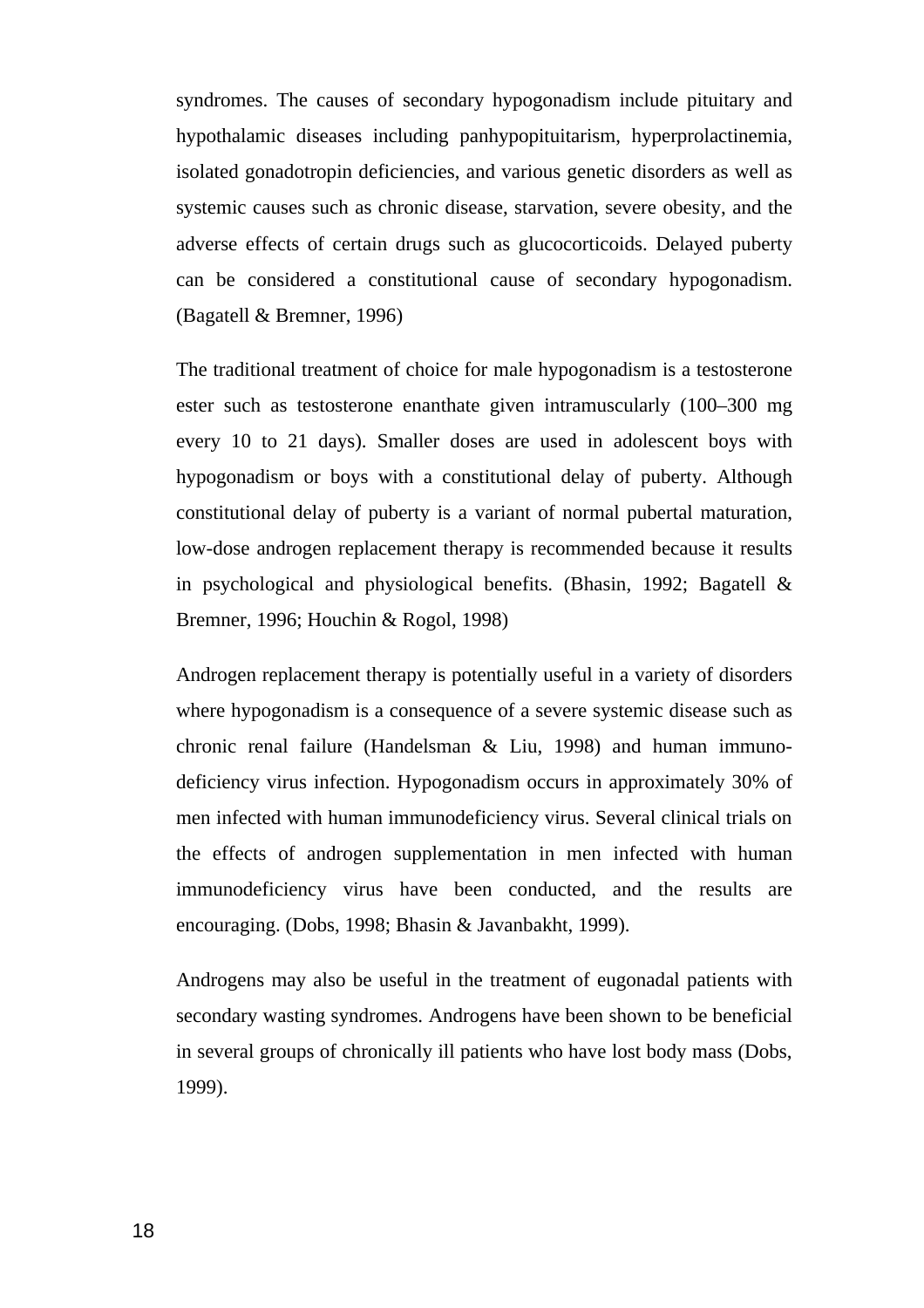syndromes. The causes of secondary hypogonadism include pituitary and hypothalamic diseases including panhypopituitarism, hyperprolactinemia, isolated gonadotropin deficiencies, and various genetic disorders as well as systemic causes such as chronic disease, starvation, severe obesity, and the adverse effects of certain drugs such as glucocorticoids. Delayed puberty can be considered a constitutional cause of secondary hypogonadism. (Bagatell & Bremner, 1996)

The traditional treatment of choice for male hypogonadism is a testosterone ester such as testosterone enanthate given intramuscularly (100–300 mg every 10 to 21 days). Smaller doses are used in adolescent boys with hypogonadism or boys with a constitutional delay of puberty. Although constitutional delay of puberty is a variant of normal pubertal maturation, low-dose androgen replacement therapy is recommended because it results in psychological and physiological benefits. (Bhasin, 1992; Bagatell & Bremner, 1996; Houchin & Rogol, 1998)

Androgen replacement therapy is potentially useful in a variety of disorders where hypogonadism is a consequence of a severe systemic disease such as chronic renal failure (Handelsman & Liu, 1998) and human immunodeficiency virus infection. Hypogonadism occurs in approximately 30% of men infected with human immunodeficiency virus. Several clinical trials on the effects of androgen supplementation in men infected with human immunodeficiency virus have been conducted, and the results are encouraging. (Dobs, 1998; Bhasin & Javanbakht, 1999).

Androgens may also be useful in the treatment of eugonadal patients with secondary wasting syndromes. Androgens have been shown to be beneficial in several groups of chronically ill patients who have lost body mass (Dobs, 1999).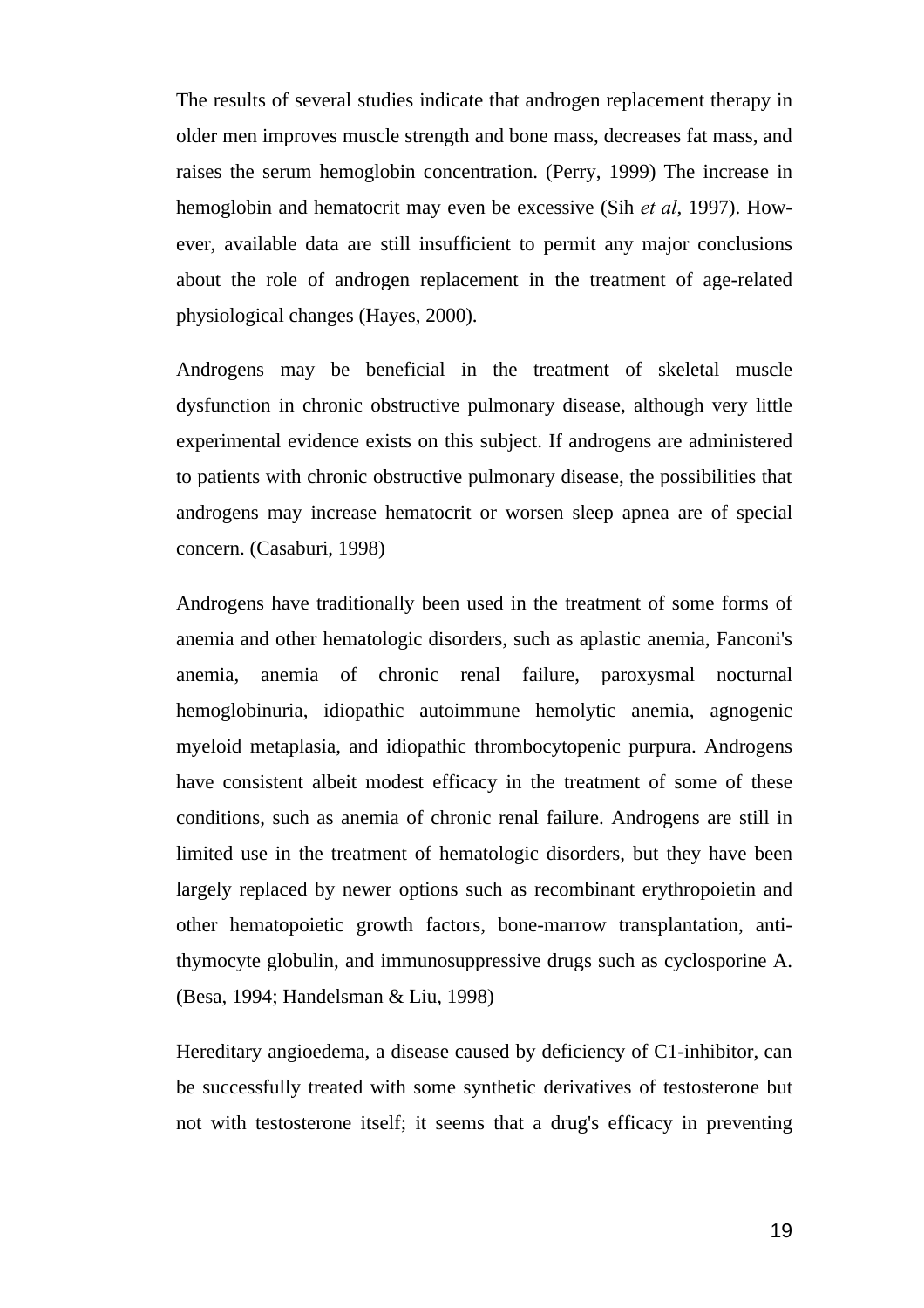The results of several studies indicate that androgen replacement therapy in older men improves muscle strength and bone mass, decreases fat mass, and raises the serum hemoglobin concentration. (Perry, 1999) The increase in hemoglobin and hematocrit may even be excessive (Sih *et al*, 1997). However, available data are still insufficient to permit any major conclusions about the role of androgen replacement in the treatment of age-related physiological changes (Hayes, 2000).

Androgens may be beneficial in the treatment of skeletal muscle dysfunction in chronic obstructive pulmonary disease, although very little experimental evidence exists on this subject. If androgens are administered to patients with chronic obstructive pulmonary disease, the possibilities that androgens may increase hematocrit or worsen sleep apnea are of special concern. (Casaburi, 1998)

Androgens have traditionally been used in the treatment of some forms of anemia and other hematologic disorders, such as aplastic anemia, Fanconi's anemia, anemia of chronic renal failure, paroxysmal nocturnal hemoglobinuria, idiopathic autoimmune hemolytic anemia, agnogenic myeloid metaplasia, and idiopathic thrombocytopenic purpura. Androgens have consistent albeit modest efficacy in the treatment of some of these conditions, such as anemia of chronic renal failure. Androgens are still in limited use in the treatment of hematologic disorders, but they have been largely replaced by newer options such as recombinant erythropoietin and other hematopoietic growth factors, bone-marrow transplantation, antithymocyte globulin, and immunosuppressive drugs such as cyclosporine A. (Besa, 1994; Handelsman & Liu, 1998)

Hereditary angioedema, a disease caused by deficiency of C1-inhibitor, can be successfully treated with some synthetic derivatives of testosterone but not with testosterone itself; it seems that a drug's efficacy in preventing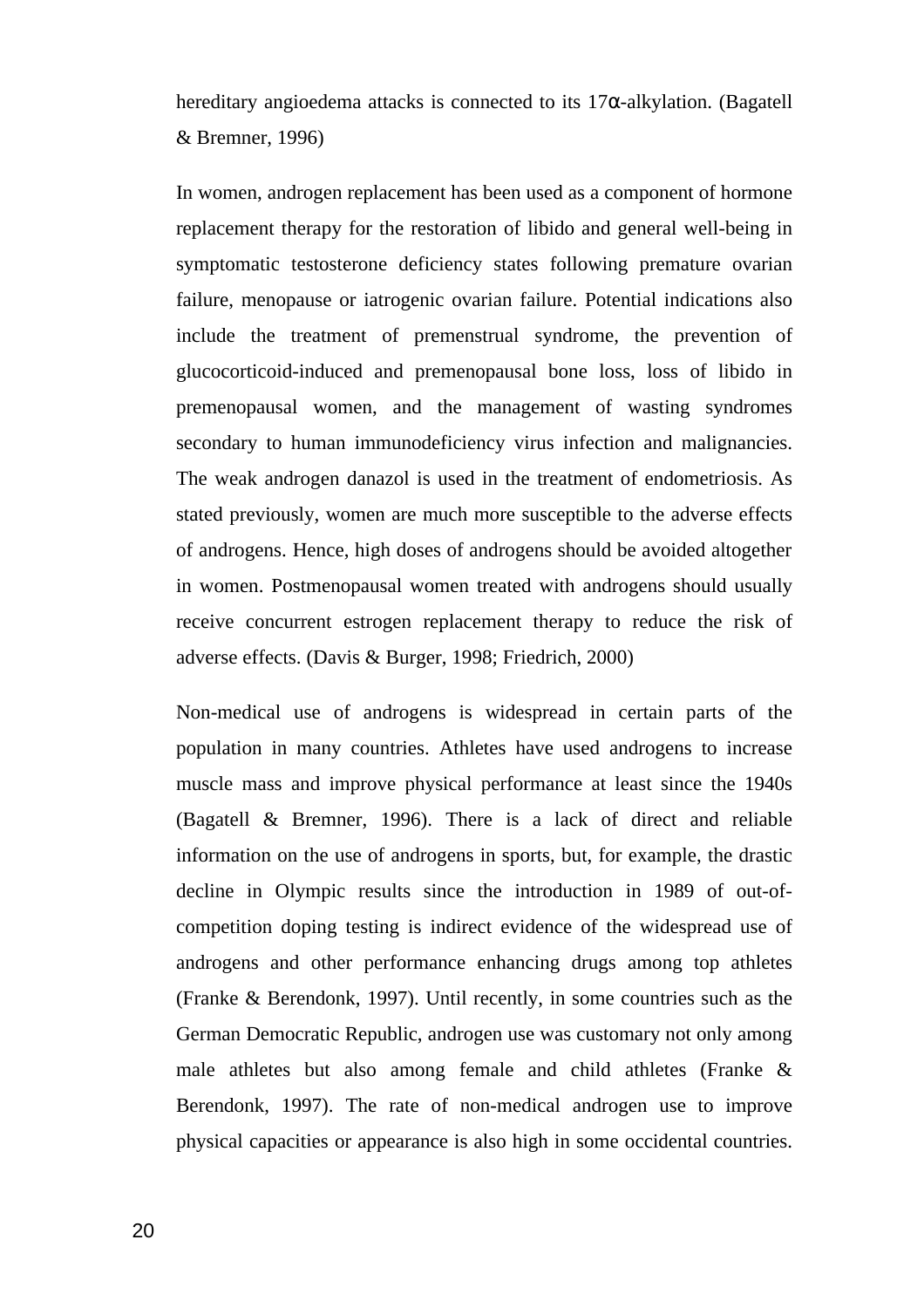hereditary angioedema attacks is connected to its  $17\alpha$ -alkylation. (Bagatell & Bremner, 1996)

In women, androgen replacement has been used as a component of hormone replacement therapy for the restoration of libido and general well-being in symptomatic testosterone deficiency states following premature ovarian failure, menopause or iatrogenic ovarian failure. Potential indications also include the treatment of premenstrual syndrome, the prevention of glucocorticoid-induced and premenopausal bone loss, loss of libido in premenopausal women, and the management of wasting syndromes secondary to human immunodeficiency virus infection and malignancies. The weak androgen danazol is used in the treatment of endometriosis. As stated previously, women are much more susceptible to the adverse effects of androgens. Hence, high doses of androgens should be avoided altogether in women. Postmenopausal women treated with androgens should usually receive concurrent estrogen replacement therapy to reduce the risk of adverse effects. (Davis & Burger, 1998; Friedrich, 2000)

Non-medical use of androgens is widespread in certain parts of the population in many countries. Athletes have used androgens to increase muscle mass and improve physical performance at least since the 1940s (Bagatell & Bremner, 1996). There is a lack of direct and reliable information on the use of androgens in sports, but, for example, the drastic decline in Olympic results since the introduction in 1989 of out-ofcompetition doping testing is indirect evidence of the widespread use of androgens and other performance enhancing drugs among top athletes (Franke & Berendonk, 1997). Until recently, in some countries such as the German Democratic Republic, androgen use was customary not only among male athletes but also among female and child athletes (Franke & Berendonk, 1997). The rate of non-medical androgen use to improve physical capacities or appearance is also high in some occidental countries.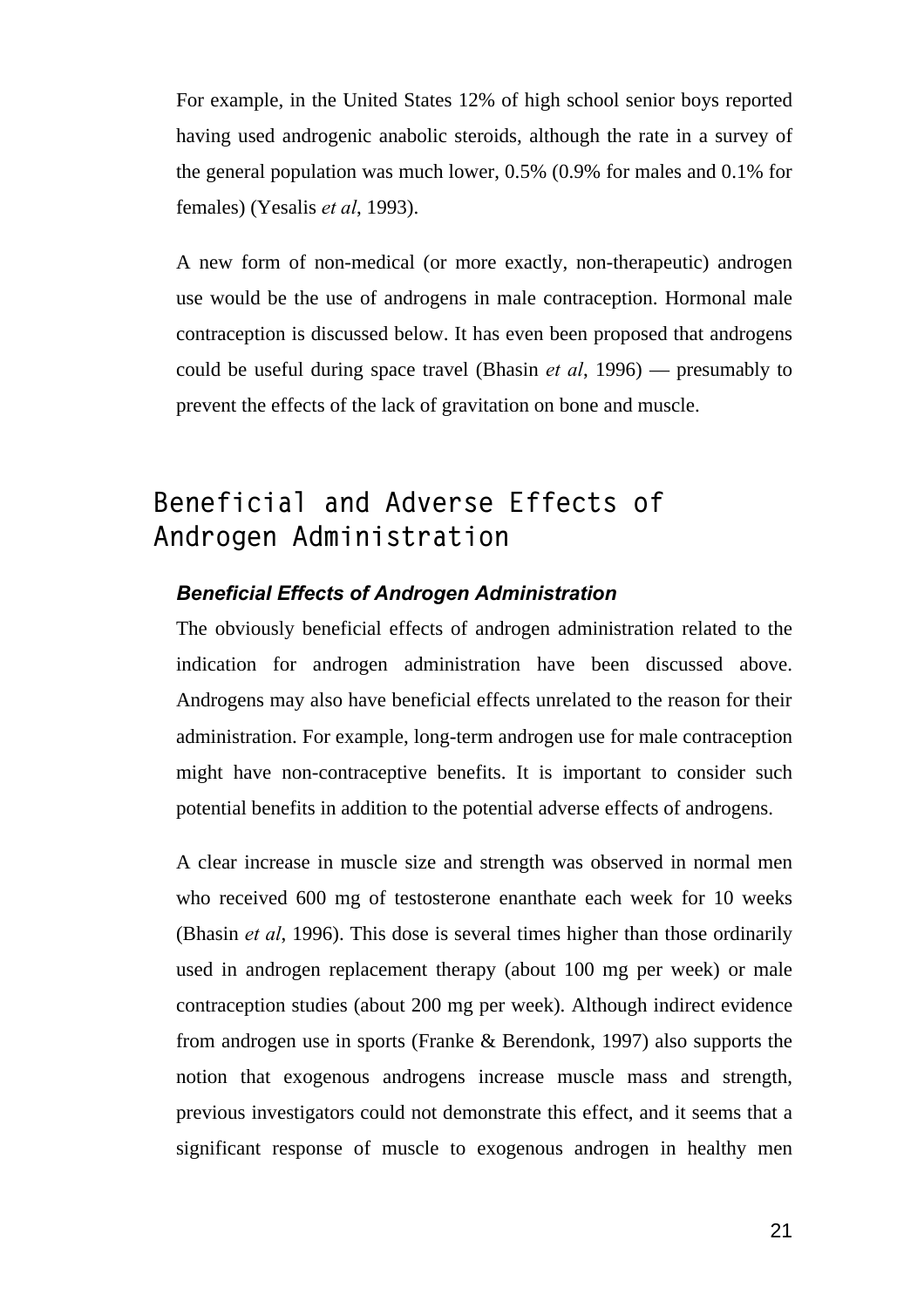For example, in the United States 12% of high school senior boys reported having used androgenic anabolic steroids, although the rate in a survey of the general population was much lower, 0.5% (0.9% for males and 0.1% for females) (Yesalis *et al*, 1993).

A new form of non-medical (or more exactly, non-therapeutic) androgen use would be the use of androgens in male contraception. Hormonal male contraception is discussed below. It has even been proposed that androgens could be useful during space travel (Bhasin *et al*, 1996) — presumably to prevent the effects of the lack of gravitation on bone and muscle.

## **Beneficial and Adverse Effects of Androgen Administration**

#### *Beneficial Effects of Androgen Administration*

The obviously beneficial effects of androgen administration related to the indication for androgen administration have been discussed above. Androgens may also have beneficial effects unrelated to the reason for their administration. For example, long-term androgen use for male contraception might have non-contraceptive benefits. It is important to consider such potential benefits in addition to the potential adverse effects of androgens.

A clear increase in muscle size and strength was observed in normal men who received 600 mg of testosterone enanthate each week for 10 weeks (Bhasin *et al*, 1996). This dose is several times higher than those ordinarily used in androgen replacement therapy (about 100 mg per week) or male contraception studies (about 200 mg per week). Although indirect evidence from androgen use in sports (Franke & Berendonk, 1997) also supports the notion that exogenous androgens increase muscle mass and strength, previous investigators could not demonstrate this effect, and it seems that a significant response of muscle to exogenous androgen in healthy men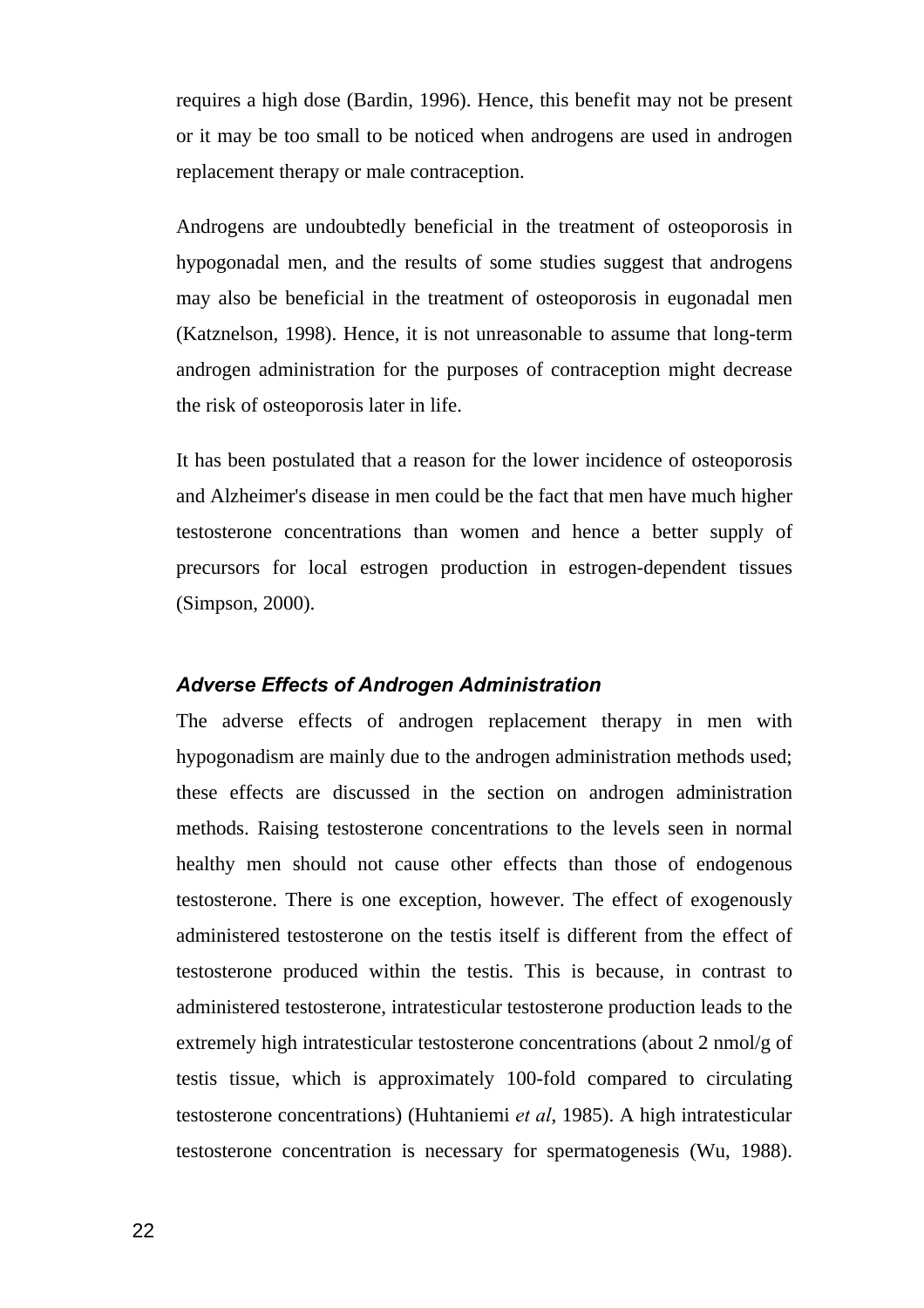requires a high dose (Bardin, 1996). Hence, this benefit may not be present or it may be too small to be noticed when androgens are used in androgen replacement therapy or male contraception.

Androgens are undoubtedly beneficial in the treatment of osteoporosis in hypogonadal men, and the results of some studies suggest that androgens may also be beneficial in the treatment of osteoporosis in eugonadal men (Katznelson, 1998). Hence, it is not unreasonable to assume that long-term androgen administration for the purposes of contraception might decrease the risk of osteoporosis later in life.

It has been postulated that a reason for the lower incidence of osteoporosis and Alzheimer's disease in men could be the fact that men have much higher testosterone concentrations than women and hence a better supply of precursors for local estrogen production in estrogen-dependent tissues (Simpson, 2000).

#### *Adverse Effects of Androgen Administration*

The adverse effects of androgen replacement therapy in men with hypogonadism are mainly due to the androgen administration methods used; these effects are discussed in the section on androgen administration methods. Raising testosterone concentrations to the levels seen in normal healthy men should not cause other effects than those of endogenous testosterone. There is one exception, however. The effect of exogenously administered testosterone on the testis itself is different from the effect of testosterone produced within the testis. This is because, in contrast to administered testosterone, intratesticular testosterone production leads to the extremely high intratesticular testosterone concentrations (about 2 nmol/g of testis tissue, which is approximately 100-fold compared to circulating testosterone concentrations) (Huhtaniemi *et al*, 1985). A high intratesticular testosterone concentration is necessary for spermatogenesis (Wu, 1988).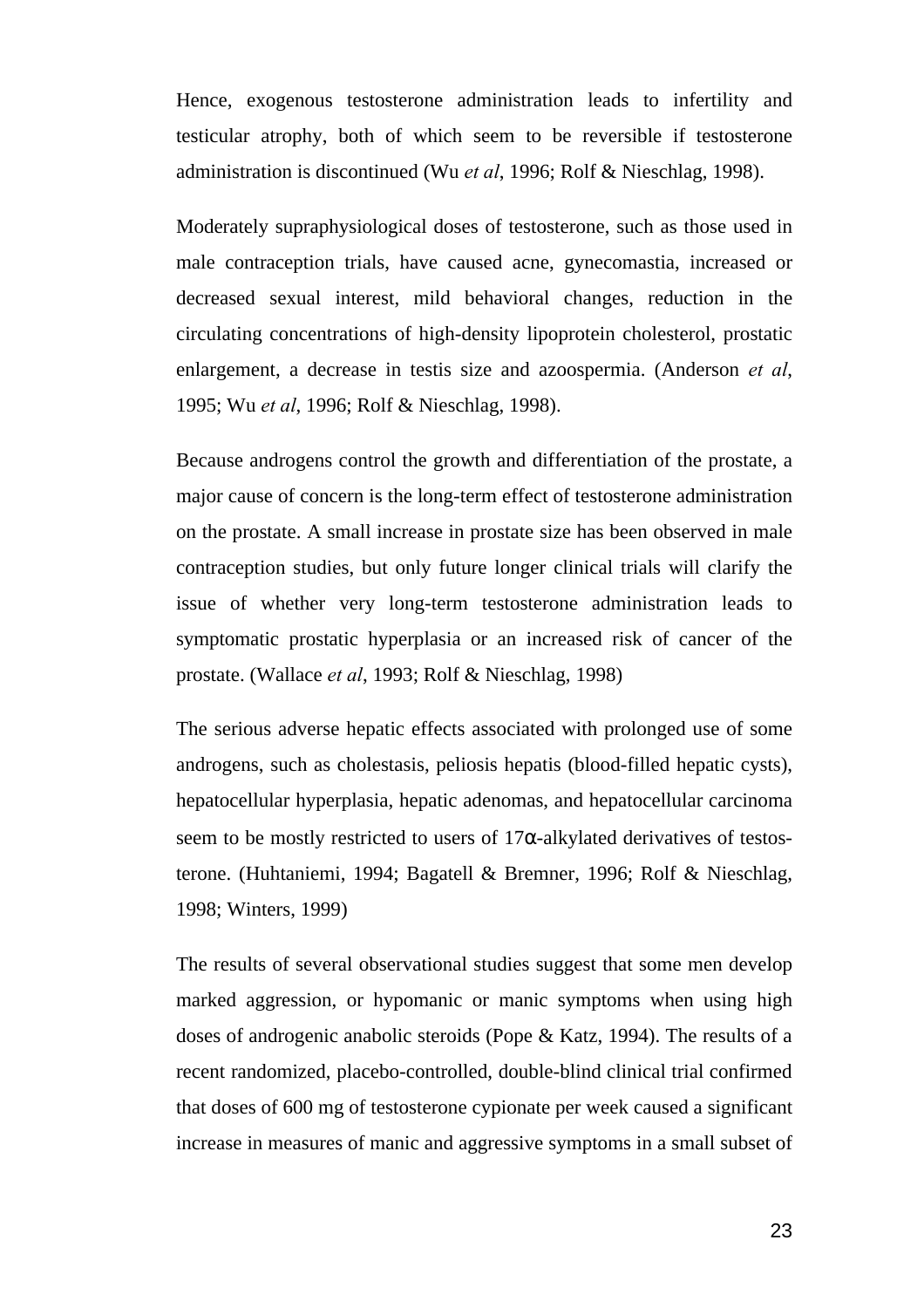Hence, exogenous testosterone administration leads to infertility and testicular atrophy, both of which seem to be reversible if testosterone administration is discontinued (Wu *et al*, 1996; Rolf & Nieschlag, 1998).

Moderately supraphysiological doses of testosterone, such as those used in male contraception trials, have caused acne, gynecomastia, increased or decreased sexual interest, mild behavioral changes, reduction in the circulating concentrations of high-density lipoprotein cholesterol, prostatic enlargement, a decrease in testis size and azoospermia. (Anderson *et al*, 1995; Wu *et al*, 1996; Rolf & Nieschlag, 1998).

Because androgens control the growth and differentiation of the prostate, a major cause of concern is the long-term effect of testosterone administration on the prostate. A small increase in prostate size has been observed in male contraception studies, but only future longer clinical trials will clarify the issue of whether very long-term testosterone administration leads to symptomatic prostatic hyperplasia or an increased risk of cancer of the prostate. (Wallace *et al*, 1993; Rolf & Nieschlag, 1998)

The serious adverse hepatic effects associated with prolonged use of some androgens, such as cholestasis, peliosis hepatis (blood-filled hepatic cysts), hepatocellular hyperplasia, hepatic adenomas, and hepatocellular carcinoma seem to be mostly restricted to users of 17α-alkylated derivatives of testosterone. (Huhtaniemi, 1994; Bagatell & Bremner, 1996; Rolf & Nieschlag, 1998; Winters, 1999)

The results of several observational studies suggest that some men develop marked aggression, or hypomanic or manic symptoms when using high doses of androgenic anabolic steroids (Pope & Katz, 1994). The results of a recent randomized, placebo-controlled, double-blind clinical trial confirmed that doses of 600 mg of testosterone cypionate per week caused a significant increase in measures of manic and aggressive symptoms in a small subset of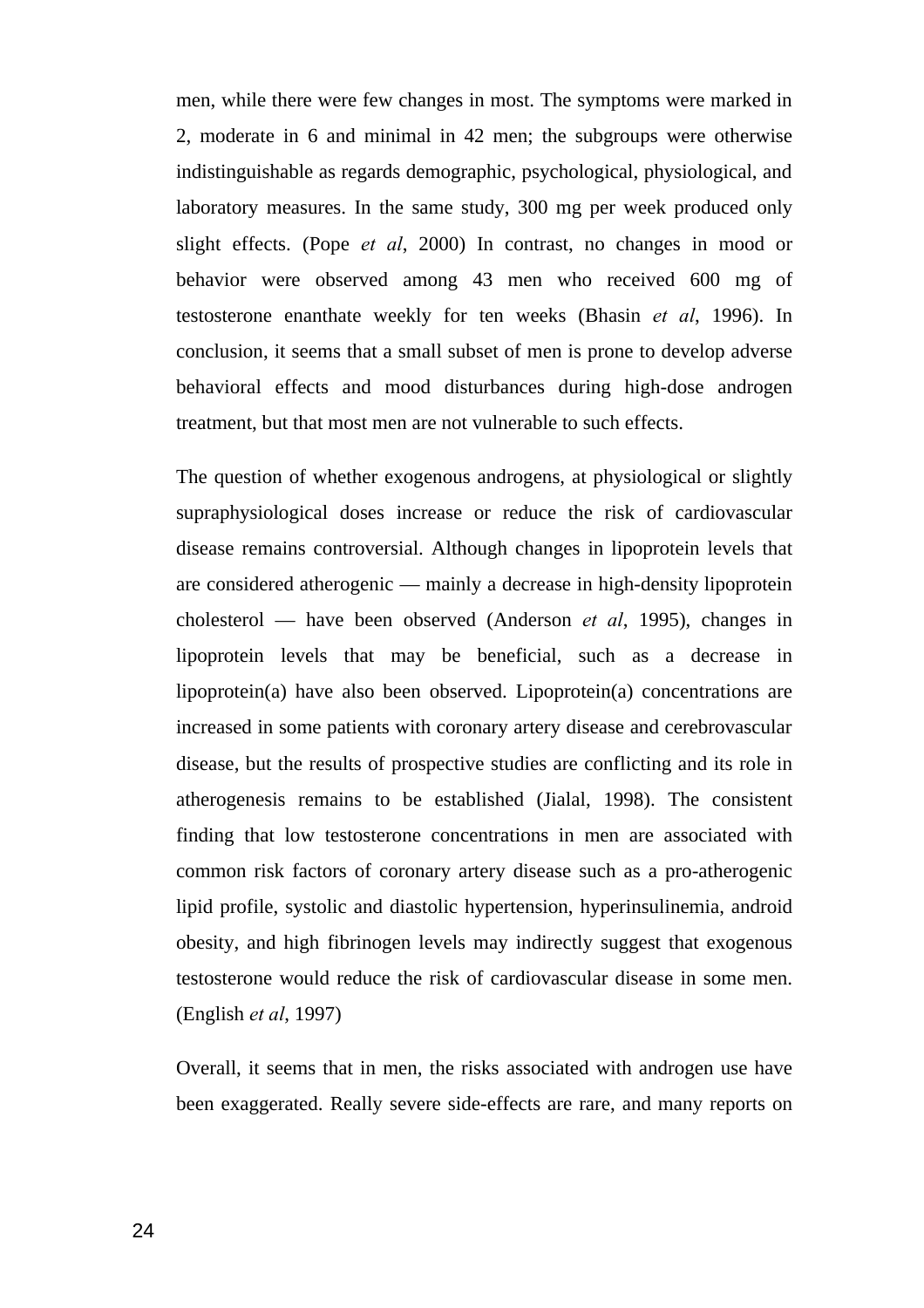men, while there were few changes in most. The symptoms were marked in 2, moderate in 6 and minimal in 42 men; the subgroups were otherwise indistinguishable as regards demographic, psychological, physiological, and laboratory measures. In the same study, 300 mg per week produced only slight effects. (Pope *et al*, 2000) In contrast, no changes in mood or behavior were observed among 43 men who received 600 mg of testosterone enanthate weekly for ten weeks (Bhasin *et al*, 1996). In conclusion, it seems that a small subset of men is prone to develop adverse behavioral effects and mood disturbances during high-dose androgen treatment, but that most men are not vulnerable to such effects.

The question of whether exogenous androgens, at physiological or slightly supraphysiological doses increase or reduce the risk of cardiovascular disease remains controversial. Although changes in lipoprotein levels that are considered atherogenic — mainly a decrease in high-density lipoprotein cholesterol — have been observed (Anderson *et al*, 1995), changes in lipoprotein levels that may be beneficial, such as a decrease in lipoprotein(a) have also been observed. Lipoprotein(a) concentrations are increased in some patients with coronary artery disease and cerebrovascular disease, but the results of prospective studies are conflicting and its role in atherogenesis remains to be established (Jialal, 1998). The consistent finding that low testosterone concentrations in men are associated with common risk factors of coronary artery disease such as a pro-atherogenic lipid profile, systolic and diastolic hypertension, hyperinsulinemia, android obesity, and high fibrinogen levels may indirectly suggest that exogenous testosterone would reduce the risk of cardiovascular disease in some men. (English *et al*, 1997)

Overall, it seems that in men, the risks associated with androgen use have been exaggerated. Really severe side-effects are rare, and many reports on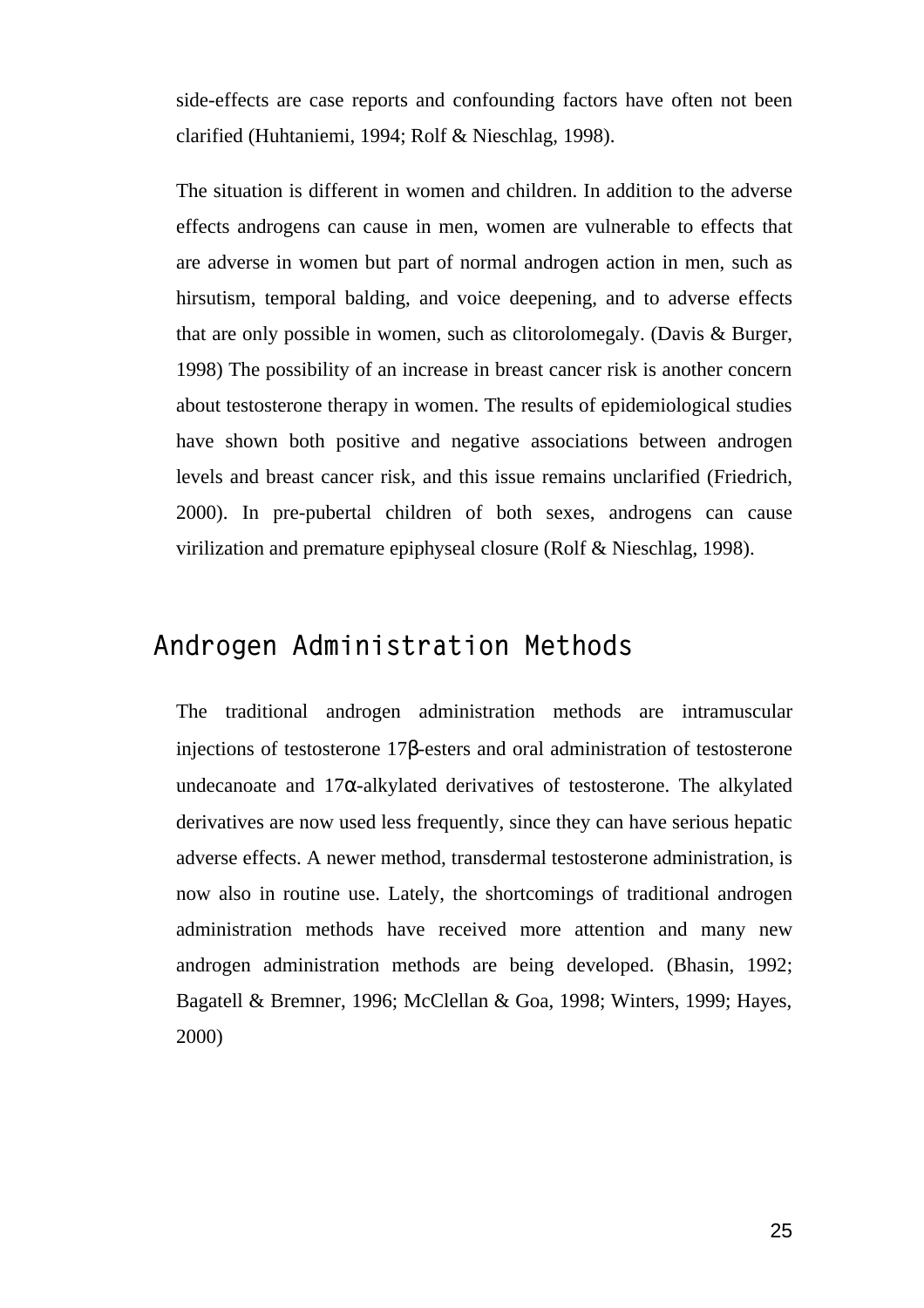side-effects are case reports and confounding factors have often not been clarified (Huhtaniemi, 1994; Rolf & Nieschlag, 1998).

The situation is different in women and children. In addition to the adverse effects androgens can cause in men, women are vulnerable to effects that are adverse in women but part of normal androgen action in men, such as hirsutism, temporal balding, and voice deepening, and to adverse effects that are only possible in women, such as clitorolomegaly. (Davis & Burger, 1998) The possibility of an increase in breast cancer risk is another concern about testosterone therapy in women. The results of epidemiological studies have shown both positive and negative associations between androgen levels and breast cancer risk, and this issue remains unclarified (Friedrich, 2000). In pre-pubertal children of both sexes, androgens can cause virilization and premature epiphyseal closure (Rolf & Nieschlag, 1998).

### **Androgen Administration Methods**

The traditional androgen administration methods are intramuscular injections of testosterone 17β-esters and oral administration of testosterone undecanoate and  $17\alpha$ -alkylated derivatives of testosterone. The alkylated derivatives are now used less frequently, since they can have serious hepatic adverse effects. A newer method, transdermal testosterone administration, is now also in routine use. Lately, the shortcomings of traditional androgen administration methods have received more attention and many new androgen administration methods are being developed. (Bhasin, 1992; Bagatell & Bremner, 1996; McClellan & Goa, 1998; Winters, 1999; Hayes, 2000)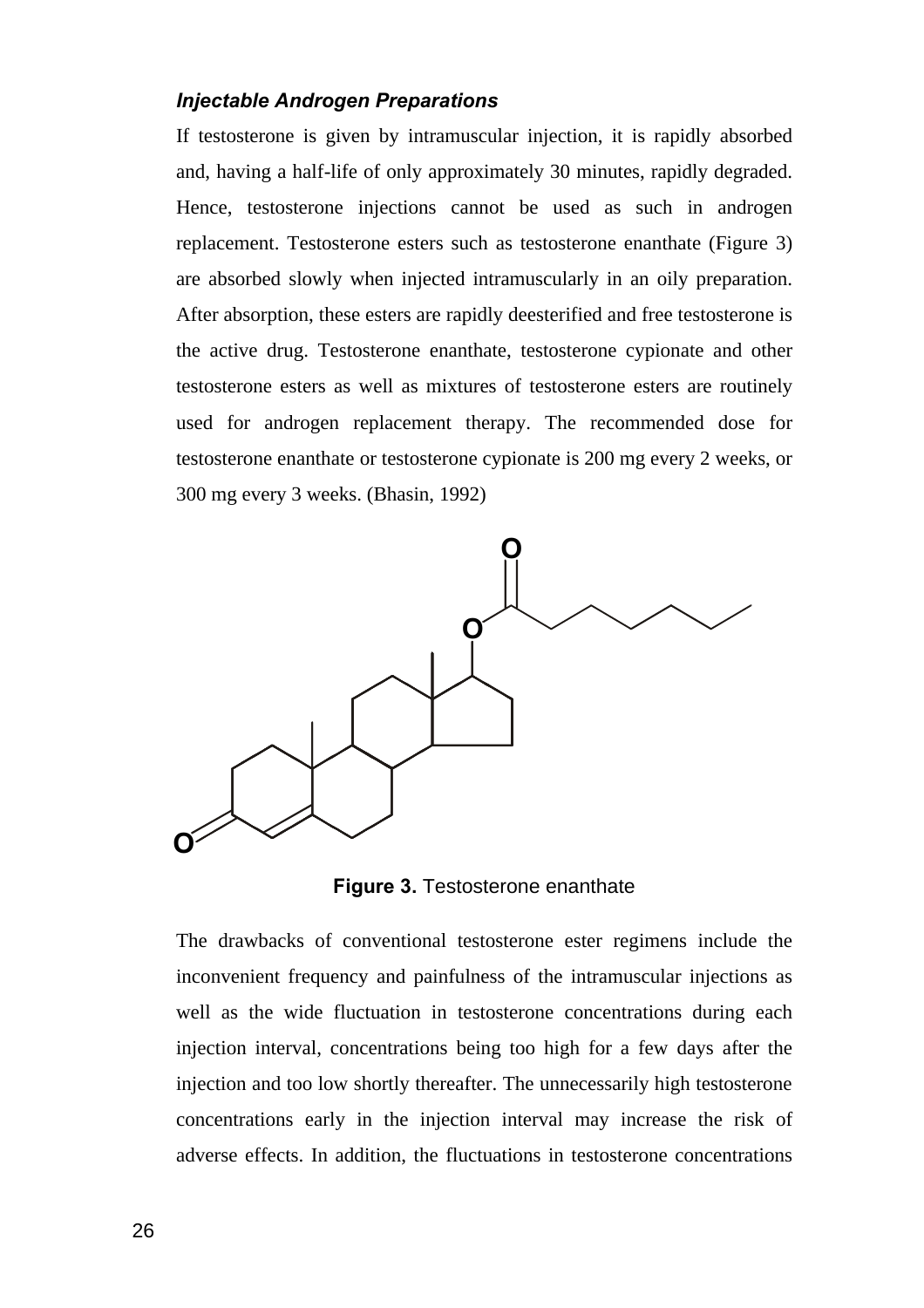#### *Injectable Androgen Preparations*

If testosterone is given by intramuscular injection, it is rapidly absorbed and, having a half-life of only approximately 30 minutes, rapidly degraded. Hence, testosterone injections cannot be used as such in androgen replacement. Testosterone esters such as testosterone enanthate (Figure 3) are absorbed slowly when injected intramuscularly in an oily preparation. After absorption, these esters are rapidly deesterified and free testosterone is the active drug. Testosterone enanthate, testosterone cypionate and other testosterone esters as well as mixtures of testosterone esters are routinely used for androgen replacement therapy. The recommended dose for testosterone enanthate or testosterone cypionate is 200 mg every 2 weeks, or 300 mg every 3 weeks. (Bhasin, 1992)



**Figure 3.** Testosterone enanthate

The drawbacks of conventional testosterone ester regimens include the inconvenient frequency and painfulness of the intramuscular injections as well as the wide fluctuation in testosterone concentrations during each injection interval, concentrations being too high for a few days after the injection and too low shortly thereafter. The unnecessarily high testosterone concentrations early in the injection interval may increase the risk of adverse effects. In addition, the fluctuations in testosterone concentrations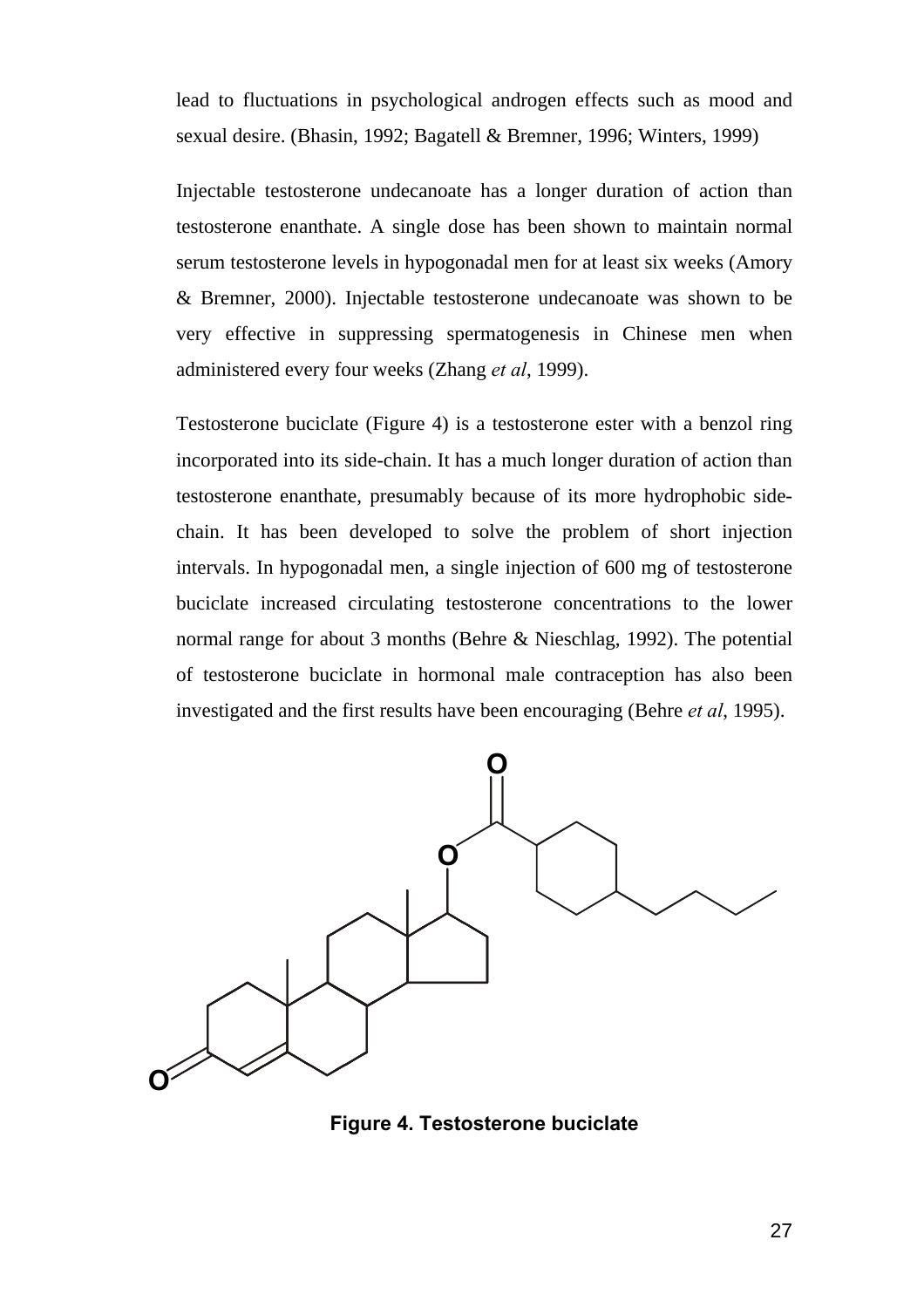lead to fluctuations in psychological androgen effects such as mood and sexual desire. (Bhasin, 1992; Bagatell & Bremner, 1996; Winters, 1999)

Injectable testosterone undecanoate has a longer duration of action than testosterone enanthate. A single dose has been shown to maintain normal serum testosterone levels in hypogonadal men for at least six weeks (Amory & Bremner, 2000). Injectable testosterone undecanoate was shown to be very effective in suppressing spermatogenesis in Chinese men when administered every four weeks (Zhang *et al*, 1999).

Testosterone buciclate (Figure 4) is a testosterone ester with a benzol ring incorporated into its side-chain. It has a much longer duration of action than testosterone enanthate, presumably because of its more hydrophobic sidechain. It has been developed to solve the problem of short injection intervals. In hypogonadal men, a single injection of 600 mg of testosterone buciclate increased circulating testosterone concentrations to the lower normal range for about 3 months (Behre & Nieschlag, 1992). The potential of testosterone buciclate in hormonal male contraception has also been investigated and the first results have been encouraging (Behre *et al*, 1995).



**Figure 4. Testosterone buciclate**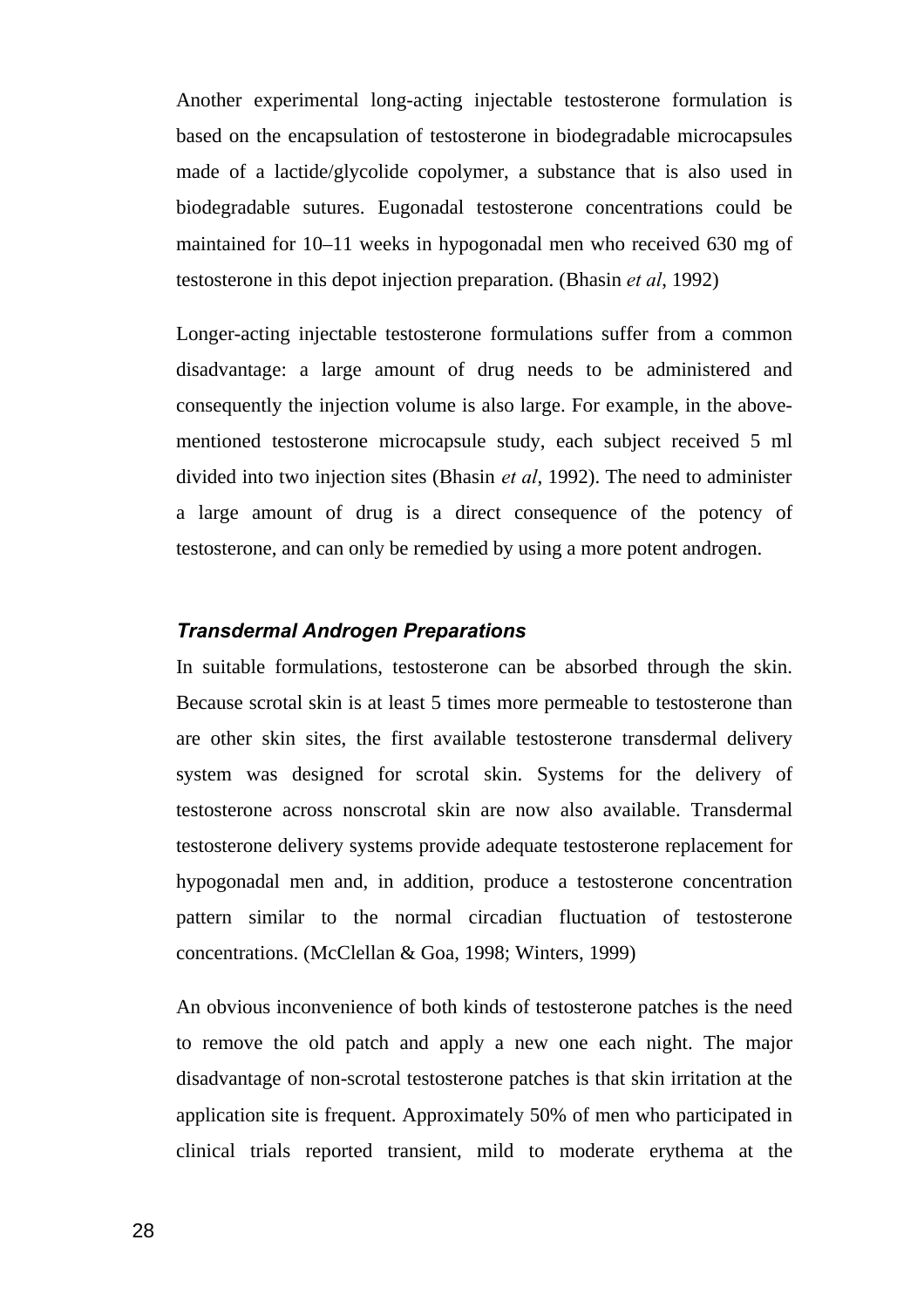Another experimental long-acting injectable testosterone formulation is based on the encapsulation of testosterone in biodegradable microcapsules made of a lactide/glycolide copolymer, a substance that is also used in biodegradable sutures. Eugonadal testosterone concentrations could be maintained for 10–11 weeks in hypogonadal men who received 630 mg of testosterone in this depot injection preparation. (Bhasin *et al*, 1992)

Longer-acting injectable testosterone formulations suffer from a common disadvantage: a large amount of drug needs to be administered and consequently the injection volume is also large. For example, in the abovementioned testosterone microcapsule study, each subject received 5 ml divided into two injection sites (Bhasin *et al*, 1992). The need to administer a large amount of drug is a direct consequence of the potency of testosterone, and can only be remedied by using a more potent androgen.

#### *Transdermal Androgen Preparations*

In suitable formulations, testosterone can be absorbed through the skin. Because scrotal skin is at least 5 times more permeable to testosterone than are other skin sites, the first available testosterone transdermal delivery system was designed for scrotal skin. Systems for the delivery of testosterone across nonscrotal skin are now also available. Transdermal testosterone delivery systems provide adequate testosterone replacement for hypogonadal men and, in addition, produce a testosterone concentration pattern similar to the normal circadian fluctuation of testosterone concentrations. (McClellan & Goa, 1998; Winters, 1999)

An obvious inconvenience of both kinds of testosterone patches is the need to remove the old patch and apply a new one each night. The major disadvantage of non-scrotal testosterone patches is that skin irritation at the application site is frequent. Approximately 50% of men who participated in clinical trials reported transient, mild to moderate erythema at the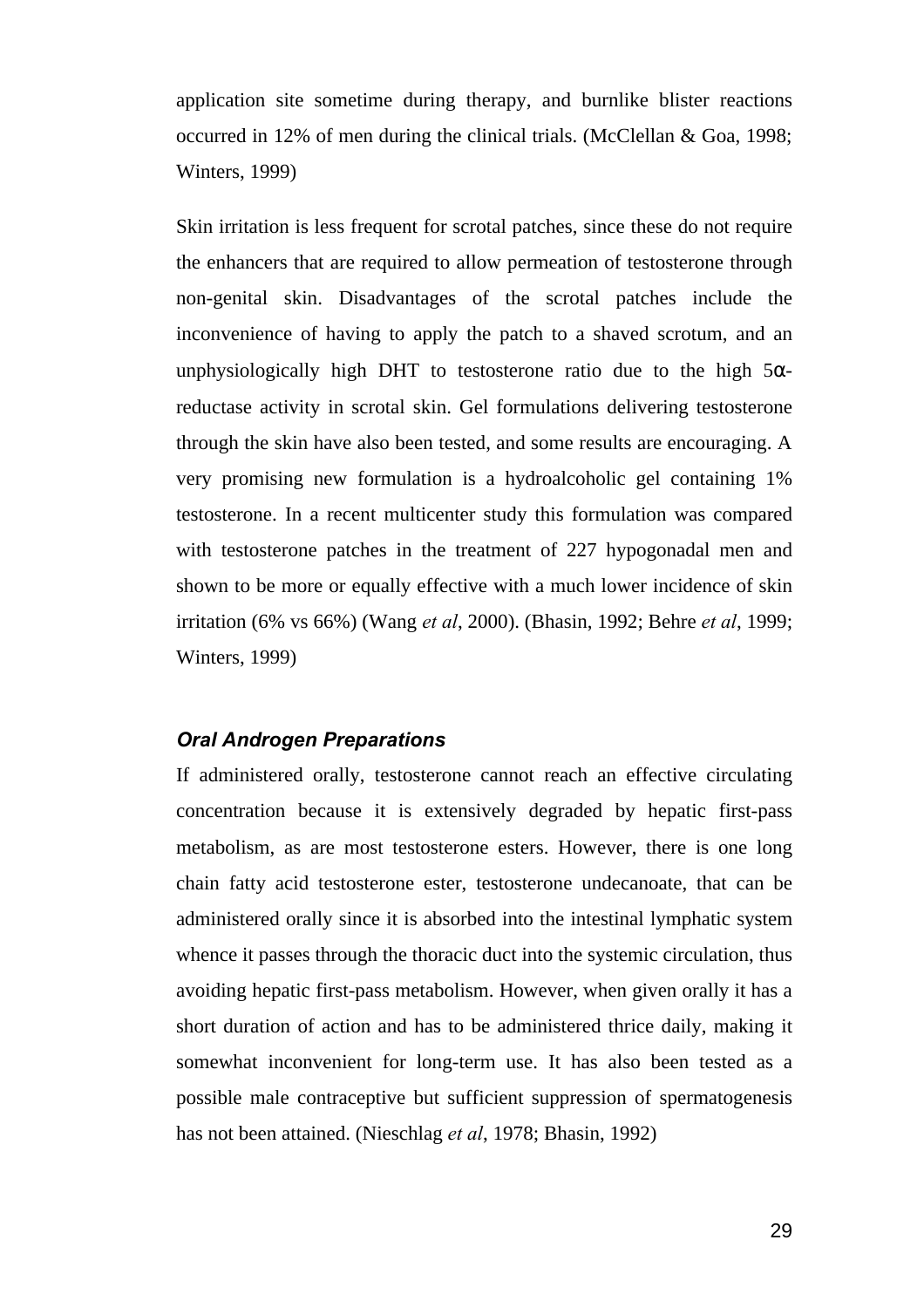application site sometime during therapy, and burnlike blister reactions occurred in 12% of men during the clinical trials. (McClellan & Goa, 1998; Winters, 1999)

Skin irritation is less frequent for scrotal patches, since these do not require the enhancers that are required to allow permeation of testosterone through non-genital skin. Disadvantages of the scrotal patches include the inconvenience of having to apply the patch to a shaved scrotum, and an unphysiologically high DHT to testosterone ratio due to the high  $5\alpha$ reductase activity in scrotal skin. Gel formulations delivering testosterone through the skin have also been tested, and some results are encouraging. A very promising new formulation is a hydroalcoholic gel containing 1% testosterone. In a recent multicenter study this formulation was compared with testosterone patches in the treatment of 227 hypogonadal men and shown to be more or equally effective with a much lower incidence of skin irritation (6% vs 66%) (Wang *et al*, 2000). (Bhasin, 1992; Behre *et al*, 1999; Winters, 1999)

#### *Oral Androgen Preparations*

If administered orally, testosterone cannot reach an effective circulating concentration because it is extensively degraded by hepatic first-pass metabolism, as are most testosterone esters. However, there is one long chain fatty acid testosterone ester, testosterone undecanoate, that can be administered orally since it is absorbed into the intestinal lymphatic system whence it passes through the thoracic duct into the systemic circulation, thus avoiding hepatic first-pass metabolism. However, when given orally it has a short duration of action and has to be administered thrice daily, making it somewhat inconvenient for long-term use. It has also been tested as a possible male contraceptive but sufficient suppression of spermatogenesis has not been attained. (Nieschlag *et al*, 1978; Bhasin, 1992)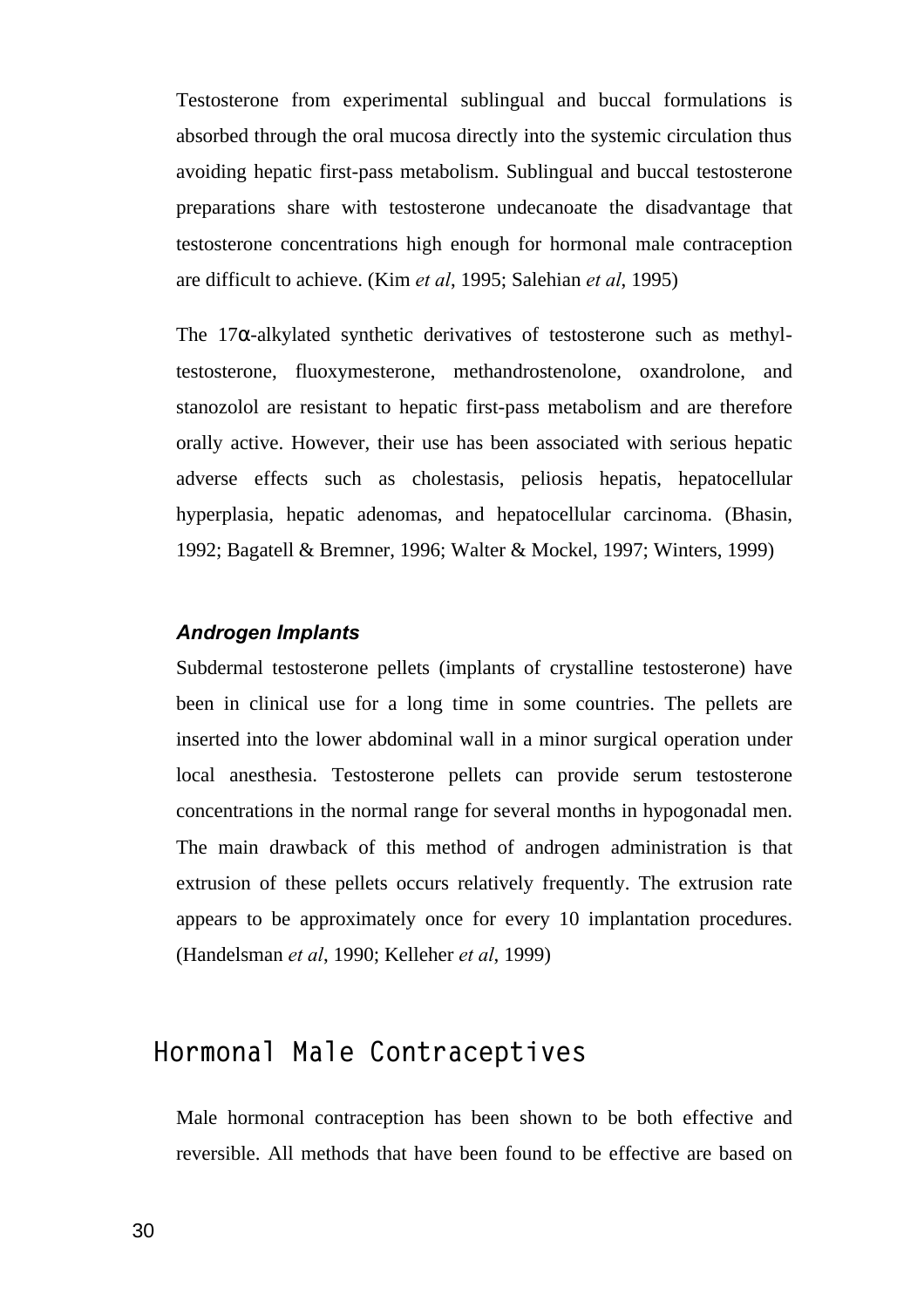Testosterone from experimental sublingual and buccal formulations is absorbed through the oral mucosa directly into the systemic circulation thus avoiding hepatic first-pass metabolism. Sublingual and buccal testosterone preparations share with testosterone undecanoate the disadvantage that testosterone concentrations high enough for hormonal male contraception are difficult to achieve. (Kim *et al*, 1995; Salehian *et al*, 1995)

The  $17\alpha$ -alkylated synthetic derivatives of testosterone such as methyltestosterone, fluoxymesterone, methandrostenolone, oxandrolone, and stanozolol are resistant to hepatic first-pass metabolism and are therefore orally active. However, their use has been associated with serious hepatic adverse effects such as cholestasis, peliosis hepatis, hepatocellular hyperplasia, hepatic adenomas, and hepatocellular carcinoma. (Bhasin, 1992; Bagatell & Bremner, 1996; Walter & Mockel, 1997; Winters, 1999)

#### *Androgen Implants*

Subdermal testosterone pellets (implants of crystalline testosterone) have been in clinical use for a long time in some countries. The pellets are inserted into the lower abdominal wall in a minor surgical operation under local anesthesia. Testosterone pellets can provide serum testosterone concentrations in the normal range for several months in hypogonadal men. The main drawback of this method of androgen administration is that extrusion of these pellets occurs relatively frequently. The extrusion rate appears to be approximately once for every 10 implantation procedures. (Handelsman *et al*, 1990; Kelleher *et al*, 1999)

### **Hormonal Male Contraceptives**

Male hormonal contraception has been shown to be both effective and reversible. All methods that have been found to be effective are based on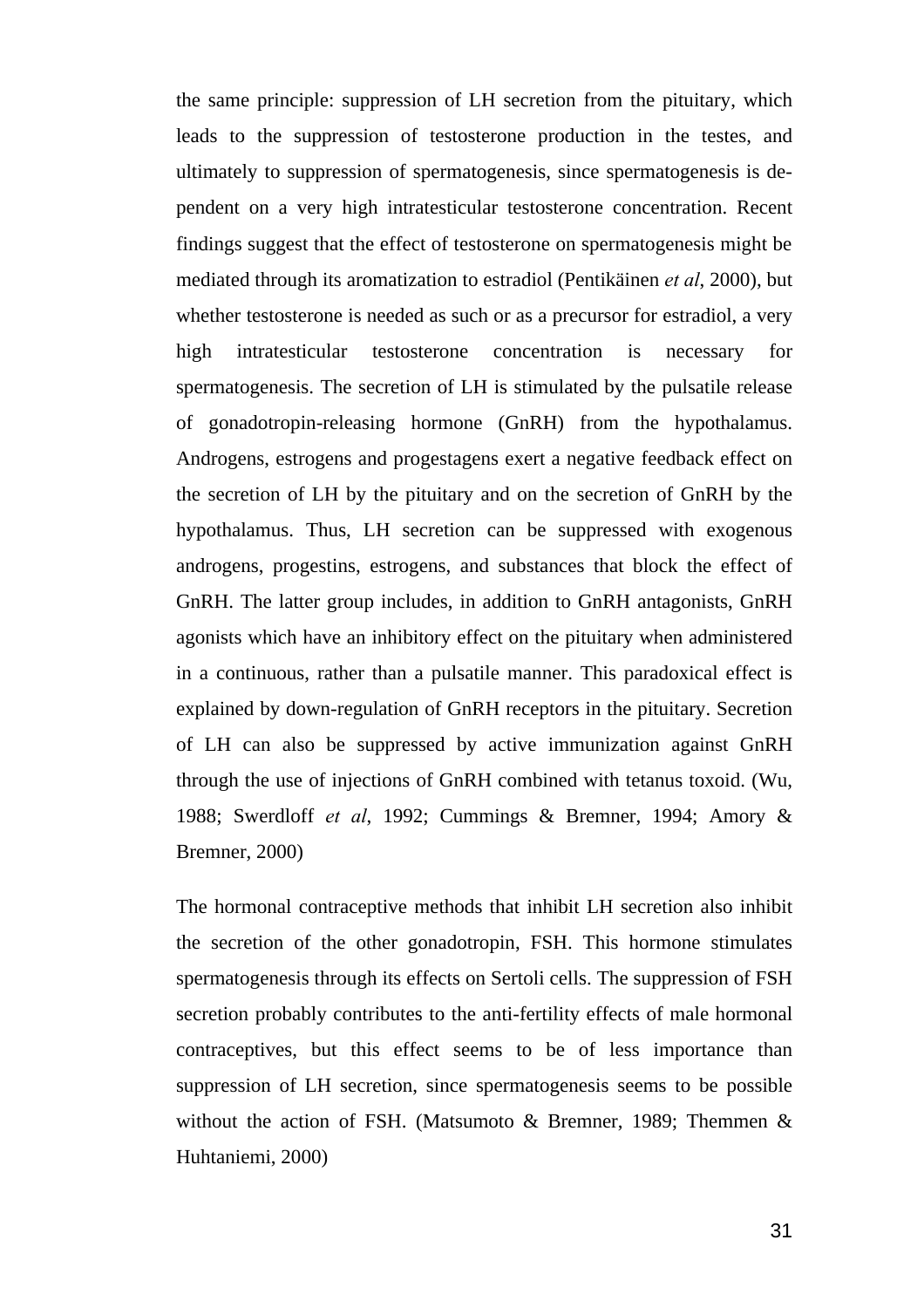the same principle: suppression of LH secretion from the pituitary, which leads to the suppression of testosterone production in the testes, and ultimately to suppression of spermatogenesis, since spermatogenesis is dependent on a very high intratesticular testosterone concentration. Recent findings suggest that the effect of testosterone on spermatogenesis might be mediated through its aromatization to estradiol (Pentikäinen *et al*, 2000), but whether testosterone is needed as such or as a precursor for estradiol, a very high intratesticular testosterone concentration is necessary for spermatogenesis. The secretion of LH is stimulated by the pulsatile release of gonadotropin-releasing hormone (GnRH) from the hypothalamus. Androgens, estrogens and progestagens exert a negative feedback effect on the secretion of LH by the pituitary and on the secretion of GnRH by the hypothalamus. Thus, LH secretion can be suppressed with exogenous androgens, progestins, estrogens, and substances that block the effect of GnRH. The latter group includes, in addition to GnRH antagonists, GnRH agonists which have an inhibitory effect on the pituitary when administered in a continuous, rather than a pulsatile manner. This paradoxical effect is explained by down-regulation of GnRH receptors in the pituitary. Secretion of LH can also be suppressed by active immunization against GnRH through the use of injections of GnRH combined with tetanus toxoid. (Wu, 1988; Swerdloff *et al*, 1992; Cummings & Bremner, 1994; Amory & Bremner, 2000)

The hormonal contraceptive methods that inhibit LH secretion also inhibit the secretion of the other gonadotropin, FSH. This hormone stimulates spermatogenesis through its effects on Sertoli cells. The suppression of FSH secretion probably contributes to the anti-fertility effects of male hormonal contraceptives, but this effect seems to be of less importance than suppression of LH secretion, since spermatogenesis seems to be possible without the action of FSH. (Matsumoto & Bremner, 1989; Themmen & Huhtaniemi, 2000)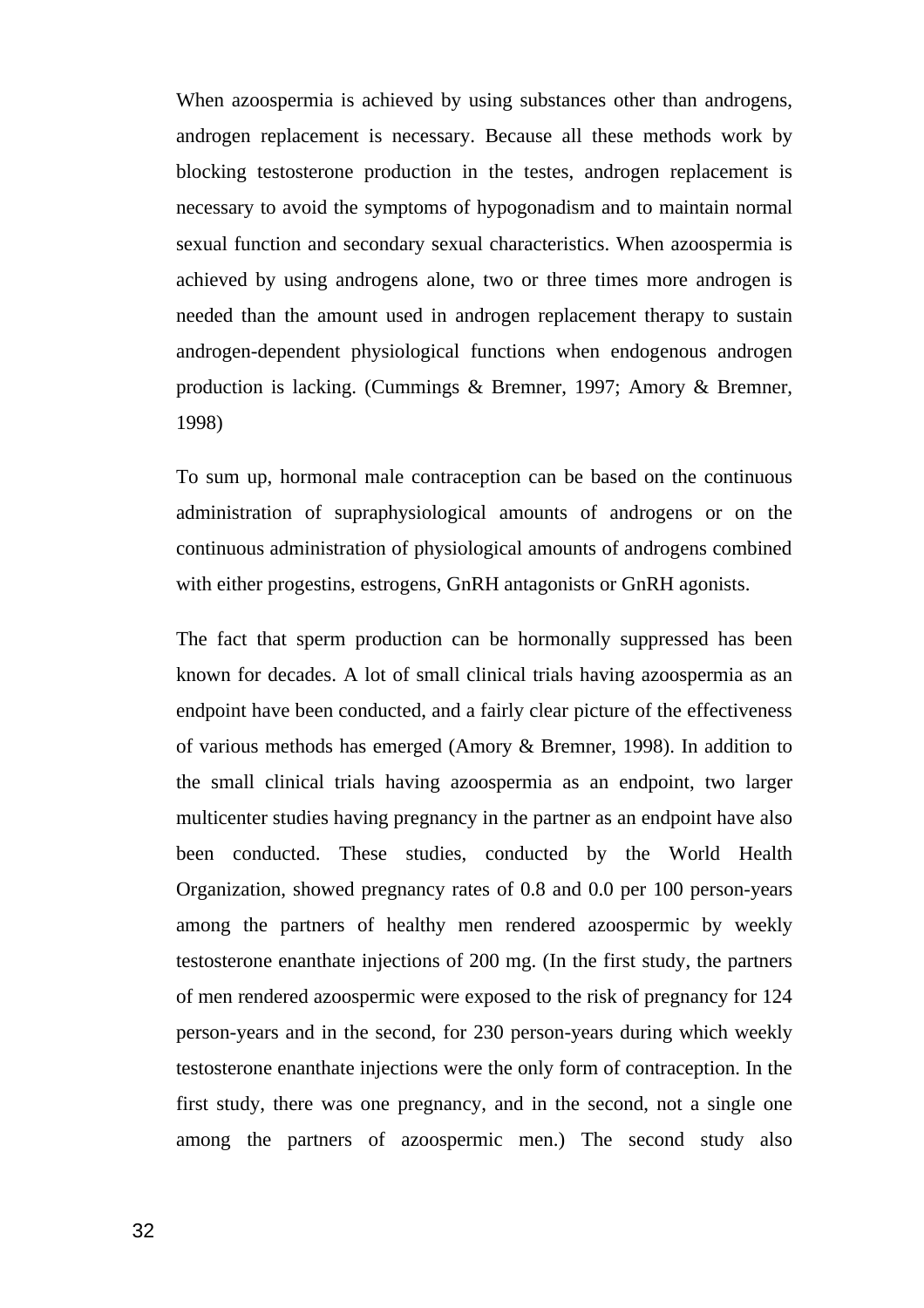When azoospermia is achieved by using substances other than androgens, androgen replacement is necessary. Because all these methods work by blocking testosterone production in the testes, androgen replacement is necessary to avoid the symptoms of hypogonadism and to maintain normal sexual function and secondary sexual characteristics. When azoospermia is achieved by using androgens alone, two or three times more androgen is needed than the amount used in androgen replacement therapy to sustain androgen-dependent physiological functions when endogenous androgen production is lacking. (Cummings & Bremner, 1997; Amory & Bremner, 1998)

To sum up, hormonal male contraception can be based on the continuous administration of supraphysiological amounts of androgens or on the continuous administration of physiological amounts of androgens combined with either progestins, estrogens, GnRH antagonists or GnRH agonists.

The fact that sperm production can be hormonally suppressed has been known for decades. A lot of small clinical trials having azoospermia as an endpoint have been conducted, and a fairly clear picture of the effectiveness of various methods has emerged (Amory & Bremner, 1998). In addition to the small clinical trials having azoospermia as an endpoint, two larger multicenter studies having pregnancy in the partner as an endpoint have also been conducted. These studies, conducted by the World Health Organization, showed pregnancy rates of 0.8 and 0.0 per 100 person-years among the partners of healthy men rendered azoospermic by weekly testosterone enanthate injections of 200 mg. (In the first study, the partners of men rendered azoospermic were exposed to the risk of pregnancy for 124 person-years and in the second, for 230 person-years during which weekly testosterone enanthate injections were the only form of contraception. In the first study, there was one pregnancy, and in the second, not a single one among the partners of azoospermic men.) The second study also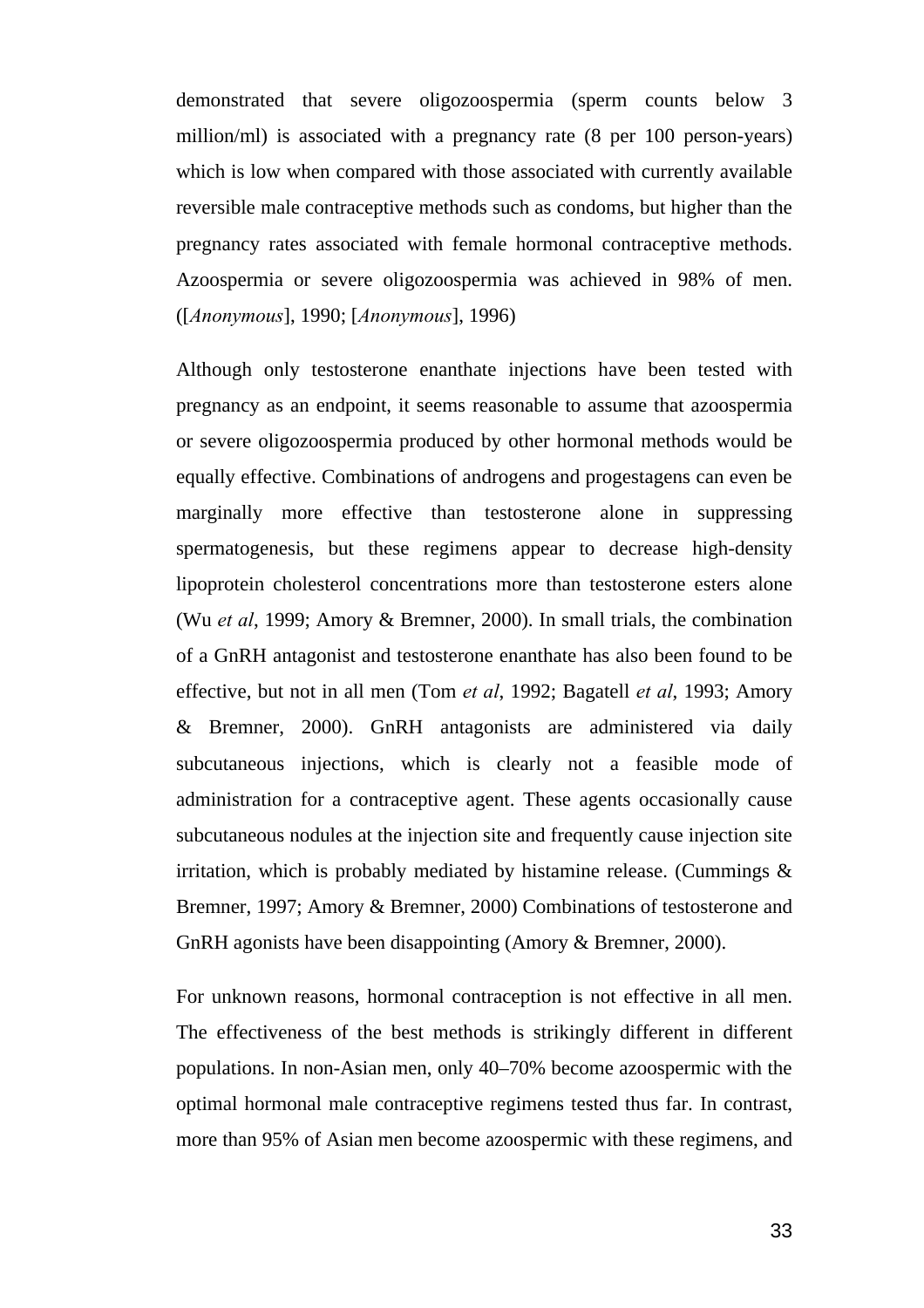demonstrated that severe oligozoospermia (sperm counts below 3 million/ml) is associated with a pregnancy rate (8 per 100 person-years) which is low when compared with those associated with currently available reversible male contraceptive methods such as condoms, but higher than the pregnancy rates associated with female hormonal contraceptive methods. Azoospermia or severe oligozoospermia was achieved in 98% of men. ([*Anonymous*], 1990; [*Anonymous*], 1996)

Although only testosterone enanthate injections have been tested with pregnancy as an endpoint, it seems reasonable to assume that azoospermia or severe oligozoospermia produced by other hormonal methods would be equally effective. Combinations of androgens and progestagens can even be marginally more effective than testosterone alone in suppressing spermatogenesis, but these regimens appear to decrease high-density lipoprotein cholesterol concentrations more than testosterone esters alone (Wu *et al*, 1999; Amory & Bremner, 2000). In small trials, the combination of a GnRH antagonist and testosterone enanthate has also been found to be effective, but not in all men (Tom *et al*, 1992; Bagatell *et al*, 1993; Amory & Bremner, 2000). GnRH antagonists are administered via daily subcutaneous injections, which is clearly not a feasible mode of administration for a contraceptive agent. These agents occasionally cause subcutaneous nodules at the injection site and frequently cause injection site irritation, which is probably mediated by histamine release. (Cummings  $\&$ Bremner, 1997; Amory & Bremner, 2000) Combinations of testosterone and GnRH agonists have been disappointing (Amory & Bremner, 2000).

For unknown reasons, hormonal contraception is not effective in all men. The effectiveness of the best methods is strikingly different in different populations. In non-Asian men, only 40–70% become azoospermic with the optimal hormonal male contraceptive regimens tested thus far. In contrast, more than 95% of Asian men become azoospermic with these regimens, and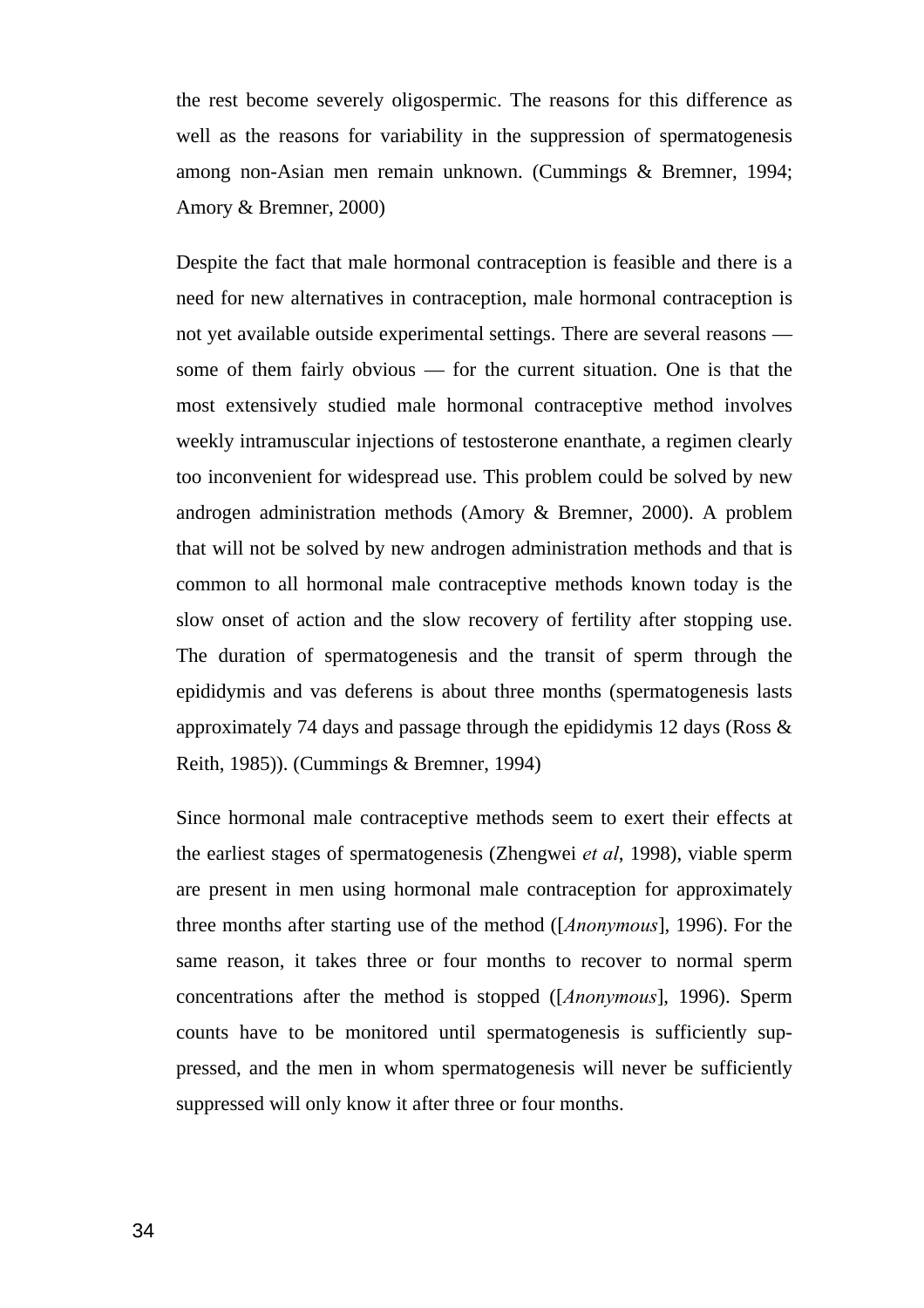the rest become severely oligospermic. The reasons for this difference as well as the reasons for variability in the suppression of spermatogenesis among non-Asian men remain unknown. (Cummings & Bremner, 1994; Amory & Bremner, 2000)

Despite the fact that male hormonal contraception is feasible and there is a need for new alternatives in contraception, male hormonal contraception is not yet available outside experimental settings. There are several reasons some of them fairly obvious — for the current situation. One is that the most extensively studied male hormonal contraceptive method involves weekly intramuscular injections of testosterone enanthate, a regimen clearly too inconvenient for widespread use. This problem could be solved by new androgen administration methods (Amory & Bremner, 2000). A problem that will not be solved by new androgen administration methods and that is common to all hormonal male contraceptive methods known today is the slow onset of action and the slow recovery of fertility after stopping use. The duration of spermatogenesis and the transit of sperm through the epididymis and vas deferens is about three months (spermatogenesis lasts approximately 74 days and passage through the epididymis 12 days (Ross & Reith, 1985)). (Cummings & Bremner, 1994)

Since hormonal male contraceptive methods seem to exert their effects at the earliest stages of spermatogenesis (Zhengwei *et al*, 1998), viable sperm are present in men using hormonal male contraception for approximately three months after starting use of the method ([*Anonymous*], 1996). For the same reason, it takes three or four months to recover to normal sperm concentrations after the method is stopped ([*Anonymous*], 1996). Sperm counts have to be monitored until spermatogenesis is sufficiently suppressed, and the men in whom spermatogenesis will never be sufficiently suppressed will only know it after three or four months.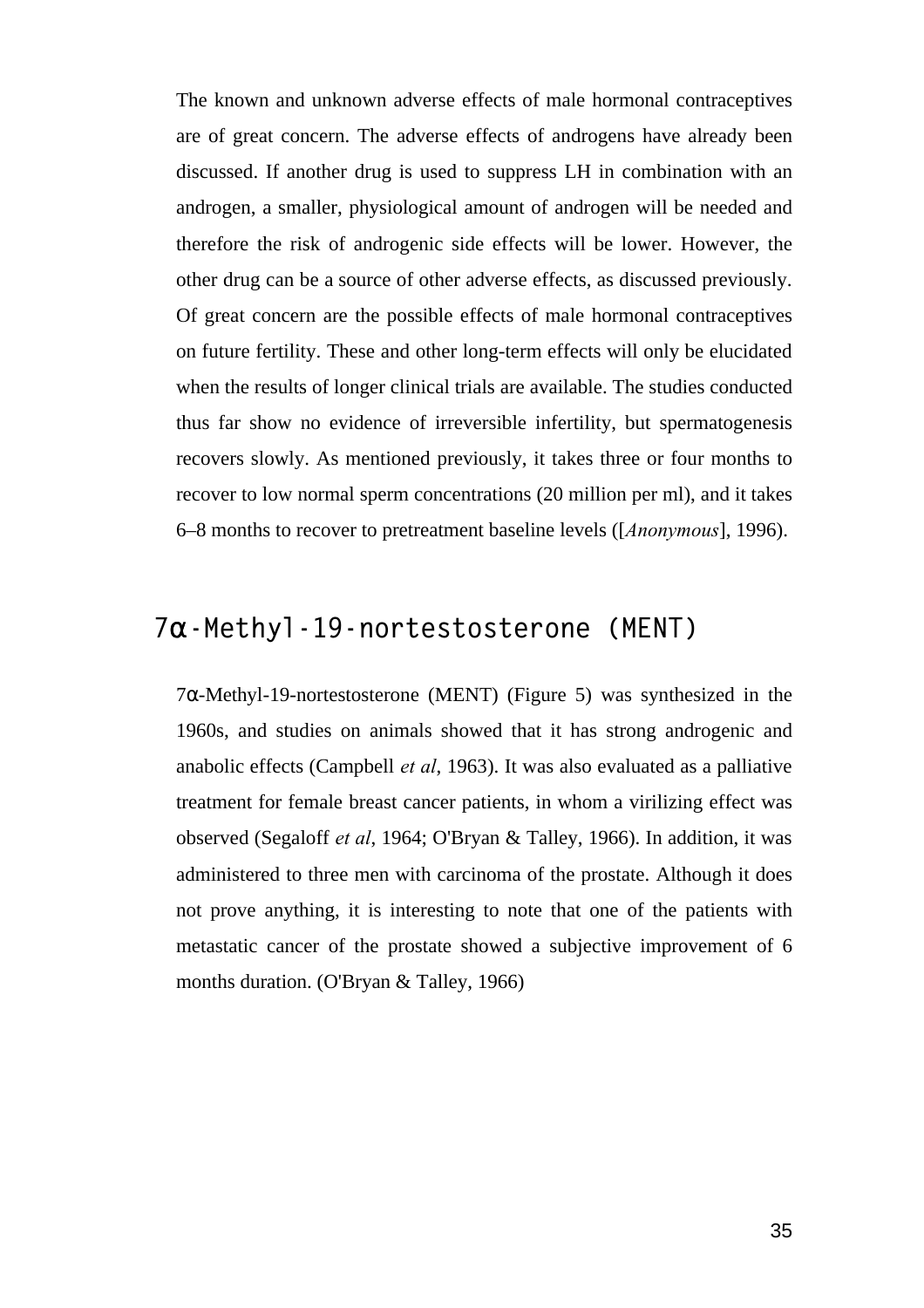The known and unknown adverse effects of male hormonal contraceptives are of great concern. The adverse effects of androgens have already been discussed. If another drug is used to suppress LH in combination with an androgen, a smaller, physiological amount of androgen will be needed and therefore the risk of androgenic side effects will be lower. However, the other drug can be a source of other adverse effects, as discussed previously. Of great concern are the possible effects of male hormonal contraceptives on future fertility. These and other long-term effects will only be elucidated when the results of longer clinical trials are available. The studies conducted thus far show no evidence of irreversible infertility, but spermatogenesis recovers slowly. As mentioned previously, it takes three or four months to recover to low normal sperm concentrations (20 million per ml), and it takes 6–8 months to recover to pretreatment baseline levels ([*Anonymous*], 1996).

### **7a-Methyl-19-nortestosterone (MENT)**

7α-Methyl-19-nortestosterone (MENT) (Figure 5) was synthesized in the 1960s, and studies on animals showed that it has strong androgenic and anabolic effects (Campbell *et al*, 1963). It was also evaluated as a palliative treatment for female breast cancer patients, in whom a virilizing effect was observed (Segaloff *et al*, 1964; O'Bryan & Talley, 1966). In addition, it was administered to three men with carcinoma of the prostate. Although it does not prove anything, it is interesting to note that one of the patients with metastatic cancer of the prostate showed a subjective improvement of 6 months duration. (O'Bryan & Talley, 1966)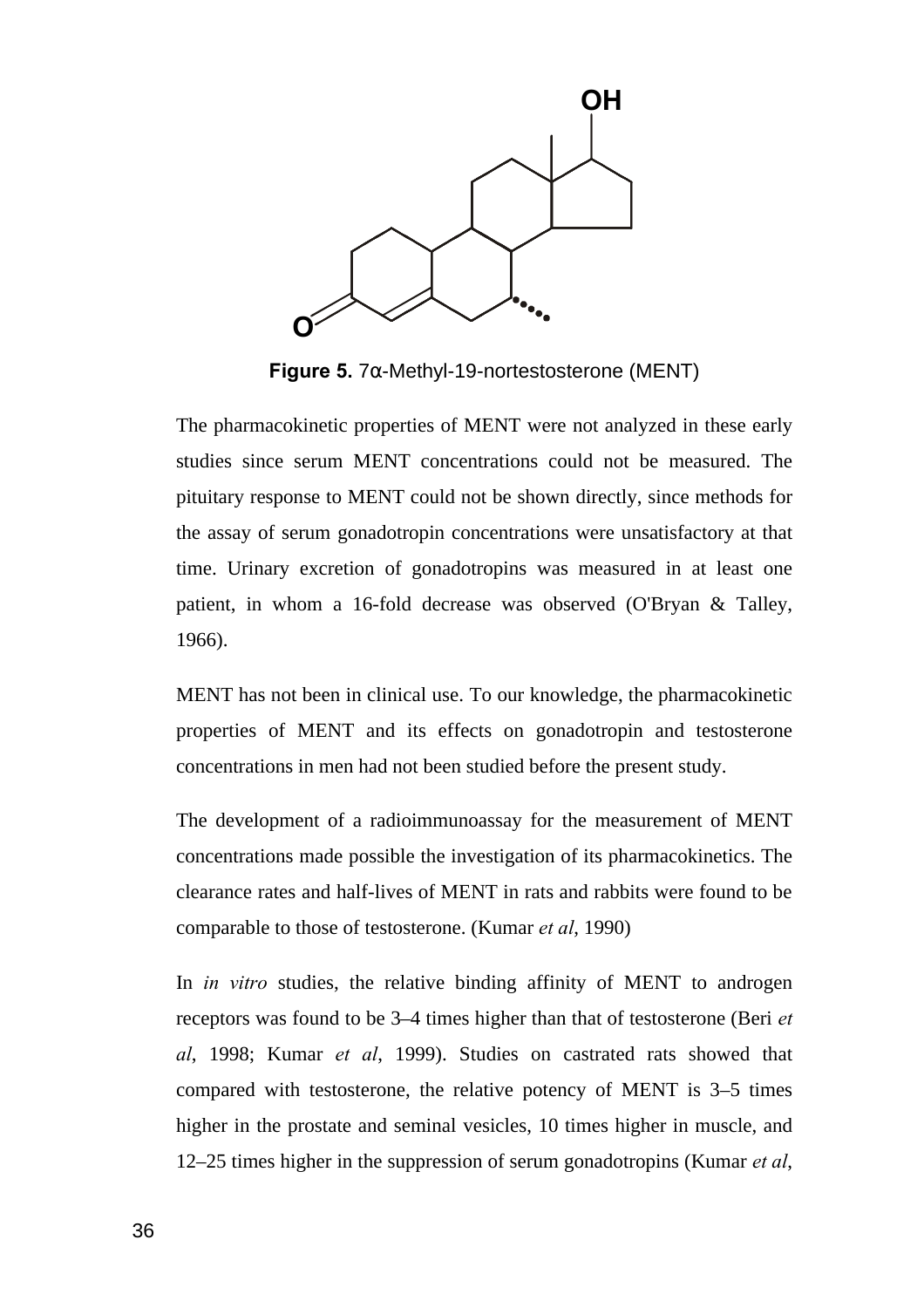

**Figure 5.** 7α-Methyl-19-nortestosterone (MENT)

The pharmacokinetic properties of MENT were not analyzed in these early studies since serum MENT concentrations could not be measured. The pituitary response to MENT could not be shown directly, since methods for the assay of serum gonadotropin concentrations were unsatisfactory at that time. Urinary excretion of gonadotropins was measured in at least one patient, in whom a 16-fold decrease was observed (O'Bryan & Talley, 1966).

MENT has not been in clinical use. To our knowledge, the pharmacokinetic properties of MENT and its effects on gonadotropin and testosterone concentrations in men had not been studied before the present study.

The development of a radioimmunoassay for the measurement of MENT concentrations made possible the investigation of its pharmacokinetics. The clearance rates and half-lives of MENT in rats and rabbits were found to be comparable to those of testosterone. (Kumar *et al*, 1990)

In *in vitro* studies, the relative binding affinity of MENT to androgen receptors was found to be 3–4 times higher than that of testosterone (Beri *et al*, 1998; Kumar *et al*, 1999). Studies on castrated rats showed that compared with testosterone, the relative potency of MENT is 3–5 times higher in the prostate and seminal vesicles, 10 times higher in muscle, and 12–25 times higher in the suppression of serum gonadotropins (Kumar *et al*,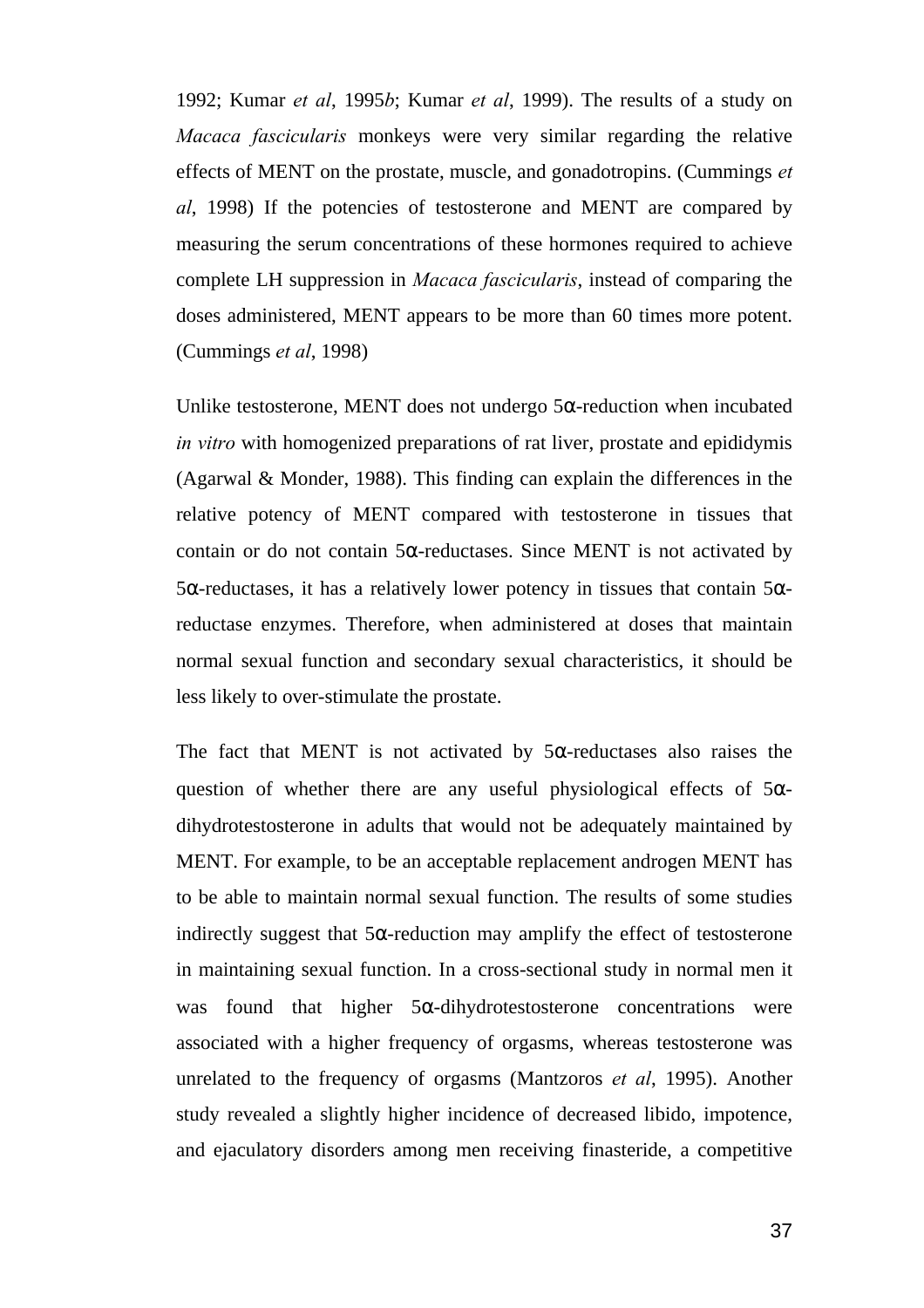1992; Kumar *et al*, 1995*b*; Kumar *et al*, 1999). The results of a study on *Macaca fascicularis* monkeys were very similar regarding the relative effects of MENT on the prostate, muscle, and gonadotropins. (Cummings *et al*, 1998) If the potencies of testosterone and MENT are compared by measuring the serum concentrations of these hormones required to achieve complete LH suppression in *Macaca fascicularis*, instead of comparing the doses administered, MENT appears to be more than 60 times more potent. (Cummings *et al*, 1998)

Unlike testosterone, MENT does not undergo  $5\alpha$ -reduction when incubated *in vitro* with homogenized preparations of rat liver, prostate and epididymis (Agarwal & Monder, 1988). This finding can explain the differences in the relative potency of MENT compared with testosterone in tissues that contain or do not contain  $5\alpha$ -reductases. Since MENT is not activated by 5α-reductases, it has a relatively lower potency in tissues that contain 5αreductase enzymes. Therefore, when administered at doses that maintain normal sexual function and secondary sexual characteristics, it should be less likely to over-stimulate the prostate.

The fact that MENT is not activated by  $5\alpha$ -reductases also raises the question of whether there are any useful physiological effects of  $5\alpha$ dihydrotestosterone in adults that would not be adequately maintained by MENT. For example, to be an acceptable replacement androgen MENT has to be able to maintain normal sexual function. The results of some studies indirectly suggest that  $5\alpha$ -reduction may amplify the effect of testosterone in maintaining sexual function. In a cross-sectional study in normal men it was found that higher  $5\alpha$ -dihydrotestosterone concentrations were associated with a higher frequency of orgasms, whereas testosterone was unrelated to the frequency of orgasms (Mantzoros *et al*, 1995). Another study revealed a slightly higher incidence of decreased libido, impotence, and ejaculatory disorders among men receiving finasteride, a competitive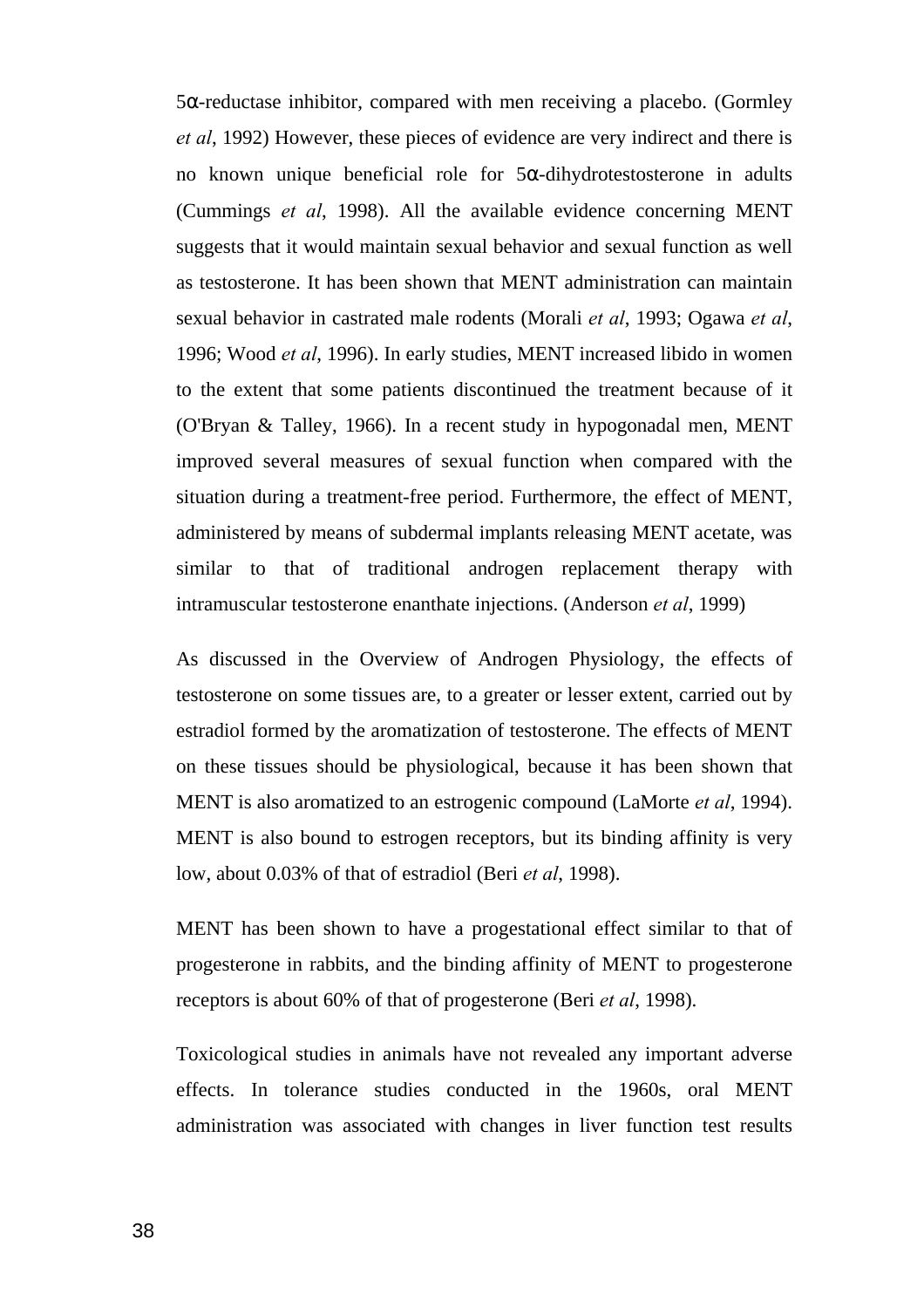5α-reductase inhibitor, compared with men receiving a placebo. (Gormley *et al*, 1992) However, these pieces of evidence are very indirect and there is no known unique beneficial role for 5α-dihydrotestosterone in adults (Cummings *et al*, 1998). All the available evidence concerning MENT suggests that it would maintain sexual behavior and sexual function as well as testosterone. It has been shown that MENT administration can maintain sexual behavior in castrated male rodents (Morali *et al*, 1993; Ogawa *et al*, 1996; Wood *et al*, 1996). In early studies, MENT increased libido in women to the extent that some patients discontinued the treatment because of it (O'Bryan & Talley, 1966). In a recent study in hypogonadal men, MENT improved several measures of sexual function when compared with the situation during a treatment-free period. Furthermore, the effect of MENT, administered by means of subdermal implants releasing MENT acetate, was similar to that of traditional androgen replacement therapy with intramuscular testosterone enanthate injections. (Anderson *et al*, 1999)

As discussed in the Overview of Androgen Physiology, the effects of testosterone on some tissues are, to a greater or lesser extent, carried out by estradiol formed by the aromatization of testosterone. The effects of MENT on these tissues should be physiological, because it has been shown that MENT is also aromatized to an estrogenic compound (LaMorte *et al*, 1994). MENT is also bound to estrogen receptors, but its binding affinity is very low, about 0.03% of that of estradiol (Beri *et al*, 1998).

MENT has been shown to have a progestational effect similar to that of progesterone in rabbits, and the binding affinity of MENT to progesterone receptors is about 60% of that of progesterone (Beri *et al*, 1998).

Toxicological studies in animals have not revealed any important adverse effects. In tolerance studies conducted in the 1960s, oral MENT administration was associated with changes in liver function test results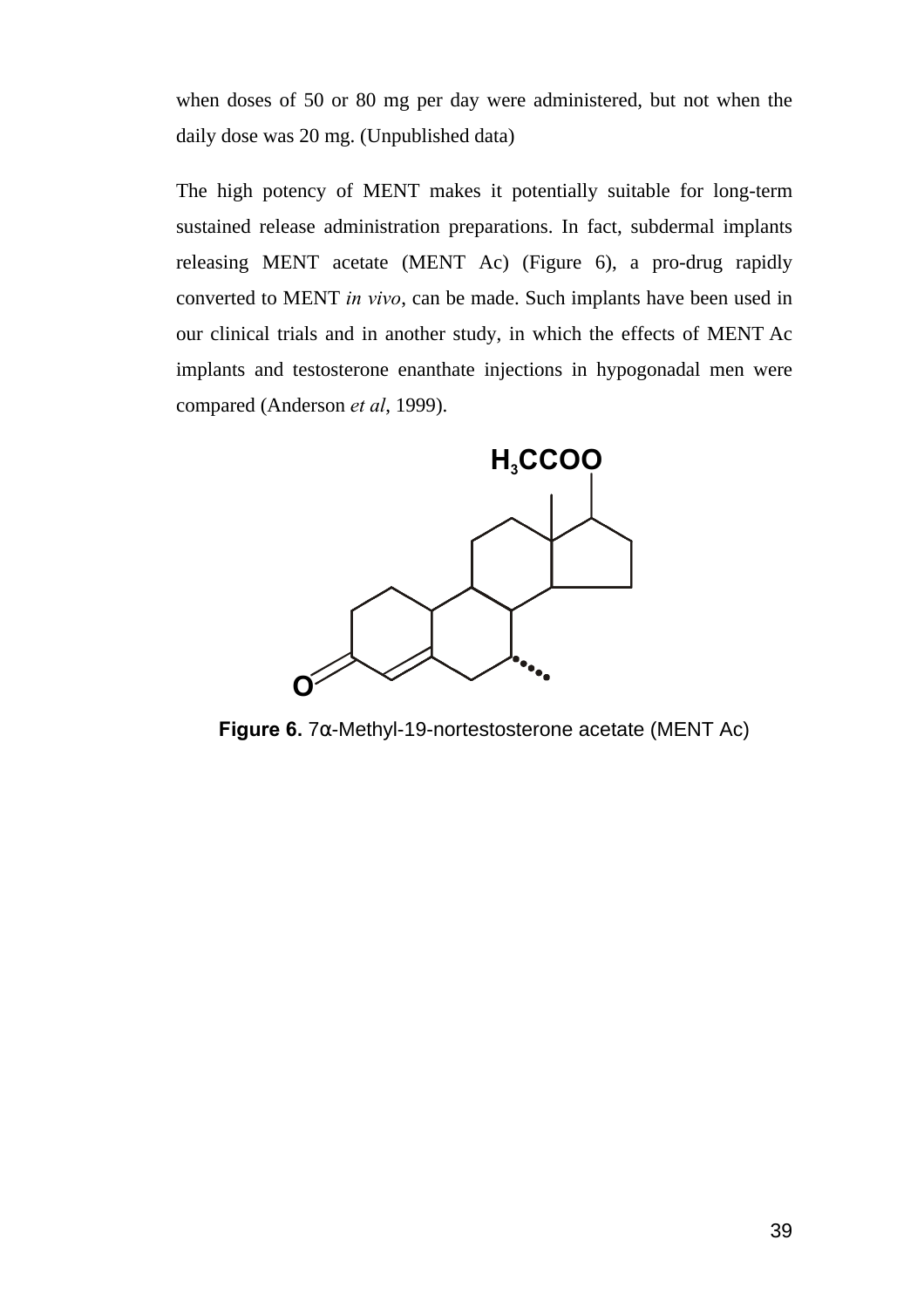when doses of 50 or 80 mg per day were administered, but not when the daily dose was 20 mg. (Unpublished data)

The high potency of MENT makes it potentially suitable for long-term sustained release administration preparations. In fact, subdermal implants releasing MENT acetate (MENT Ac) (Figure 6), a pro-drug rapidly converted to MENT *in vivo*, can be made. Such implants have been used in our clinical trials and in another study, in which the effects of MENT Ac implants and testosterone enanthate injections in hypogonadal men were compared (Anderson *et al*, 1999).



**Figure 6.** 7α-Methyl-19-nortestosterone acetate (MENT Ac)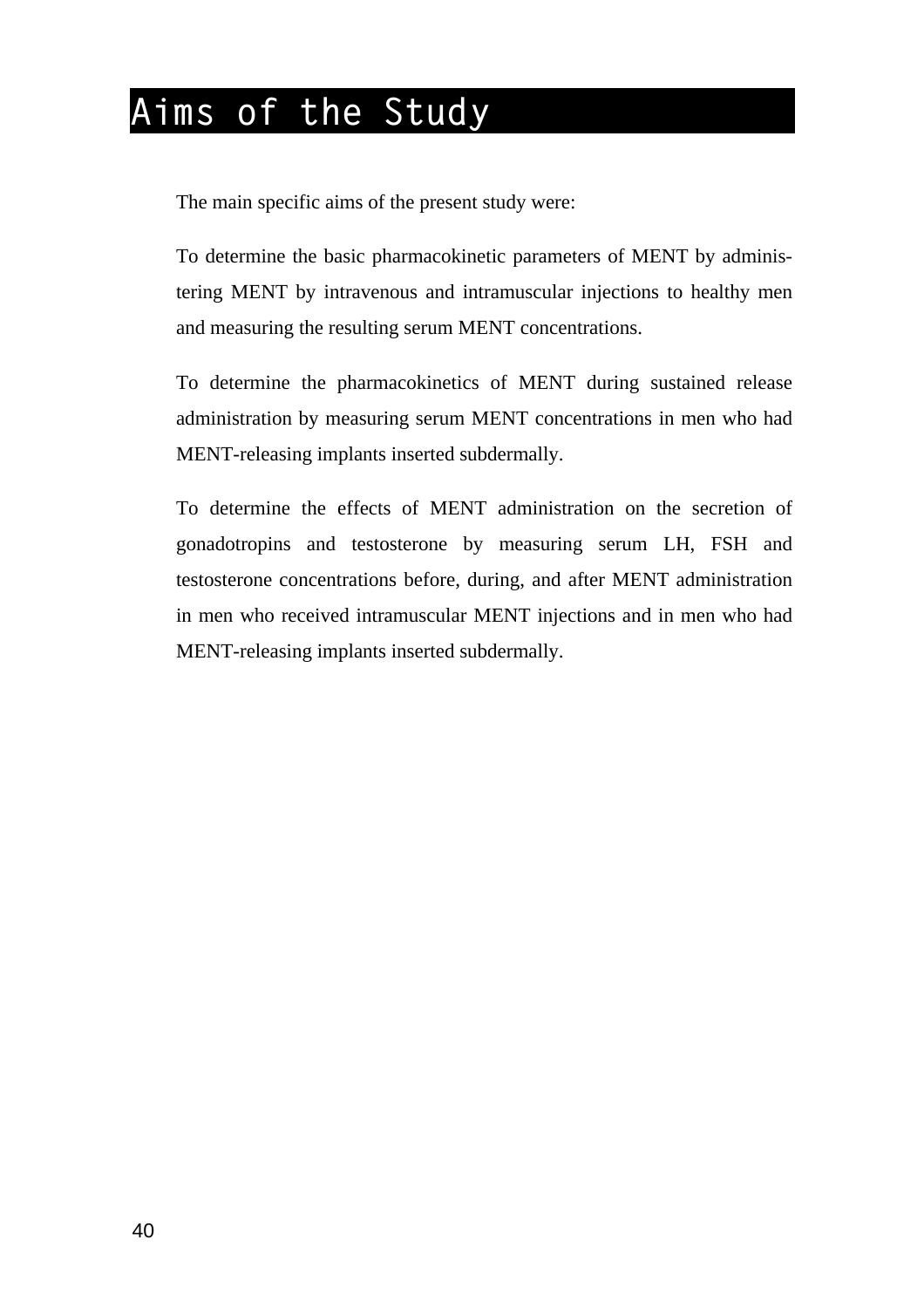# **Aims of the Study**

The main specific aims of the present study were:

To determine the basic pharmacokinetic parameters of MENT by administering MENT by intravenous and intramuscular injections to healthy men and measuring the resulting serum MENT concentrations.

To determine the pharmacokinetics of MENT during sustained release administration by measuring serum MENT concentrations in men who had MENT-releasing implants inserted subdermally.

To determine the effects of MENT administration on the secretion of gonadotropins and testosterone by measuring serum LH, FSH and testosterone concentrations before, during, and after MENT administration in men who received intramuscular MENT injections and in men who had MENT-releasing implants inserted subdermally.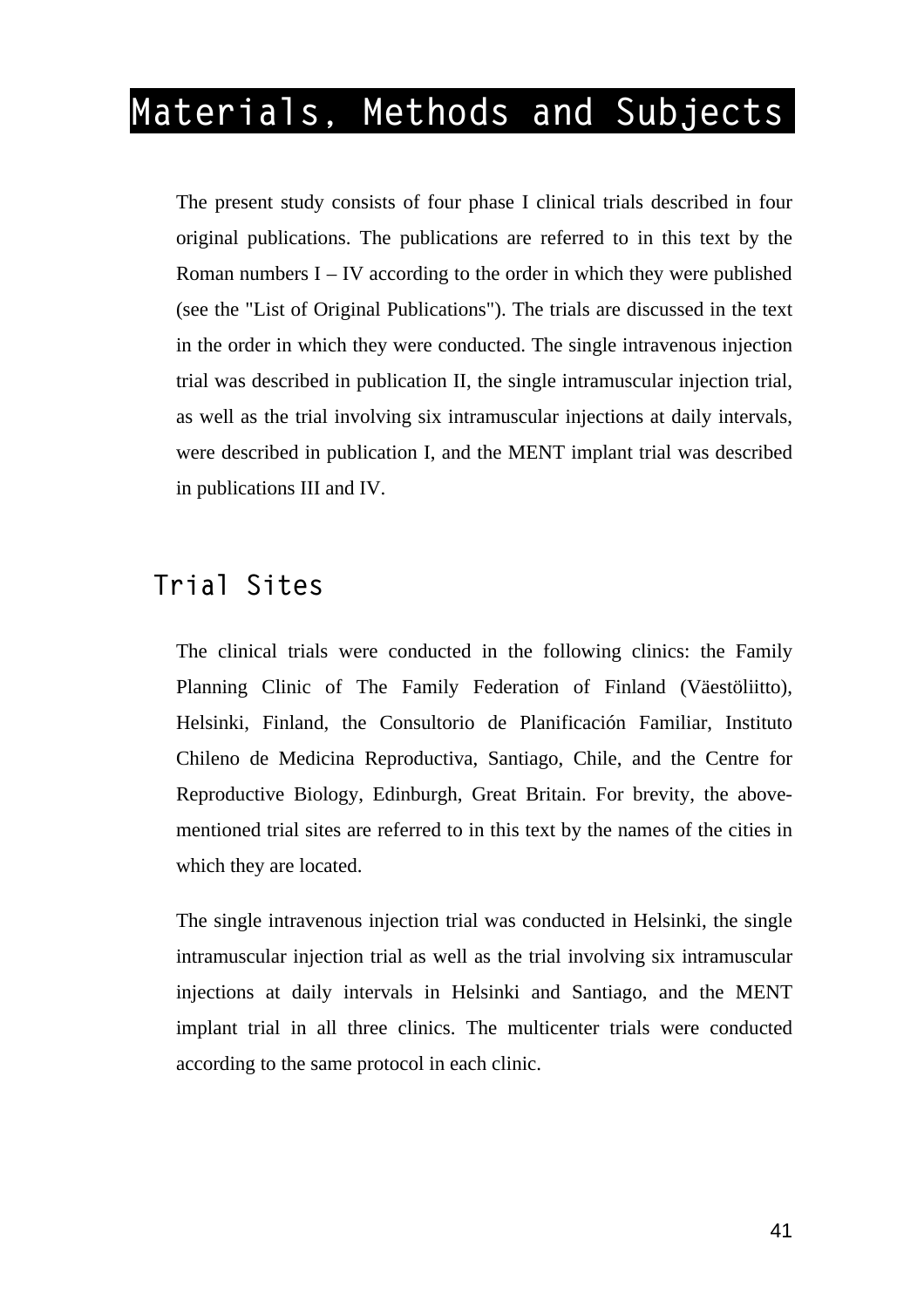# **Materials, Methods and Subjects**

The present study consists of four phase I clinical trials described in four original publications. The publications are referred to in this text by the Roman numbers  $I - IV$  according to the order in which they were published (see the "List of Original Publications"). The trials are discussed in the text in the order in which they were conducted. The single intravenous injection trial was described in publication II, the single intramuscular injection trial, as well as the trial involving six intramuscular injections at daily intervals, were described in publication I, and the MENT implant trial was described in publications III and IV.

### **Trial Sites**

The clinical trials were conducted in the following clinics: the Family Planning Clinic of The Family Federation of Finland (Väestöliitto), Helsinki, Finland, the Consultorio de Planificación Familiar, Instituto Chileno de Medicina Reproductiva, Santiago, Chile, and the Centre for Reproductive Biology, Edinburgh, Great Britain. For brevity, the abovementioned trial sites are referred to in this text by the names of the cities in which they are located.

The single intravenous injection trial was conducted in Helsinki, the single intramuscular injection trial as well as the trial involving six intramuscular injections at daily intervals in Helsinki and Santiago, and the MENT implant trial in all three clinics. The multicenter trials were conducted according to the same protocol in each clinic.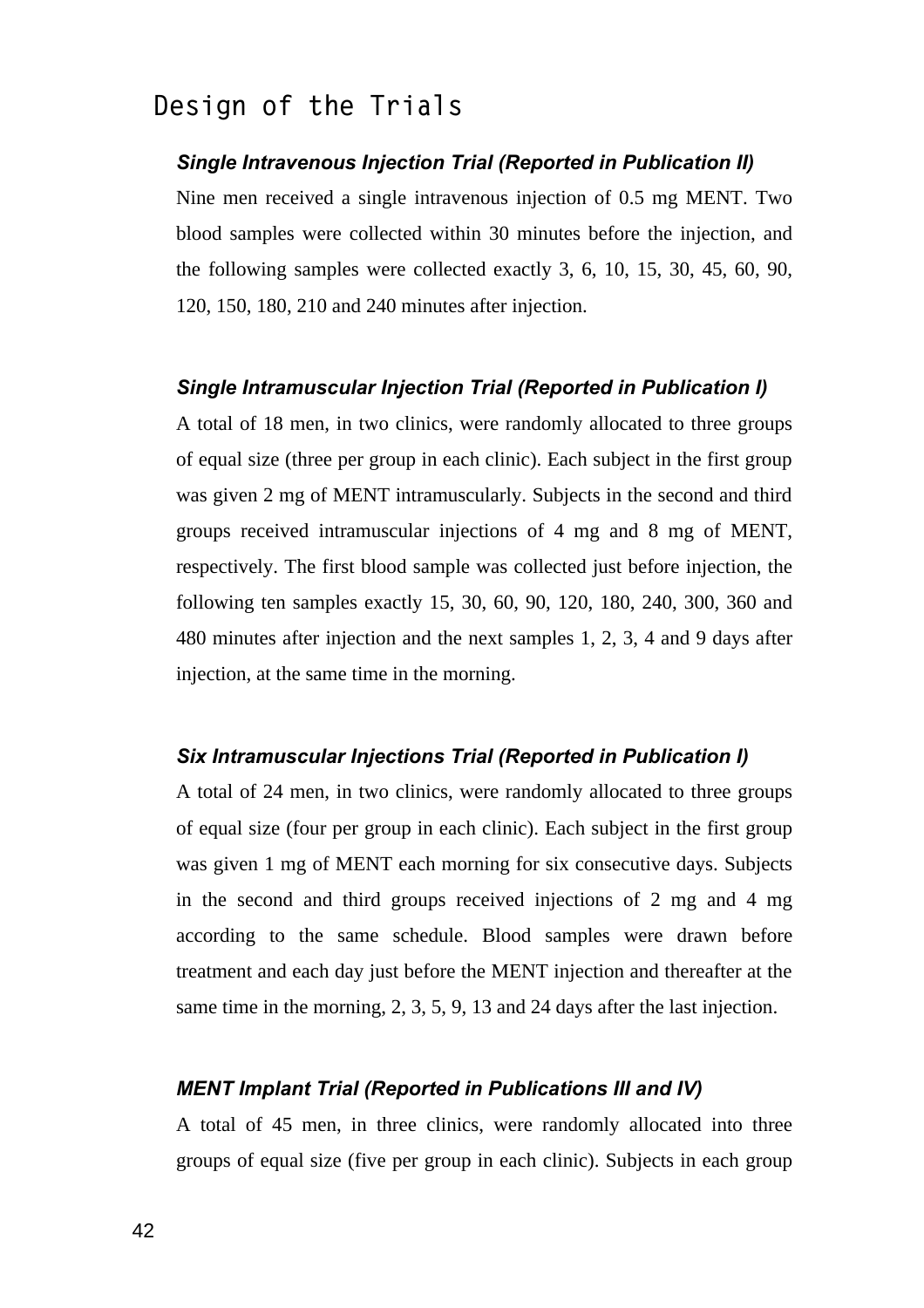### **Design of the Trials**

#### *Single Intravenous Injection Trial (Reported in Publication II)*

Nine men received a single intravenous injection of 0.5 mg MENT. Two blood samples were collected within 30 minutes before the injection, and the following samples were collected exactly 3, 6, 10, 15, 30, 45, 60, 90, 120, 150, 180, 210 and 240 minutes after injection.

#### *Single Intramuscular Injection Trial (Reported in Publication I)*

A total of 18 men, in two clinics, were randomly allocated to three groups of equal size (three per group in each clinic). Each subject in the first group was given 2 mg of MENT intramuscularly. Subjects in the second and third groups received intramuscular injections of 4 mg and 8 mg of MENT, respectively. The first blood sample was collected just before injection, the following ten samples exactly 15, 30, 60, 90, 120, 180, 240, 300, 360 and 480 minutes after injection and the next samples 1, 2, 3, 4 and 9 days after injection, at the same time in the morning.

#### *Six Intramuscular Injections Trial (Reported in Publication I)*

A total of 24 men, in two clinics, were randomly allocated to three groups of equal size (four per group in each clinic). Each subject in the first group was given 1 mg of MENT each morning for six consecutive days. Subjects in the second and third groups received injections of 2 mg and 4 mg according to the same schedule. Blood samples were drawn before treatment and each day just before the MENT injection and thereafter at the same time in the morning, 2, 3, 5, 9, 13 and 24 days after the last injection.

#### *MENT Implant Trial (Reported in Publications III and IV)*

A total of 45 men, in three clinics, were randomly allocated into three groups of equal size (five per group in each clinic). Subjects in each group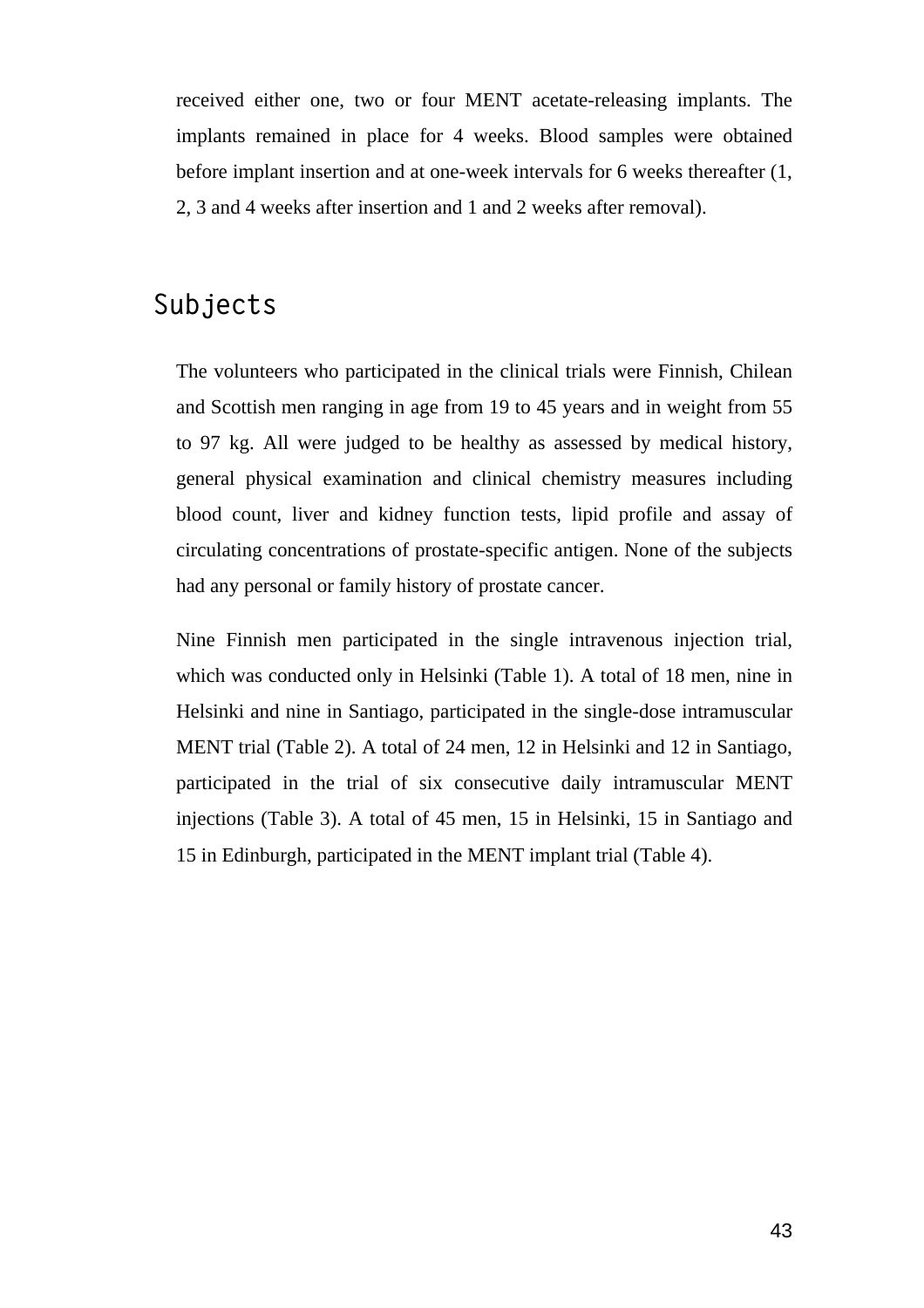received either one, two or four MENT acetate-releasing implants. The implants remained in place for 4 weeks. Blood samples were obtained before implant insertion and at one-week intervals for 6 weeks thereafter (1, 2, 3 and 4 weeks after insertion and 1 and 2 weeks after removal).

### **Subjects**

The volunteers who participated in the clinical trials were Finnish, Chilean and Scottish men ranging in age from 19 to 45 years and in weight from 55 to 97 kg. All were judged to be healthy as assessed by medical history, general physical examination and clinical chemistry measures including blood count, liver and kidney function tests, lipid profile and assay of circulating concentrations of prostate-specific antigen. None of the subjects had any personal or family history of prostate cancer.

Nine Finnish men participated in the single intravenous injection trial, which was conducted only in Helsinki (Table 1). A total of 18 men, nine in Helsinki and nine in Santiago, participated in the single-dose intramuscular MENT trial (Table 2). A total of 24 men, 12 in Helsinki and 12 in Santiago, participated in the trial of six consecutive daily intramuscular MENT injections (Table 3). A total of 45 men, 15 in Helsinki, 15 in Santiago and 15 in Edinburgh, participated in the MENT implant trial (Table 4).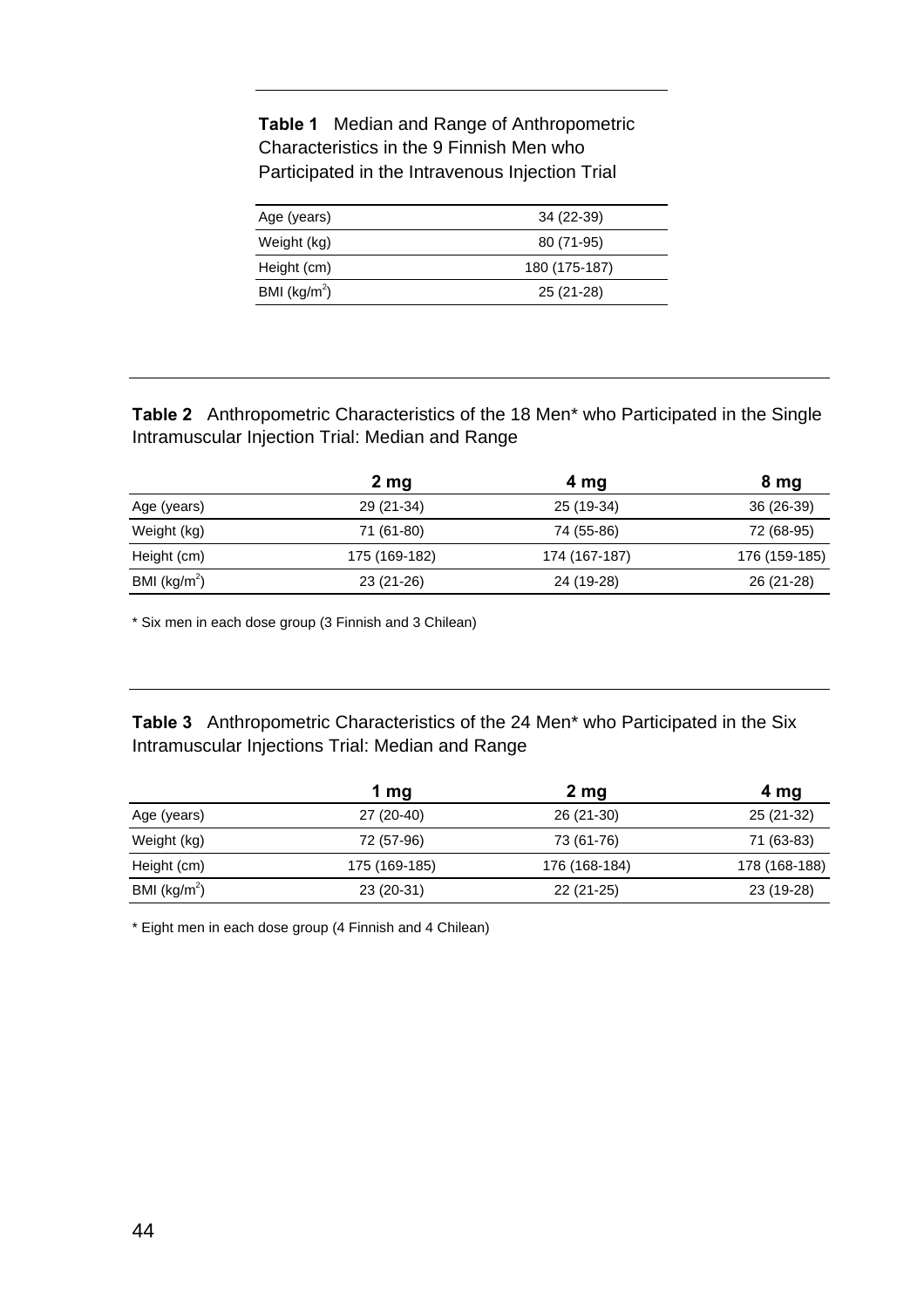**Table 1** Median and Range of Anthropometric Characteristics in the 9 Finnish Men who Participated in the Intravenous Injection Trial

| Age (years)     | 34 (22-39)    |
|-----------------|---------------|
| Weight (kg)     | 80 (71-95)    |
| Height (cm)     | 180 (175-187) |
| BMI ( $kg/m2$ ) | 25 (21-28)    |

**Table 2** Anthropometric Characteristics of the 18 Men\* who Participated in the Single Intramuscular Injection Trial: Median and Range

|                 | 2 <sub>mg</sub> | 4 mg          | 8 mg          |
|-----------------|-----------------|---------------|---------------|
| Age (years)     | 29 (21-34)      | 25 (19-34)    | 36 (26-39)    |
| Weight (kg)     | 71 (61-80)      | 74 (55-86)    | 72 (68-95)    |
| Height (cm)     | 175 (169-182)   | 174 (167-187) | 176 (159-185) |
| BMI ( $kg/m2$ ) | 23 (21-26)      | 24 (19-28)    | 26 (21-28)    |

\* Six men in each dose group (3 Finnish and 3 Chilean)

**Table 3** Anthropometric Characteristics of the 24 Men\* who Participated in the Six Intramuscular Injections Trial: Median and Range

|                 | 1 mg          | 2 <sub>mg</sub> | 4 mg          |
|-----------------|---------------|-----------------|---------------|
| Age (years)     | 27 (20-40)    | 26 (21-30)      | 25 (21-32)    |
| Weight (kg)     | 72 (57-96)    | 73 (61-76)      | 71 (63-83)    |
| Height (cm)     | 175 (169-185) | 176 (168-184)   | 178 (168-188) |
| BMI ( $kg/m2$ ) | 23 (20-31)    | $22(21-25)$     | 23 (19-28)    |

\* Eight men in each dose group (4 Finnish and 4 Chilean)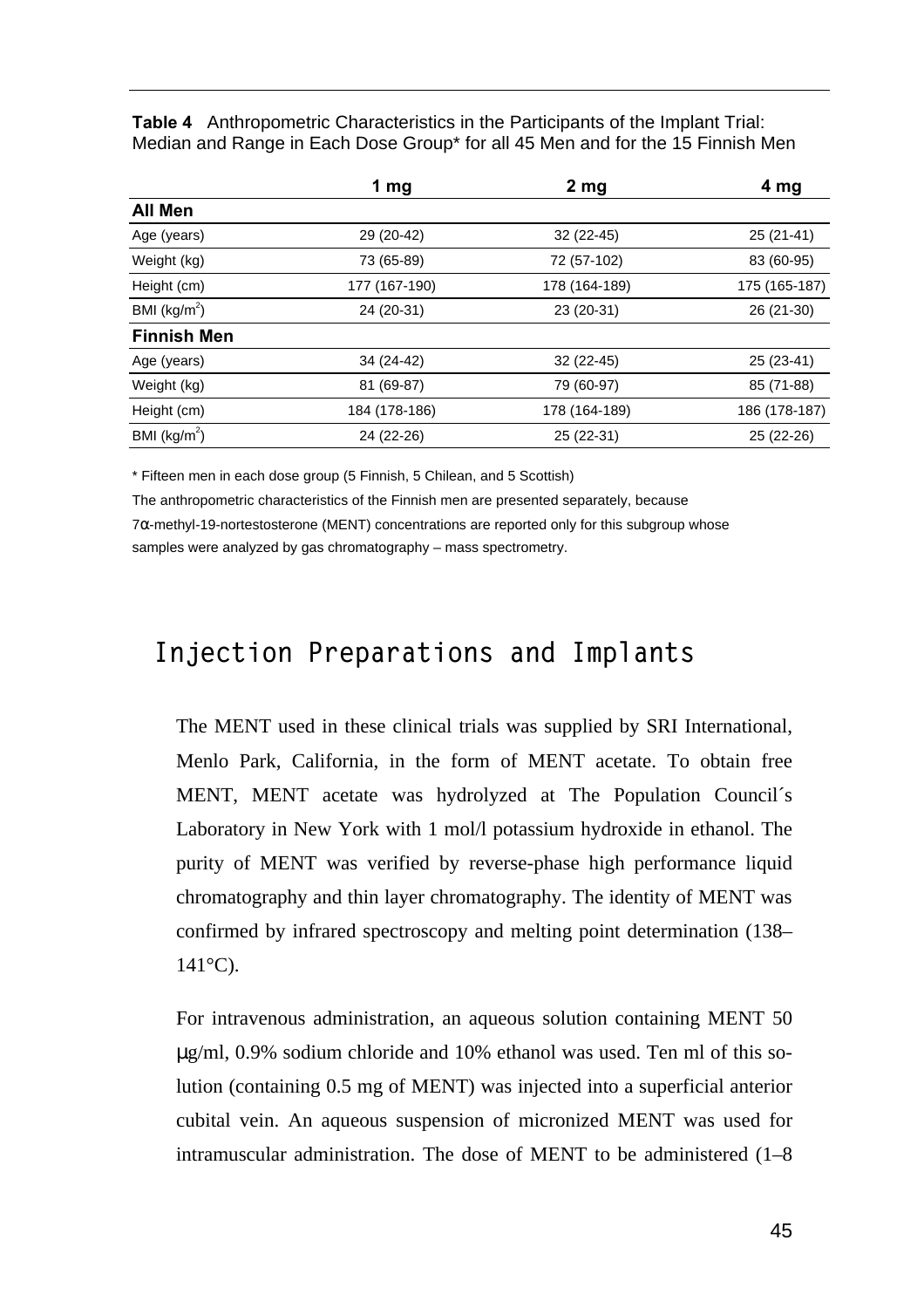**Table 4** Anthropometric Characteristics in the Participants of the Implant Trial: Median and Range in Each Dose Group\* for all 45 Men and for the 15 Finnish Men

|                    | 1 mg          | 2 <sub>mg</sub> | 4 mg          |
|--------------------|---------------|-----------------|---------------|
| All Men            |               |                 |               |
| Age (years)        | 29 (20-42)    | $32(22-45)$     | $25(21-41)$   |
| Weight (kg)        | 73 (65-89)    | 72 (57-102)     | 83 (60-95)    |
| Height (cm)        | 177 (167-190) | 178 (164-189)   | 175 (165-187) |
| BMI $(kg/m2)$      | 24 (20-31)    | 23 (20-31)      | 26 (21-30)    |
| <b>Finnish Men</b> |               |                 |               |
| Age (years)        | 34 (24-42)    | $32(22-45)$     | 25 (23-41)    |
| Weight (kg)        | 81 (69-87)    | 79 (60-97)      | 85 (71-88)    |
| Height (cm)        | 184 (178-186) | 178 (164-189)   | 186 (178-187) |
| BMI ( $kg/m2$ )    | 24 (22-26)    | 25 (22-31)      | 25 (22-26)    |

\* Fifteen men in each dose group (5 Finnish, 5 Chilean, and 5 Scottish)

The anthropometric characteristics of the Finnish men are presented separately, because 7α-methyl-19-nortestosterone (MENT) concentrations are reported only for this subgroup whose samples were analyzed by gas chromatography – mass spectrometry.

### **Injection Preparations and Implants**

The MENT used in these clinical trials was supplied by SRI International, Menlo Park, California, in the form of MENT acetate. To obtain free MENT, MENT acetate was hydrolyzed at The Population Council´s Laboratory in New York with 1 mol/l potassium hydroxide in ethanol. The purity of MENT was verified by reverse-phase high performance liquid chromatography and thin layer chromatography. The identity of MENT was confirmed by infrared spectroscopy and melting point determination (138–  $141^{\circ}$ C).

For intravenous administration, an aqueous solution containing MENT 50 μg/ml, 0.9% sodium chloride and 10% ethanol was used. Ten ml of this solution (containing 0.5 mg of MENT) was injected into a superficial anterior cubital vein. An aqueous suspension of micronized MENT was used for intramuscular administration. The dose of MENT to be administered (1–8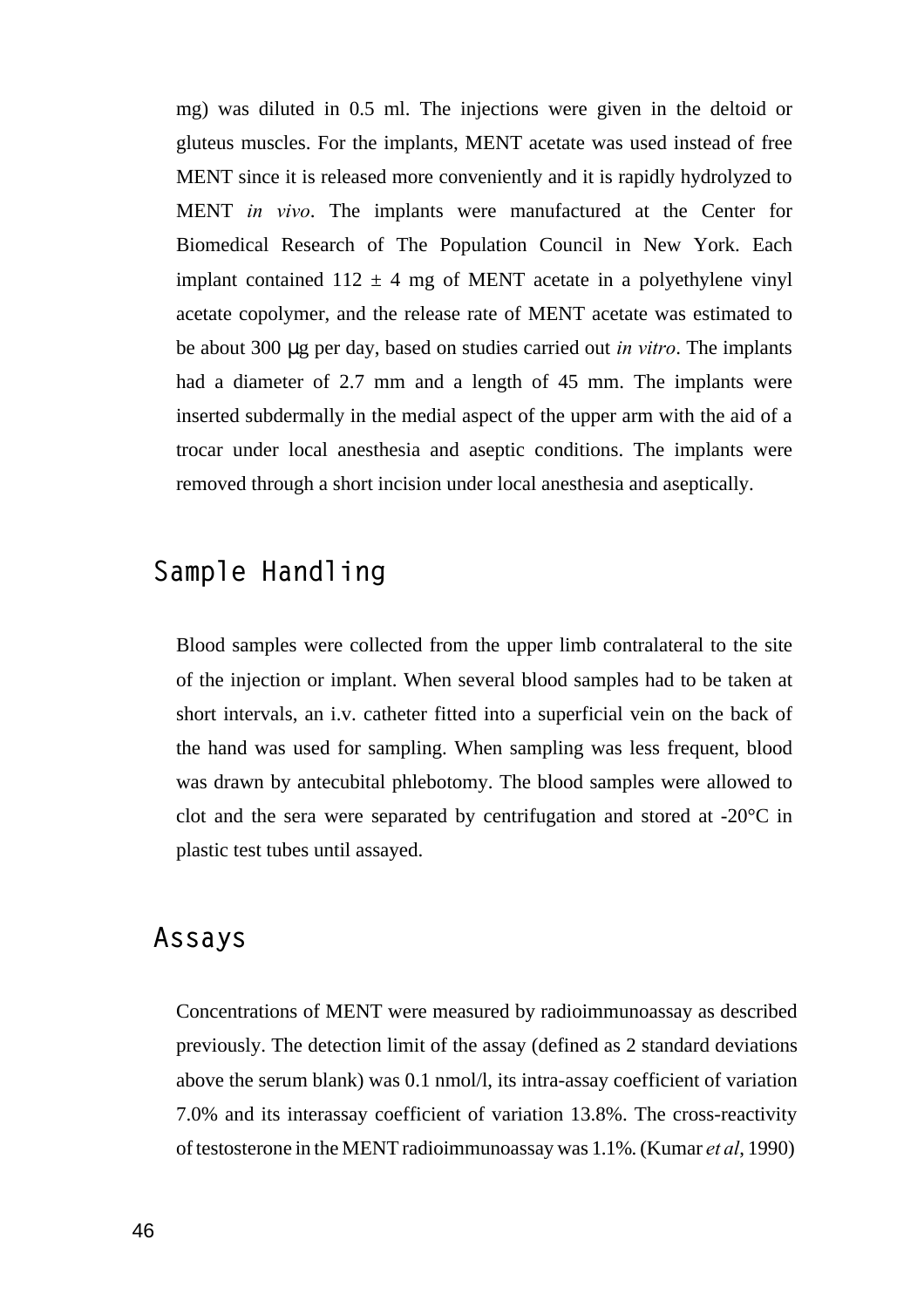mg) was diluted in 0.5 ml. The injections were given in the deltoid or gluteus muscles. For the implants, MENT acetate was used instead of free MENT since it is released more conveniently and it is rapidly hydrolyzed to MENT *in vivo*. The implants were manufactured at the Center for Biomedical Research of The Population Council in New York. Each implant contained  $112 \pm 4$  mg of MENT acetate in a polyethylene vinyl acetate copolymer, and the release rate of MENT acetate was estimated to be about 300 μg per day, based on studies carried out *in vitro*. The implants had a diameter of 2.7 mm and a length of 45 mm. The implants were inserted subdermally in the medial aspect of the upper arm with the aid of a trocar under local anesthesia and aseptic conditions. The implants were removed through a short incision under local anesthesia and aseptically.

### **Sample Handling**

Blood samples were collected from the upper limb contralateral to the site of the injection or implant. When several blood samples had to be taken at short intervals, an i.v. catheter fitted into a superficial vein on the back of the hand was used for sampling. When sampling was less frequent, blood was drawn by antecubital phlebotomy. The blood samples were allowed to clot and the sera were separated by centrifugation and stored at -20°C in plastic test tubes until assayed.

### **Assays**

Concentrations of MENT were measured by radioimmunoassay as described previously. The detection limit of the assay (defined as 2 standard deviations above the serum blank) was 0.1 nmol/l, its intra-assay coefficient of variation 7.0% and its interassay coefficient of variation 13.8%. The cross-reactivity of testosterone in the MENT radioimmunoassay was 1.1%. (Kumar *et al*, 1990)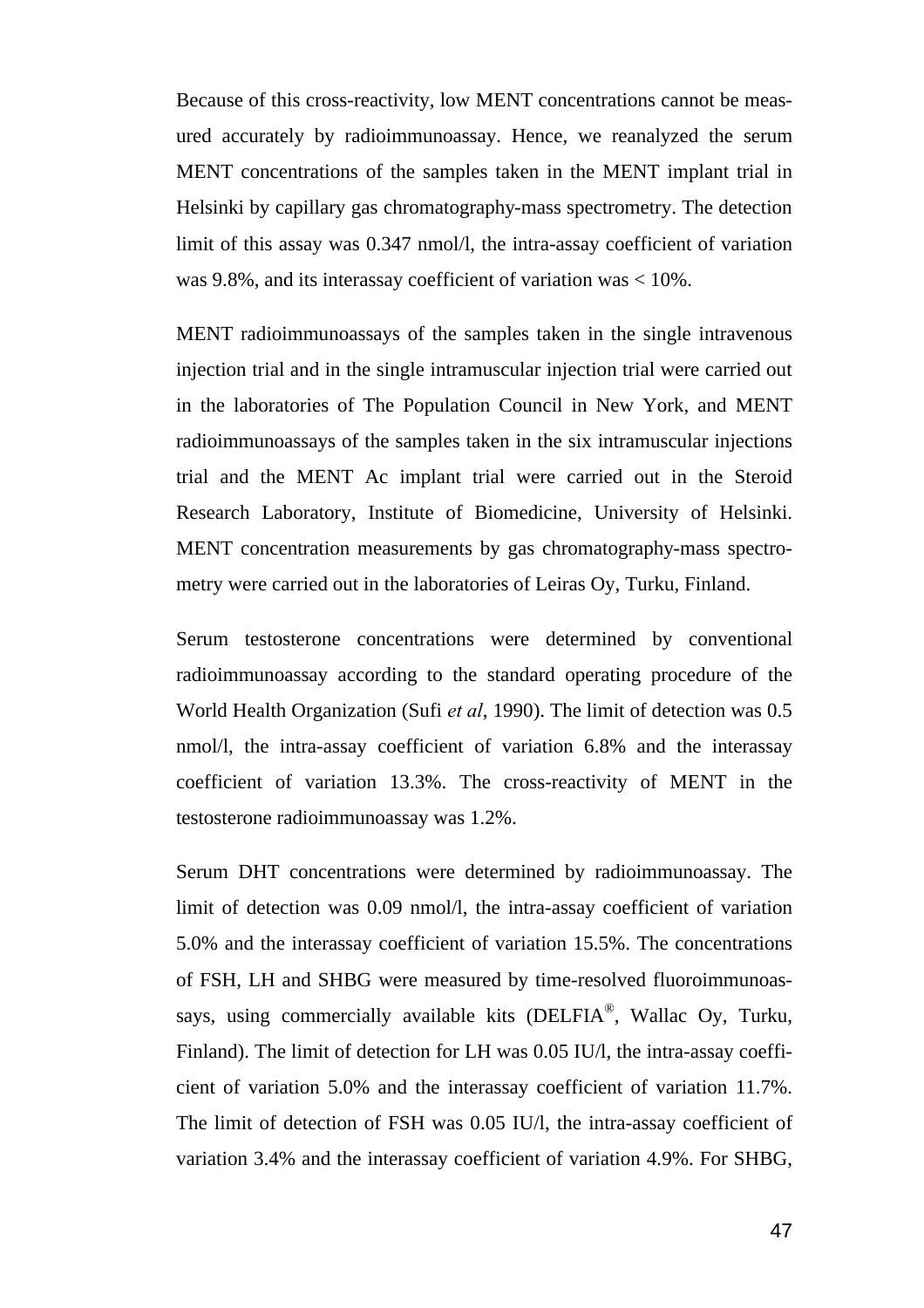Because of this cross-reactivity, low MENT concentrations cannot be measured accurately by radioimmunoassay. Hence, we reanalyzed the serum MENT concentrations of the samples taken in the MENT implant trial in Helsinki by capillary gas chromatography-mass spectrometry. The detection limit of this assay was 0.347 nmol/l, the intra-assay coefficient of variation was 9.8%, and its interassay coefficient of variation was < 10%.

MENT radioimmunoassays of the samples taken in the single intravenous injection trial and in the single intramuscular injection trial were carried out in the laboratories of The Population Council in New York, and MENT radioimmunoassays of the samples taken in the six intramuscular injections trial and the MENT Ac implant trial were carried out in the Steroid Research Laboratory, Institute of Biomedicine, University of Helsinki. MENT concentration measurements by gas chromatography-mass spectrometry were carried out in the laboratories of Leiras Oy, Turku, Finland.

Serum testosterone concentrations were determined by conventional radioimmunoassay according to the standard operating procedure of the World Health Organization (Sufi *et al*, 1990). The limit of detection was 0.5 nmol/l, the intra-assay coefficient of variation 6.8% and the interassay coefficient of variation 13.3%. The cross-reactivity of MENT in the testosterone radioimmunoassay was 1.2%.

Serum DHT concentrations were determined by radioimmunoassay. The limit of detection was 0.09 nmol/l, the intra-assay coefficient of variation 5.0% and the interassay coefficient of variation 15.5%. The concentrations of FSH, LH and SHBG were measured by time-resolved fluoroimmunoassays, using commercially available kits (DELFIA®, Wallac Oy, Turku, Finland). The limit of detection for LH was 0.05 IU/l, the intra-assay coefficient of variation 5.0% and the interassay coefficient of variation 11.7%. The limit of detection of FSH was 0.05 IU/l, the intra-assay coefficient of variation 3.4% and the interassay coefficient of variation 4.9%. For SHBG,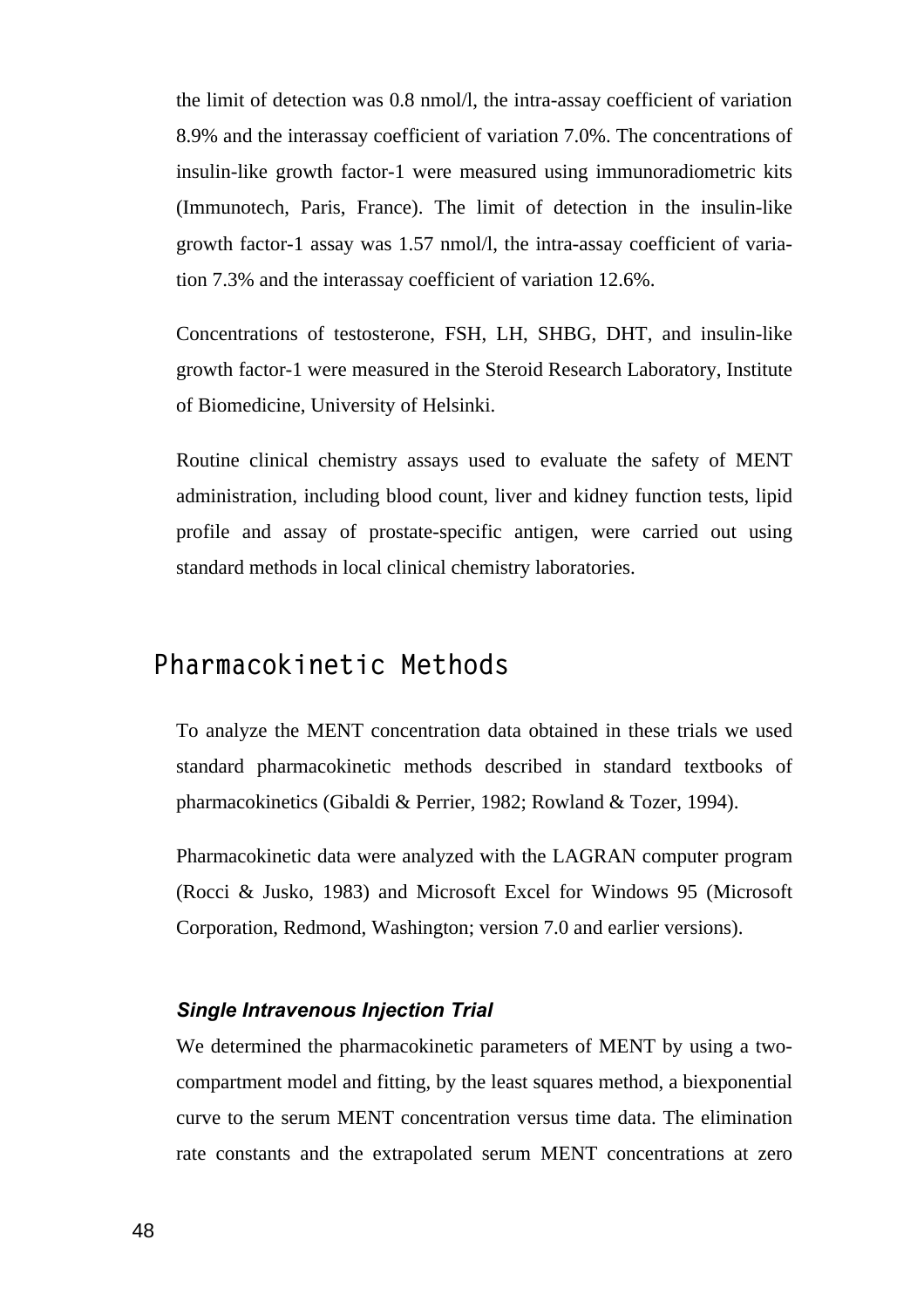the limit of detection was 0.8 nmol/l, the intra-assay coefficient of variation 8.9% and the interassay coefficient of variation 7.0%. The concentrations of insulin-like growth factor-1 were measured using immunoradiometric kits (Immunotech, Paris, France). The limit of detection in the insulin-like growth factor-1 assay was 1.57 nmol/l, the intra-assay coefficient of variation 7.3% and the interassay coefficient of variation 12.6%.

Concentrations of testosterone, FSH, LH, SHBG, DHT, and insulin-like growth factor-1 were measured in the Steroid Research Laboratory, Institute of Biomedicine, University of Helsinki.

Routine clinical chemistry assays used to evaluate the safety of MENT administration, including blood count, liver and kidney function tests, lipid profile and assay of prostate-specific antigen, were carried out using standard methods in local clinical chemistry laboratories.

### **Pharmacokinetic Methods**

To analyze the MENT concentration data obtained in these trials we used standard pharmacokinetic methods described in standard textbooks of pharmacokinetics (Gibaldi & Perrier, 1982; Rowland & Tozer, 1994).

Pharmacokinetic data were analyzed with the LAGRAN computer program (Rocci & Jusko, 1983) and Microsoft Excel for Windows 95 (Microsoft Corporation, Redmond, Washington; version 7.0 and earlier versions).

#### *Single Intravenous Injection Trial*

We determined the pharmacokinetic parameters of MENT by using a twocompartment model and fitting, by the least squares method, a biexponential curve to the serum MENT concentration versus time data. The elimination rate constants and the extrapolated serum MENT concentrations at zero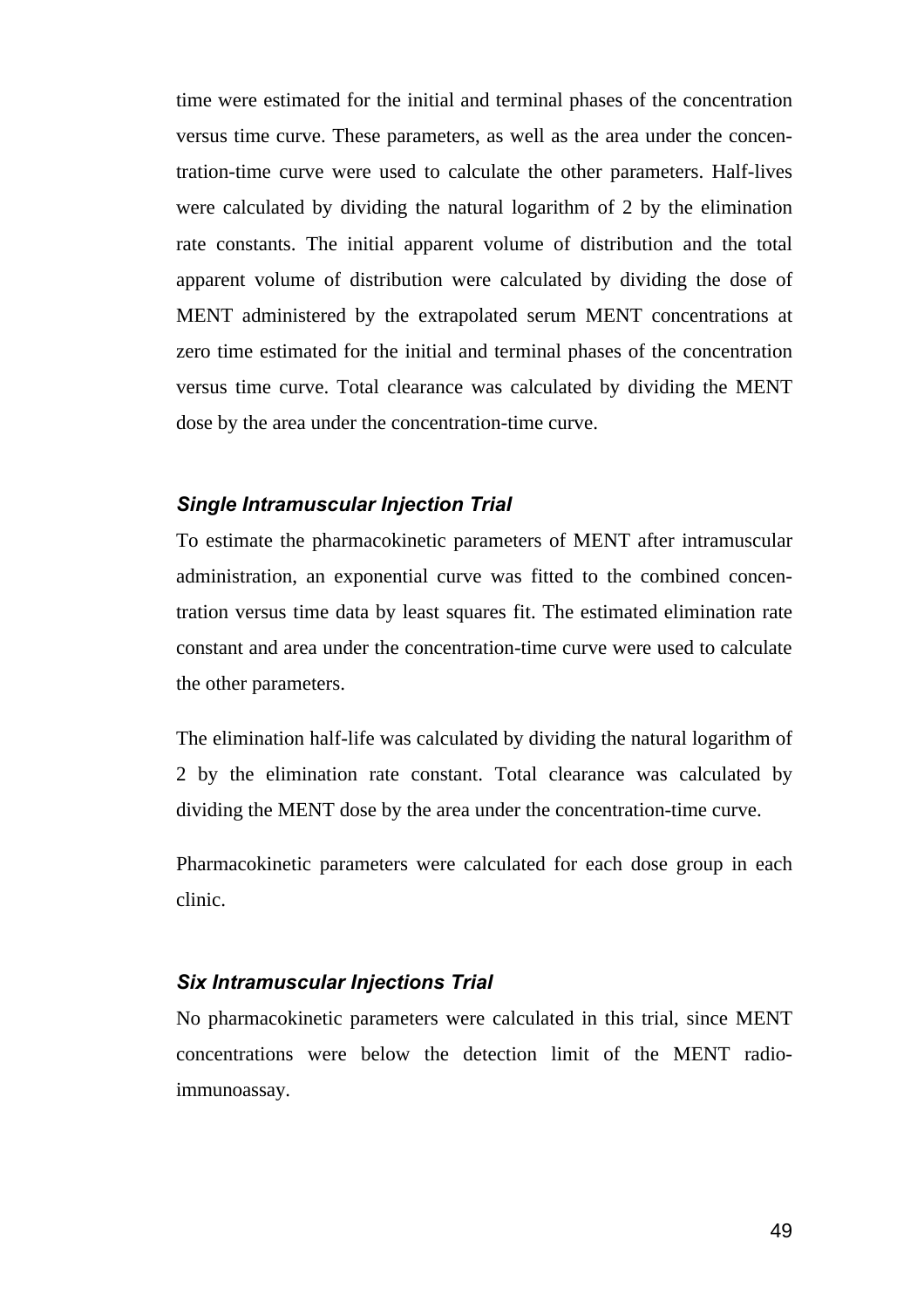time were estimated for the initial and terminal phases of the concentration versus time curve. These parameters, as well as the area under the concentration-time curve were used to calculate the other parameters. Half-lives were calculated by dividing the natural logarithm of 2 by the elimination rate constants. The initial apparent volume of distribution and the total apparent volume of distribution were calculated by dividing the dose of MENT administered by the extrapolated serum MENT concentrations at zero time estimated for the initial and terminal phases of the concentration versus time curve. Total clearance was calculated by dividing the MENT dose by the area under the concentration-time curve.

#### *Single Intramuscular Injection Trial*

To estimate the pharmacokinetic parameters of MENT after intramuscular administration, an exponential curve was fitted to the combined concentration versus time data by least squares fit. The estimated elimination rate constant and area under the concentration-time curve were used to calculate the other parameters.

The elimination half-life was calculated by dividing the natural logarithm of 2 by the elimination rate constant. Total clearance was calculated by dividing the MENT dose by the area under the concentration-time curve.

Pharmacokinetic parameters were calculated for each dose group in each clinic.

#### *Six Intramuscular Injections Trial*

No pharmacokinetic parameters were calculated in this trial, since MENT concentrations were below the detection limit of the MENT radioimmunoassay.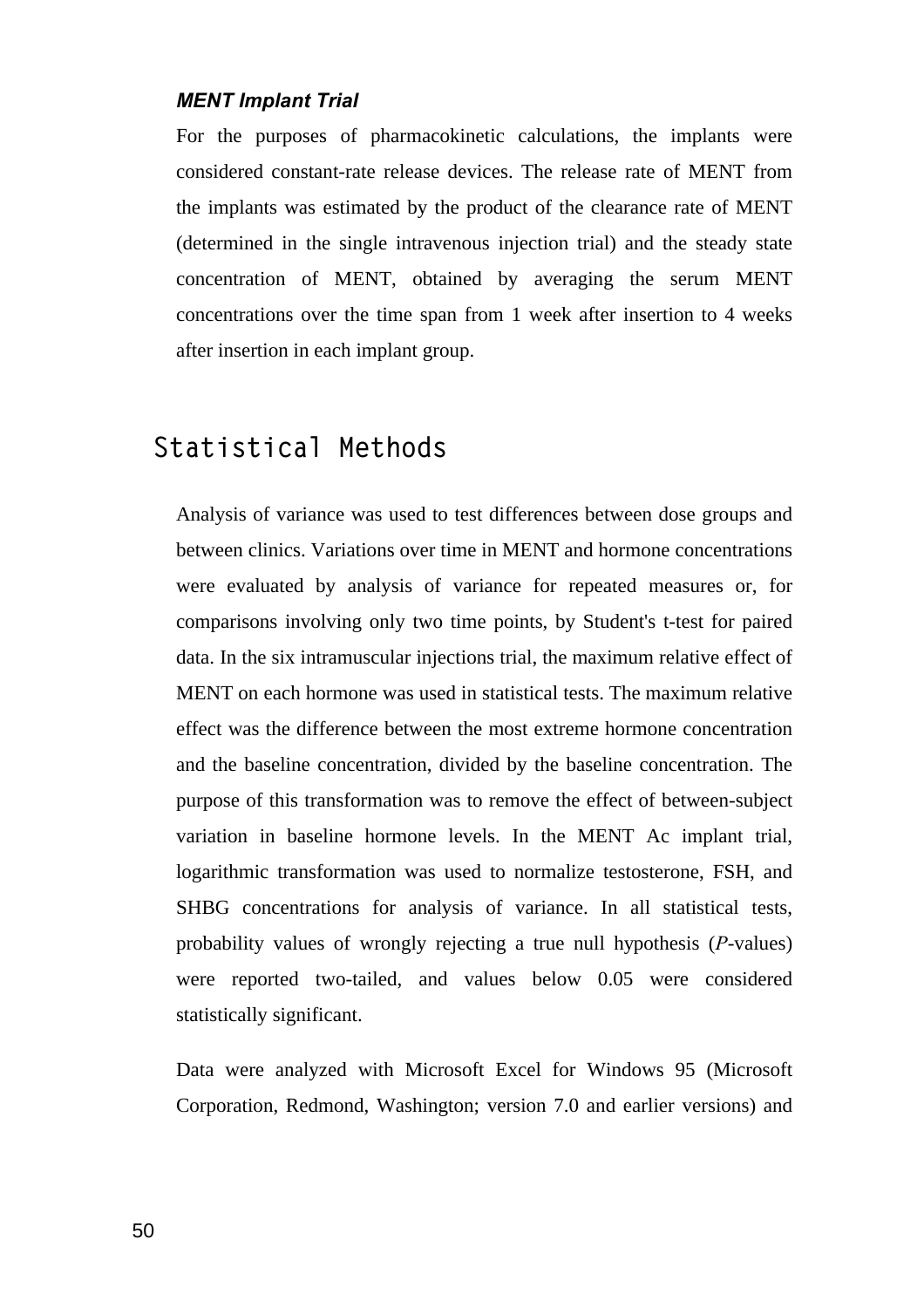#### *MENT Implant Trial*

For the purposes of pharmacokinetic calculations, the implants were considered constant-rate release devices. The release rate of MENT from the implants was estimated by the product of the clearance rate of MENT (determined in the single intravenous injection trial) and the steady state concentration of MENT, obtained by averaging the serum MENT concentrations over the time span from 1 week after insertion to 4 weeks after insertion in each implant group.

### **Statistical Methods**

Analysis of variance was used to test differences between dose groups and between clinics. Variations over time in MENT and hormone concentrations were evaluated by analysis of variance for repeated measures or, for comparisons involving only two time points, by Student's t-test for paired data. In the six intramuscular injections trial, the maximum relative effect of MENT on each hormone was used in statistical tests. The maximum relative effect was the difference between the most extreme hormone concentration and the baseline concentration, divided by the baseline concentration. The purpose of this transformation was to remove the effect of between-subject variation in baseline hormone levels. In the MENT Ac implant trial, logarithmic transformation was used to normalize testosterone, FSH, and SHBG concentrations for analysis of variance. In all statistical tests, probability values of wrongly rejecting a true null hypothesis (*P*-values) were reported two-tailed, and values below 0.05 were considered statistically significant.

Data were analyzed with Microsoft Excel for Windows 95 (Microsoft Corporation, Redmond, Washington; version 7.0 and earlier versions) and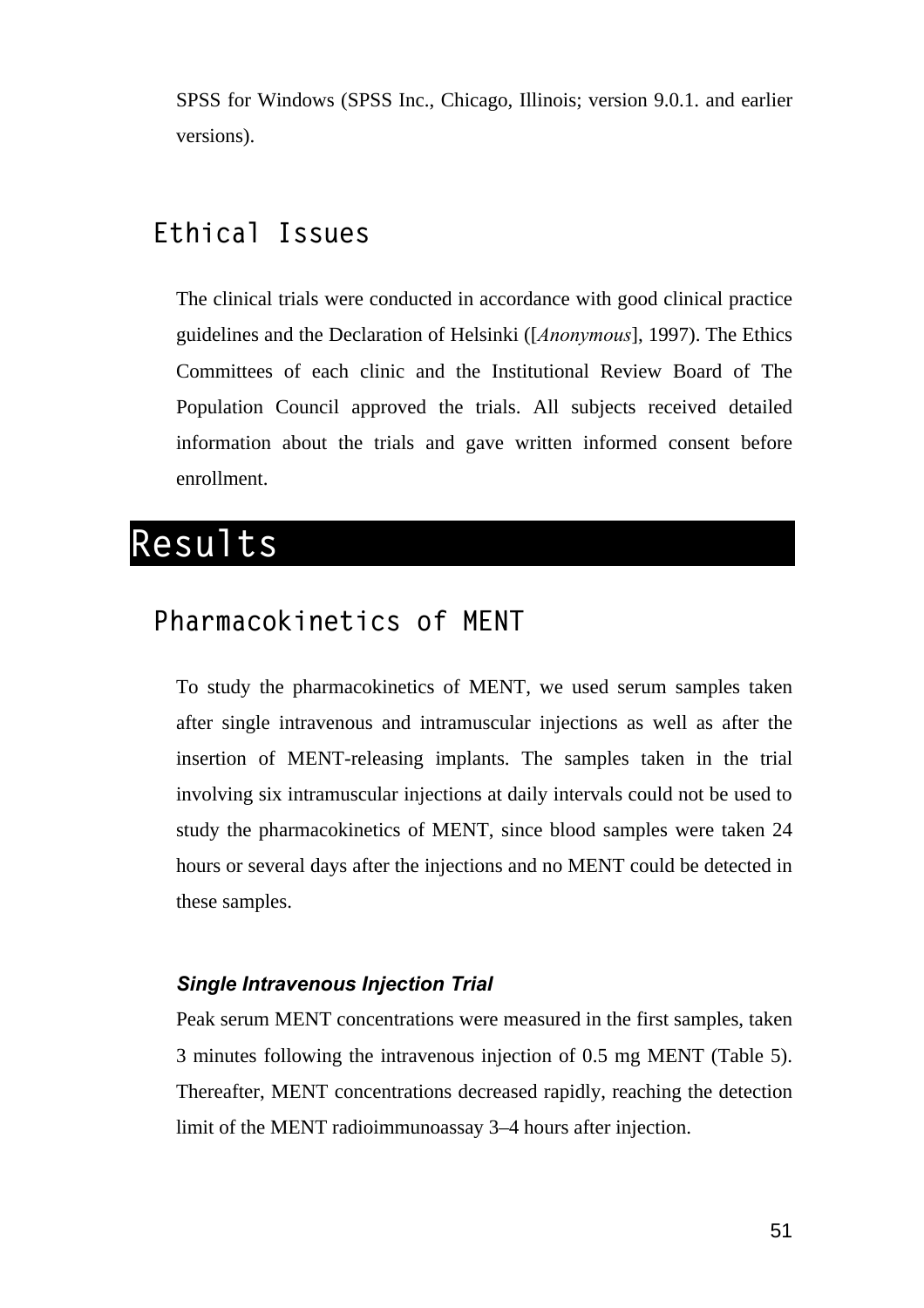SPSS for Windows (SPSS Inc., Chicago, Illinois; version 9.0.1. and earlier versions).

### **Ethical Issues**

The clinical trials were conducted in accordance with good clinical practice guidelines and the Declaration of Helsinki ([*Anonymous*], 1997). The Ethics Committees of each clinic and the Institutional Review Board of The Population Council approved the trials. All subjects received detailed information about the trials and gave written informed consent before enrollment.

## **Results**

### **Pharmacokinetics of MENT**

To study the pharmacokinetics of MENT, we used serum samples taken after single intravenous and intramuscular injections as well as after the insertion of MENT-releasing implants. The samples taken in the trial involving six intramuscular injections at daily intervals could not be used to study the pharmacokinetics of MENT, since blood samples were taken 24 hours or several days after the injections and no MENT could be detected in these samples.

#### *Single Intravenous Injection Trial*

Peak serum MENT concentrations were measured in the first samples, taken 3 minutes following the intravenous injection of 0.5 mg MENT (Table 5). Thereafter, MENT concentrations decreased rapidly, reaching the detection limit of the MENT radioimmunoassay 3–4 hours after injection.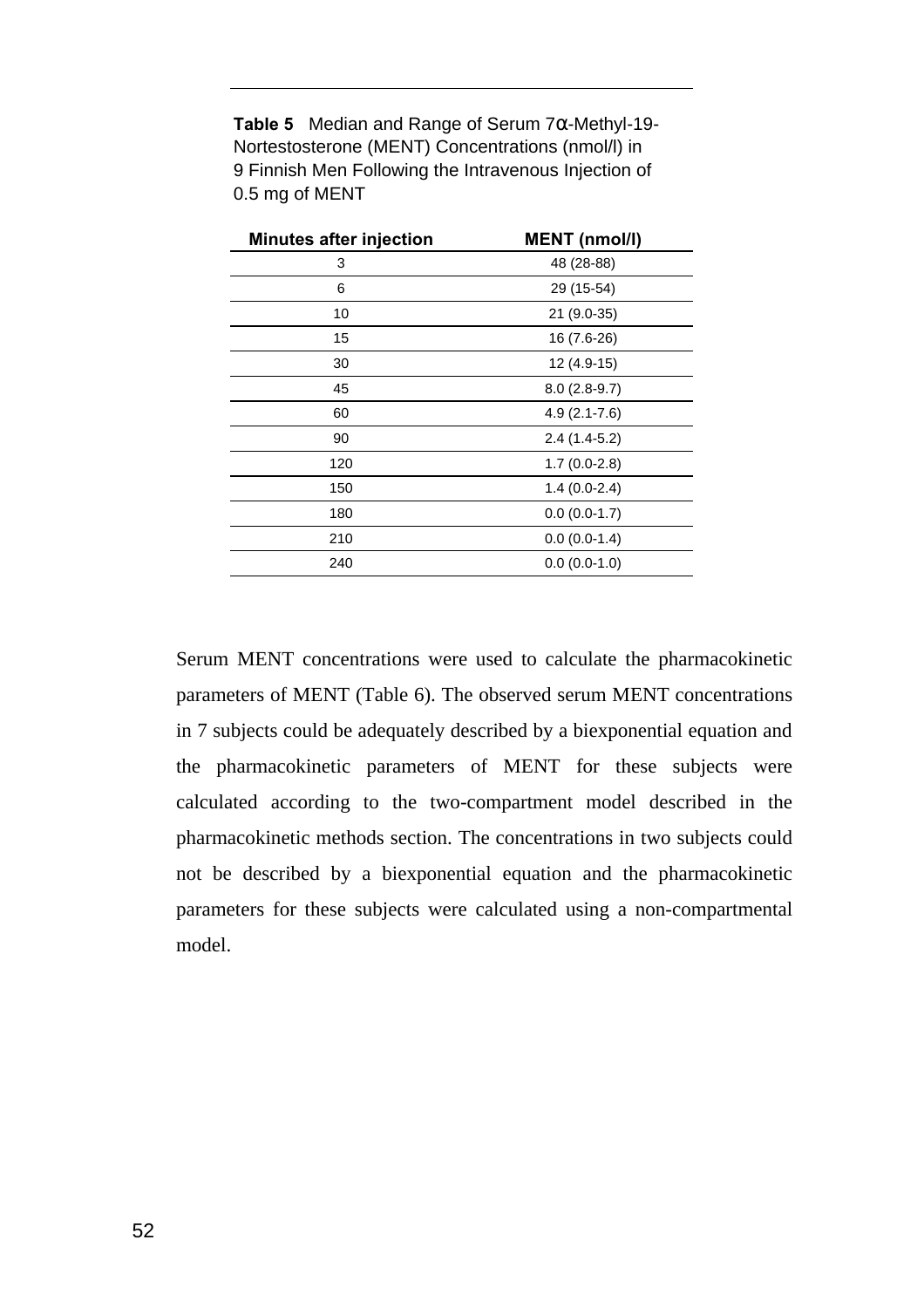**Table 5** Median and Range of Serum 7α-Methyl-19- Nortestosterone (MENT) Concentrations (nmol/l) in 9 Finnish Men Following the Intravenous Injection of 0.5 mg of MENT

| <b>Minutes after injection</b> | <b>MENT</b> (nmol/l) |
|--------------------------------|----------------------|
| 3                              | 48 (28-88)           |
| 6                              | 29 (15-54)           |
| 10                             | 21 (9.0-35)          |
| 15                             | 16 (7.6-26)          |
| 30                             | 12 (4.9-15)          |
| 45                             | $8.0(2.8-9.7)$       |
| 60                             | $4.9(2.1 - 7.6)$     |
| 90                             | $2.4(1.4-5.2)$       |
| 120                            | $1.7(0.0-2.8)$       |
| 150                            | $1.4(0.0-2.4)$       |
| 180                            | $0.0(0.0-1.7)$       |
| 210                            | $0.0(0.0-1.4)$       |
| 240                            | $0.0(0.0-1.0)$       |

Serum MENT concentrations were used to calculate the pharmacokinetic parameters of MENT (Table 6). The observed serum MENT concentrations in 7 subjects could be adequately described by a biexponential equation and the pharmacokinetic parameters of MENT for these subjects were calculated according to the two-compartment model described in the pharmacokinetic methods section. The concentrations in two subjects could not be described by a biexponential equation and the pharmacokinetic parameters for these subjects were calculated using a non-compartmental model.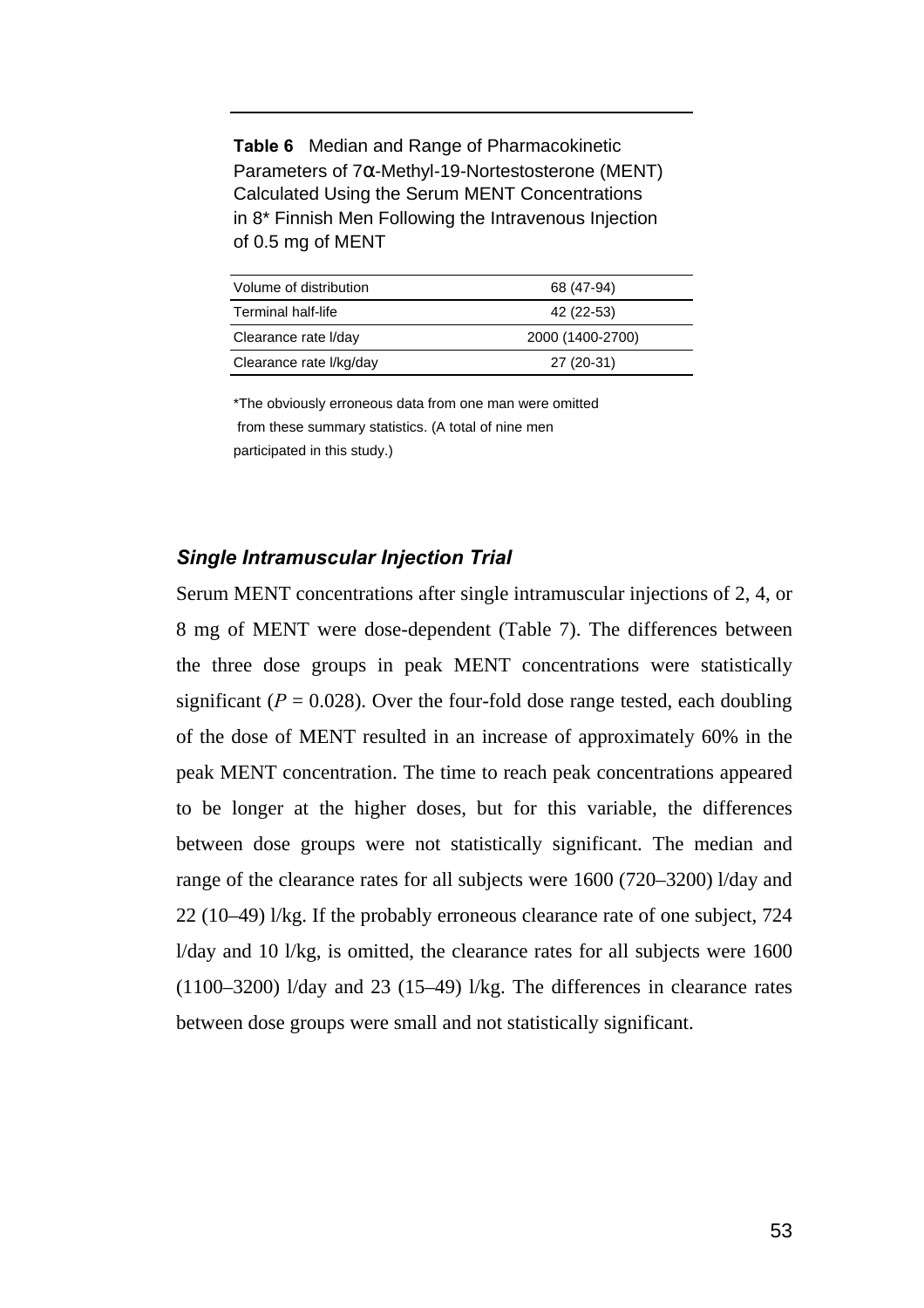**Table 6** Median and Range of Pharmacokinetic Parameters of 7α-Methyl-19-Nortestosterone (MENT) Calculated Using the Serum MENT Concentrations in 8\* Finnish Men Following the Intravenous Injection of 0.5 mg of MENT

| Volume of distribution  | 68 (47-94)       |
|-------------------------|------------------|
| Terminal half-life      | 42 (22-53)       |
| Clearance rate I/day    | 2000 (1400-2700) |
| Clearance rate I/kg/day | 27 (20-31)       |

\*The obviously erroneous data from one man were omitted from these summary statistics. (A total of nine men participated in this study.)

#### *Single Intramuscular Injection Trial*

Serum MENT concentrations after single intramuscular injections of 2, 4, or 8 mg of MENT were dose-dependent (Table 7). The differences between the three dose groups in peak MENT concentrations were statistically significant ( $P = 0.028$ ). Over the four-fold dose range tested, each doubling of the dose of MENT resulted in an increase of approximately 60% in the peak MENT concentration. The time to reach peak concentrations appeared to be longer at the higher doses, but for this variable, the differences between dose groups were not statistically significant. The median and range of the clearance rates for all subjects were 1600 (720–3200) l/day and 22 (10–49) l/kg. If the probably erroneous clearance rate of one subject, 724 l/day and 10 l/kg, is omitted, the clearance rates for all subjects were 1600 (1100–3200) l/day and 23 (15–49) l/kg. The differences in clearance rates between dose groups were small and not statistically significant.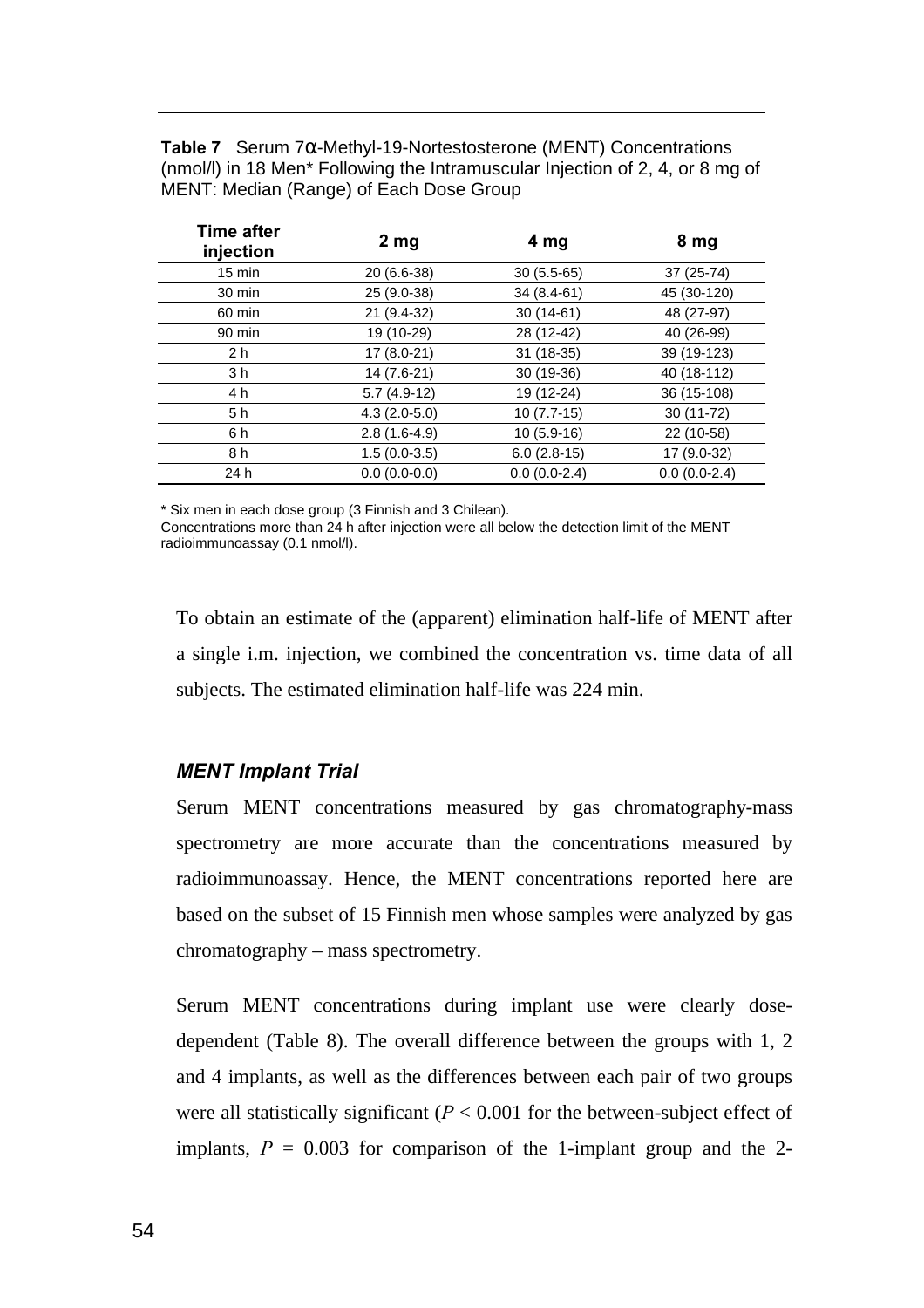**Table 7** Serum 7α-Methyl-19-Nortestosterone (MENT) Concentrations (nmol/l) in 18 Men\* Following the Intramuscular Injection of 2, 4, or 8 mg of MENT: Median (Range) of Each Dose Group

| <b>Time after</b><br>injection | 2 <sub>mg</sub> | 4 <sub>mg</sub> | 8 mg           |
|--------------------------------|-----------------|-----------------|----------------|
| $15 \text{ min}$               | 20 (6.6-38)     | $30(5.5-65)$    | 37 (25-74)     |
| 30 min                         | 25 (9.0-38)     | 34 (8.4-61)     | 45 (30-120)    |
| 60 min                         | 21 (9.4-32)     | $30(14-61)$     | 48 (27-97)     |
| 90 min                         | 19 (10-29)      | 28 (12-42)      | 40 (26-99)     |
| 2 <sub>h</sub>                 | 17 (8.0-21)     | $31(18-35)$     | 39 (19-123)    |
| 3 h                            | 14 (7.6-21)     | 30 (19-36)      | 40 (18-112)    |
| 4 h                            | $5.7(4.9-12)$   | 19 (12-24)      | 36 (15-108)    |
| 5 h                            | $4.3(2.0-5.0)$  | $10(7.7-15)$    | $30(11-72)$    |
| 6 h                            | $2.8(1.6-4.9)$  | $10(5.9-16)$    | 22 (10-58)     |
| 8 h                            | $1.5(0.0-3.5)$  | $6.0(2.8-15)$   | 17 (9.0-32)    |
| 24 h                           | $0.0(0.0-0.0)$  | $0.0(0.0-2.4)$  | $0.0(0.0-2.4)$ |
|                                |                 |                 |                |

\* Six men in each dose group (3 Finnish and 3 Chilean).

Concentrations more than 24 h after injection were all below the detection limit of the MENT radioimmunoassay (0.1 nmol/l).

To obtain an estimate of the (apparent) elimination half-life of MENT after a single i.m. injection, we combined the concentration vs. time data of all subjects. The estimated elimination half-life was 224 min.

#### *MENT Implant Trial*

Serum MENT concentrations measured by gas chromatography-mass spectrometry are more accurate than the concentrations measured by radioimmunoassay. Hence, the MENT concentrations reported here are based on the subset of 15 Finnish men whose samples were analyzed by gas chromatography – mass spectrometry.

Serum MENT concentrations during implant use were clearly dosedependent (Table 8). The overall difference between the groups with 1, 2 and 4 implants, as well as the differences between each pair of two groups were all statistically significant  $(P < 0.001$  for the between-subject effect of implants,  $P = 0.003$  for comparison of the 1-implant group and the 2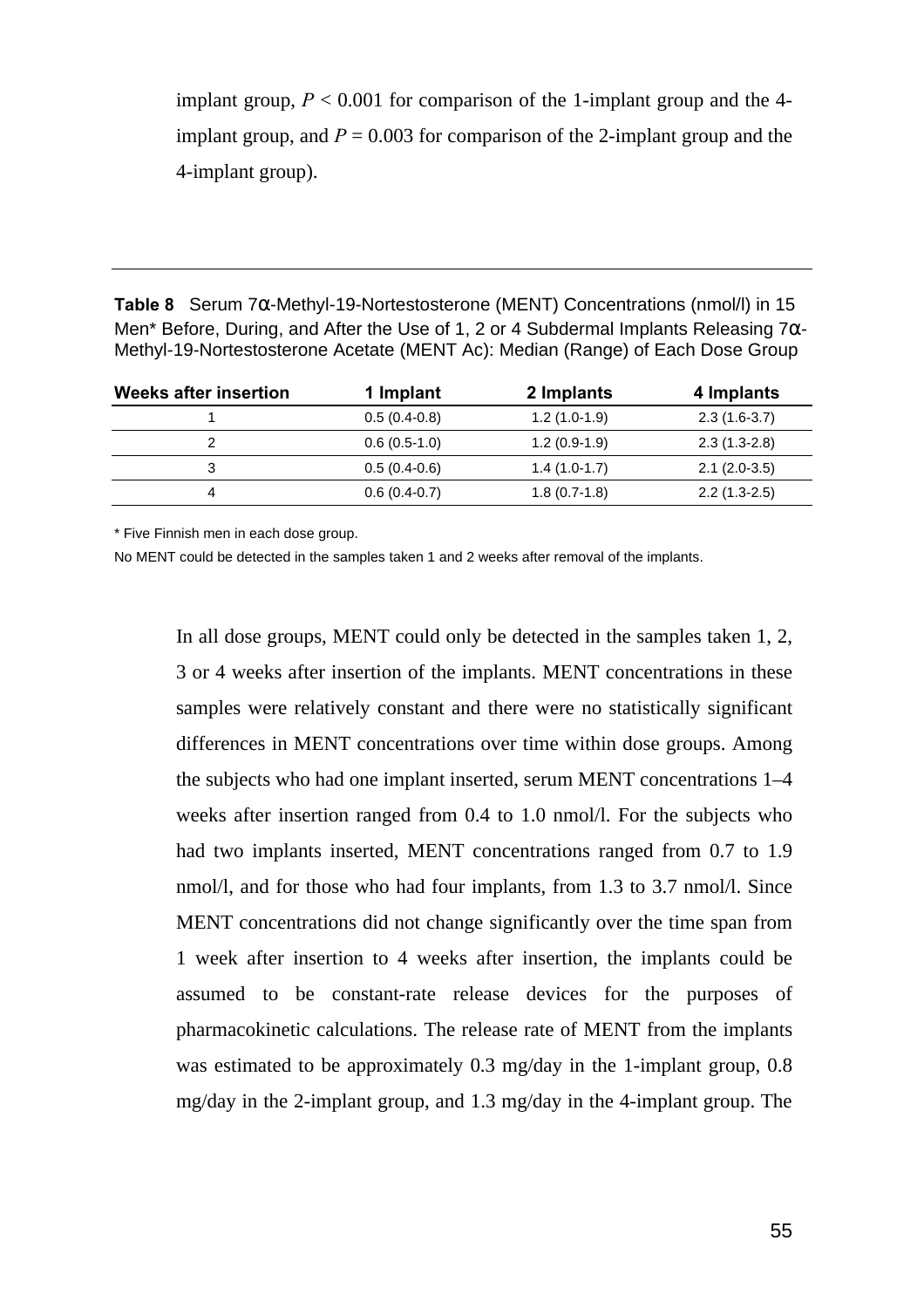implant group,  $P < 0.001$  for comparison of the 1-implant group and the 4implant group, and  $P = 0.003$  for comparison of the 2-implant group and the 4-implant group).

**Table 8** Serum 7α-Methyl-19-Nortestosterone (MENT) Concentrations (nmol/l) in 15 Men\* Before, During, and After the Use of 1, 2 or 4 Subdermal Implants Releasing 7α-Methyl-19-Nortestosterone Acetate (MENT Ac): Median (Range) of Each Dose Group

| <b>Weeks after insertion</b> | 1 Implant      | 2 Implants     | 4 Implants     |
|------------------------------|----------------|----------------|----------------|
|                              | $0.5(0.4-0.8)$ | $1.2(1.0-1.9)$ | $2.3(1.6-3.7)$ |
|                              | $0.6(0.5-1.0)$ | $1.2(0.9-1.9)$ | $2.3(1.3-2.8)$ |
| 3                            | $0.5(0.4-0.6)$ | $1.4(1.0-1.7)$ | $2.1(2.0-3.5)$ |
| 4                            | $0.6(0.4-0.7)$ | $1.8(0.7-1.8)$ | $2.2(1.3-2.5)$ |

\* Five Finnish men in each dose group.

No MENT could be detected in the samples taken 1 and 2 weeks after removal of the implants.

In all dose groups, MENT could only be detected in the samples taken 1, 2, 3 or 4 weeks after insertion of the implants. MENT concentrations in these samples were relatively constant and there were no statistically significant differences in MENT concentrations over time within dose groups. Among the subjects who had one implant inserted, serum MENT concentrations 1–4 weeks after insertion ranged from 0.4 to 1.0 nmol/l. For the subjects who had two implants inserted, MENT concentrations ranged from 0.7 to 1.9 nmol/l, and for those who had four implants, from 1.3 to 3.7 nmol/l. Since MENT concentrations did not change significantly over the time span from 1 week after insertion to 4 weeks after insertion, the implants could be assumed to be constant-rate release devices for the purposes of pharmacokinetic calculations. The release rate of MENT from the implants was estimated to be approximately 0.3 mg/day in the 1-implant group, 0.8 mg/day in the 2-implant group, and 1.3 mg/day in the 4-implant group. The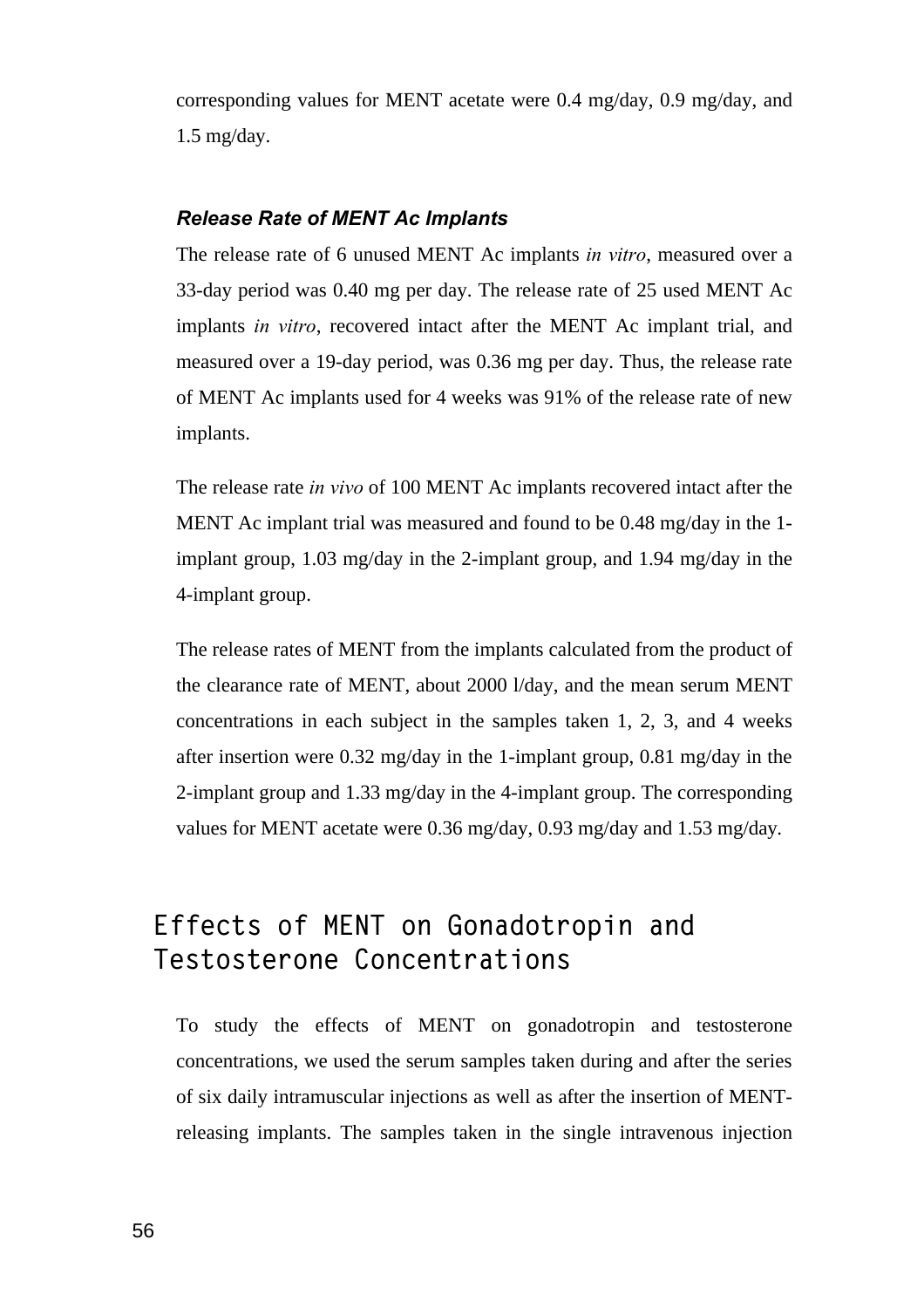corresponding values for MENT acetate were 0.4 mg/day, 0.9 mg/day, and 1.5 mg/day.

#### *Release Rate of MENT Ac Implants*

The release rate of 6 unused MENT Ac implants *in vitro*, measured over a 33-day period was 0.40 mg per day. The release rate of 25 used MENT Ac implants *in vitro*, recovered intact after the MENT Ac implant trial, and measured over a 19-day period, was 0.36 mg per day. Thus, the release rate of MENT Ac implants used for 4 weeks was 91% of the release rate of new implants.

The release rate *in vivo* of 100 MENT Ac implants recovered intact after the MENT Ac implant trial was measured and found to be 0.48 mg/day in the 1 implant group, 1.03 mg/day in the 2-implant group, and 1.94 mg/day in the 4-implant group.

The release rates of MENT from the implants calculated from the product of the clearance rate of MENT, about 2000 l/day, and the mean serum MENT concentrations in each subject in the samples taken 1, 2, 3, and 4 weeks after insertion were 0.32 mg/day in the 1-implant group, 0.81 mg/day in the 2-implant group and 1.33 mg/day in the 4-implant group. The corresponding values for MENT acetate were 0.36 mg/day, 0.93 mg/day and 1.53 mg/day.

### **Effects of MENT on Gonadotropin and Testosterone Concentrations**

To study the effects of MENT on gonadotropin and testosterone concentrations, we used the serum samples taken during and after the series of six daily intramuscular injections as well as after the insertion of MENTreleasing implants. The samples taken in the single intravenous injection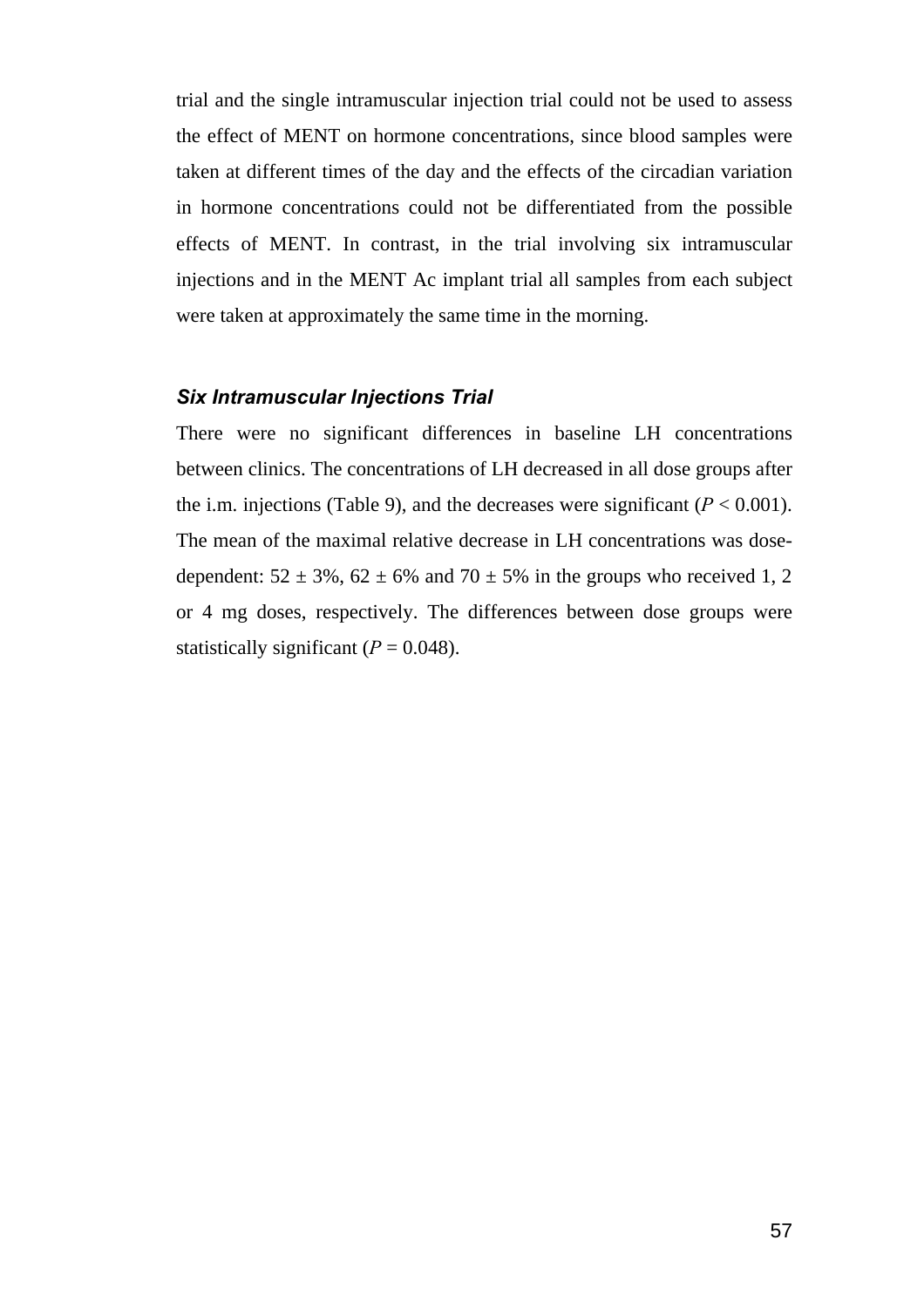trial and the single intramuscular injection trial could not be used to assess the effect of MENT on hormone concentrations, since blood samples were taken at different times of the day and the effects of the circadian variation in hormone concentrations could not be differentiated from the possible effects of MENT. In contrast, in the trial involving six intramuscular injections and in the MENT Ac implant trial all samples from each subject were taken at approximately the same time in the morning.

#### *Six Intramuscular Injections Trial*

There were no significant differences in baseline LH concentrations between clinics. The concentrations of LH decreased in all dose groups after the i.m. injections (Table 9), and the decreases were significant  $(P < 0.001)$ . The mean of the maximal relative decrease in LH concentrations was dosedependent:  $52 \pm 3\%$ ,  $62 \pm 6\%$  and  $70 \pm 5\%$  in the groups who received 1, 2 or 4 mg doses, respectively. The differences between dose groups were statistically significant  $(P = 0.048)$ .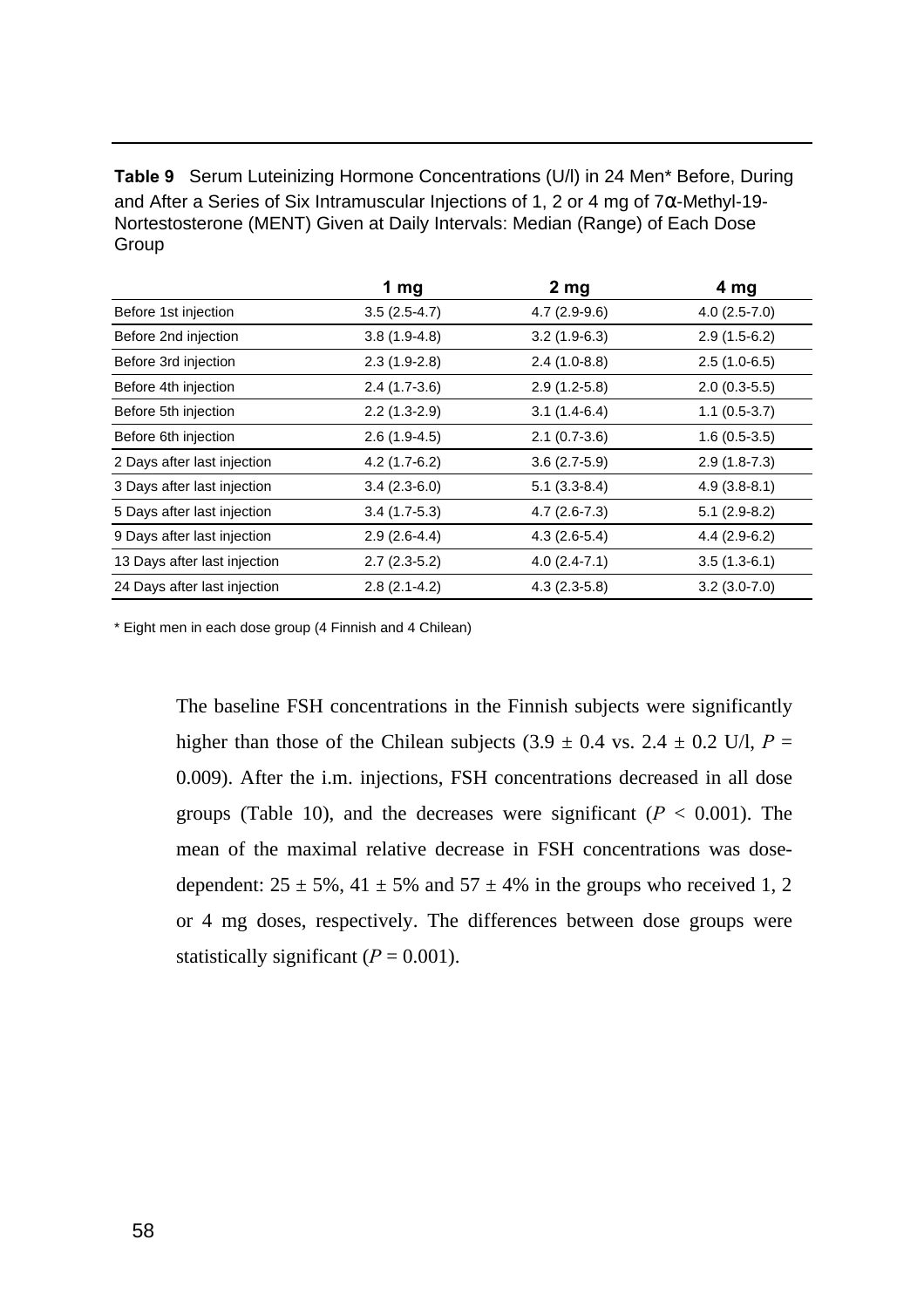**Table 9** Serum Luteinizing Hormone Concentrations (U/l) in 24 Men\* Before, During and After a Series of Six Intramuscular Injections of 1, 2 or 4 mg of 7α-Methyl-19- Nortestosterone (MENT) Given at Daily Intervals: Median (Range) of Each Dose Group

|                              | 1 $mg$         | 2 <sub>mg</sub> | 4 mg           |
|------------------------------|----------------|-----------------|----------------|
| Before 1st injection         | $3.5(2.5-4.7)$ | $4.7(2.9-9.6)$  | $4.0(2.5-7.0)$ |
| Before 2nd injection         | $3.8(1.9-4.8)$ | $3.2(1.9-6.3)$  | $2.9(1.5-6.2)$ |
| Before 3rd injection         | $2.3(1.9-2.8)$ | $2.4(1.0-8.8)$  | $2.5(1.0-6.5)$ |
| Before 4th injection         | $2.4(1.7-3.6)$ | $2.9(1.2-5.8)$  | $2.0(0.3-5.5)$ |
| Before 5th injection         | $2.2(1.3-2.9)$ | $3.1(1.4-6.4)$  | $1.1(0.5-3.7)$ |
| Before 6th injection         | $2.6(1.9-4.5)$ | $2.1(0.7-3.6)$  | $1.6(0.5-3.5)$ |
| 2 Days after last injection  | $4.2(1.7-6.2)$ | $3.6(2.7-5.9)$  | $2.9(1.8-7.3)$ |
| 3 Days after last injection  | $3.4(2.3-6.0)$ | $5.1(3.3-8.4)$  | $4.9(3.8-8.1)$ |
| 5 Days after last injection  | $3.4(1.7-5.3)$ | $4.7(2.6-7.3)$  | $5.1(2.9-8.2)$ |
| 9 Days after last injection  | $2.9(2.6-4.4)$ | $4.3(2.6-5.4)$  | $4.4(2.9-6.2)$ |
| 13 Days after last injection | $2.7(2.3-5.2)$ | $4.0(2.4-7.1)$  | $3.5(1.3-6.1)$ |
| 24 Days after last injection | $2.8(2.1-4.2)$ | $4.3(2.3-5.8)$  | $3.2(3.0-7.0)$ |

\* Eight men in each dose group (4 Finnish and 4 Chilean)

The baseline FSH concentrations in the Finnish subjects were significantly higher than those of the Chilean subjects  $(3.9 \pm 0.4 \text{ vs. } 2.4 \pm 0.2 \text{ U/l}, P =$ 0.009). After the i.m. injections, FSH concentrations decreased in all dose groups (Table 10), and the decreases were significant ( $P < 0.001$ ). The mean of the maximal relative decrease in FSH concentrations was dosedependent:  $25 \pm 5\%$ ,  $41 \pm 5\%$  and  $57 \pm 4\%$  in the groups who received 1, 2 or 4 mg doses, respectively. The differences between dose groups were statistically significant  $(P = 0.001)$ .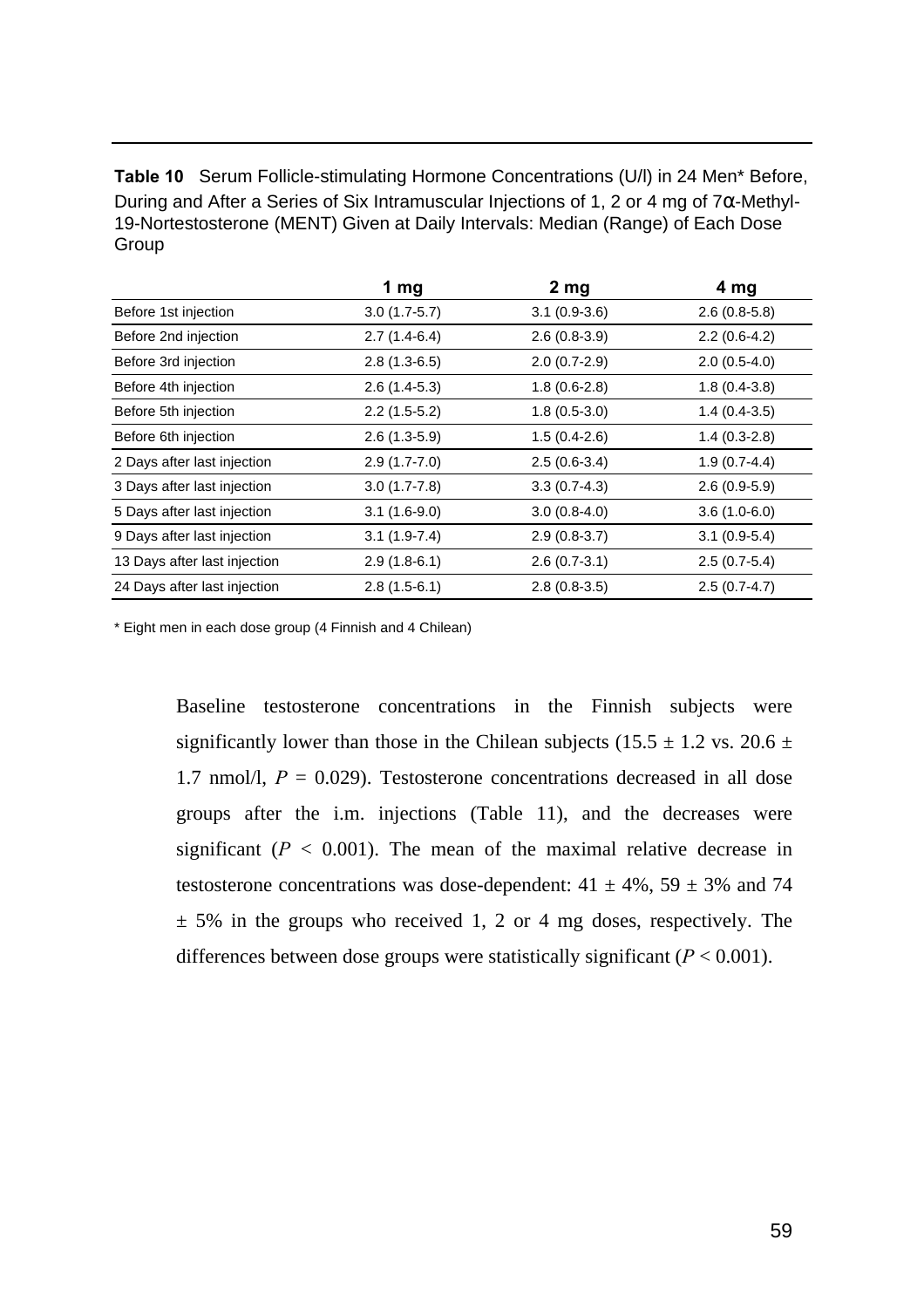**Table 10** Serum Follicle-stimulating Hormone Concentrations (U/l) in 24 Men\* Before, During and After a Series of Six Intramuscular Injections of 1, 2 or 4 mg of  $7α$ -Methyl-19-Nortestosterone (MENT) Given at Daily Intervals: Median (Range) of Each Dose **Group** 

|                              | 1 $mg$           | 2 <sub>mg</sub> | 4 mg           |
|------------------------------|------------------|-----------------|----------------|
| Before 1st injection         | $3.0(1.7-5.7)$   | $3.1(0.9-3.6)$  | $2.6(0.8-5.8)$ |
| Before 2nd injection         | $2.7(1.4-6.4)$   | $2.6(0.8-3.9)$  | $2.2(0.6-4.2)$ |
| Before 3rd injection         | $2.8(1.3-6.5)$   | $2.0(0.7-2.9)$  | $2.0(0.5-4.0)$ |
| Before 4th injection         | $2.6(1.4-5.3)$   | $1.8(0.6-2.8)$  | $1.8(0.4-3.8)$ |
| Before 5th injection         | $2.2(1.5-5.2)$   | $1.8(0.5-3.0)$  | $1.4(0.4-3.5)$ |
| Before 6th injection         | $2.6(1.3-5.9)$   | $1.5(0.4-2.6)$  | $1.4(0.3-2.8)$ |
| 2 Days after last injection  | $2.9(1.7-7.0)$   | $2.5(0.6-3.4)$  | $1.9(0.7-4.4)$ |
| 3 Days after last injection  | $3.0(1.7 - 7.8)$ | $3.3(0.7-4.3)$  | $2.6(0.9-5.9)$ |
| 5 Days after last injection  | $3.1(1.6-9.0)$   | $3.0(0.8-4.0)$  | $3.6(1.0-6.0)$ |
| 9 Days after last injection  | $3.1(1.9-7.4)$   | $2.9(0.8-3.7)$  | $3.1(0.9-5.4)$ |
| 13 Days after last injection | $2.9(1.8-6.1)$   | $2.6(0.7-3.1)$  | $2.5(0.7-5.4)$ |
| 24 Days after last injection | $2.8(1.5-6.1)$   | $2.8(0.8-3.5)$  | $2.5(0.7-4.7)$ |

\* Eight men in each dose group (4 Finnish and 4 Chilean)

Baseline testosterone concentrations in the Finnish subjects were significantly lower than those in the Chilean subjects (15.5  $\pm$  1.2 vs. 20.6  $\pm$ 1.7 nmol/l,  $P = 0.029$ ). Testosterone concentrations decreased in all dose groups after the i.m. injections (Table 11), and the decreases were significant  $(P < 0.001)$ . The mean of the maximal relative decrease in testosterone concentrations was dose-dependent:  $41 \pm 4\%$ ,  $59 \pm 3\%$  and 74  $\pm$  5% in the groups who received 1, 2 or 4 mg doses, respectively. The differences between dose groups were statistically significant  $(P < 0.001)$ .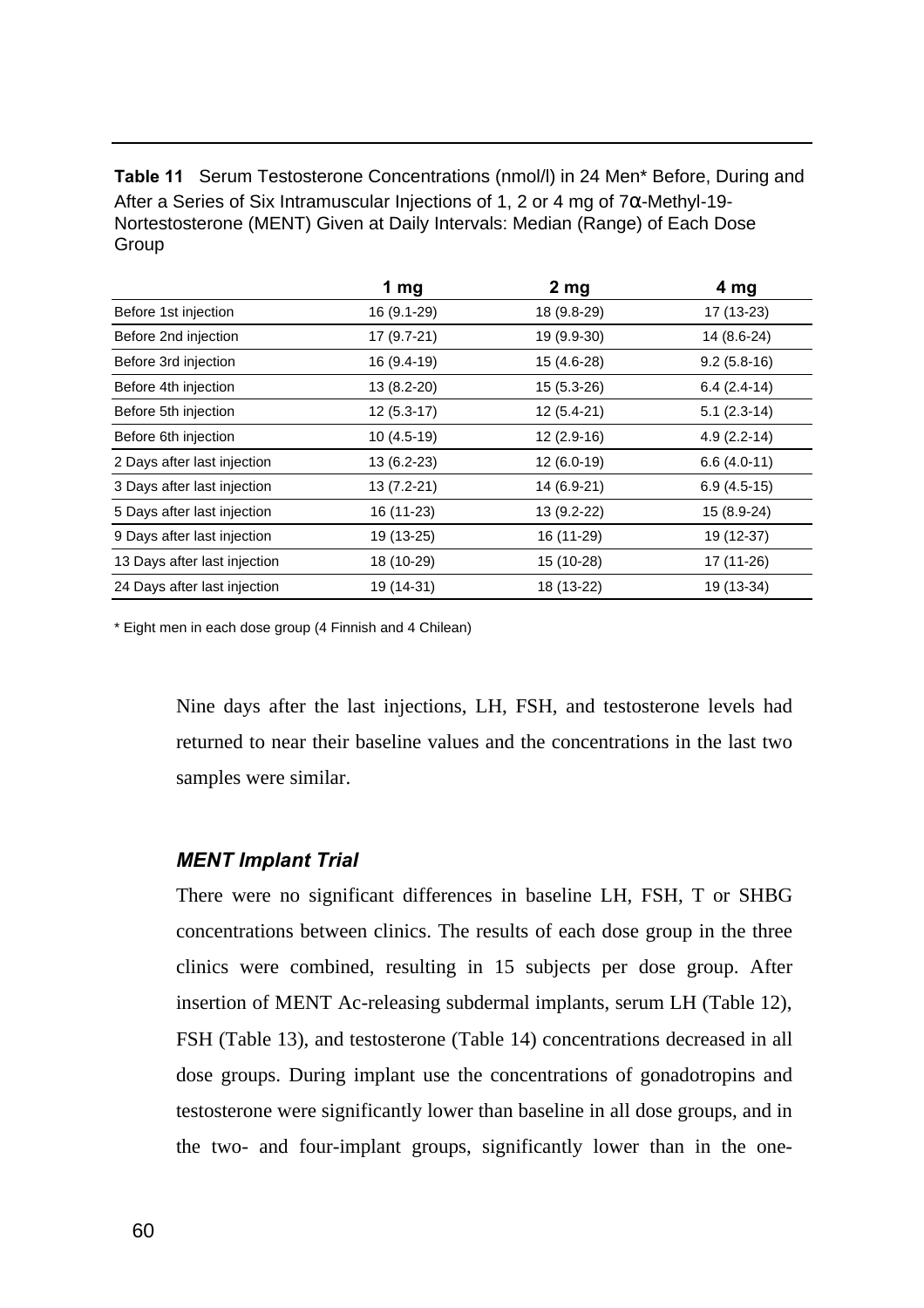**Table 11** Serum Testosterone Concentrations (nmol/l) in 24 Men\* Before, During and After a Series of Six Intramuscular Injections of 1, 2 or 4 mg of  $7\alpha$ -Methyl-19-Nortestosterone (MENT) Given at Daily Intervals: Median (Range) of Each Dose Group

|                              | 1 $mg$       | 2 <sub>mg</sub> | 4 mg          |
|------------------------------|--------------|-----------------|---------------|
| Before 1st injection         | 16 (9.1-29)  | 18 (9.8-29)     | 17 (13-23)    |
| Before 2nd injection         | 17 (9.7-21)  | 19 (9.9-30)     | 14 (8.6-24)   |
| Before 3rd injection         | 16 (9.4-19)  | 15 (4.6-28)     | $9.2(5.8-16)$ |
| Before 4th injection         | 13 (8.2-20)  | 15 (5.3-26)     | $6.4(2.4-14)$ |
| Before 5th injection         | $12(5.3-17)$ | $12(5.4-21)$    | $5.1(2.3-14)$ |
| Before 6th injection         | $10(4.5-19)$ | $12(2.9-16)$    | $4.9(2.2-14)$ |
| 2 Days after last injection  | 13 (6.2-23)  | 12 (6.0-19)     | $6.6(4.0-11)$ |
| 3 Days after last injection  | 13 (7.2-21)  | 14 (6.9-21)     | $6.9(4.5-15)$ |
| 5 Days after last injection  | 16 (11-23)   | 13 (9.2-22)     | 15 (8.9-24)   |
| 9 Days after last injection  | 19 (13-25)   | 16 (11-29)      | 19 (12-37)    |
| 13 Days after last injection | 18 (10-29)   | 15 (10-28)      | 17 (11-26)    |
| 24 Days after last injection | 19 (14-31)   | 18 (13-22)      | 19 (13-34)    |

\* Eight men in each dose group (4 Finnish and 4 Chilean)

Nine days after the last injections, LH, FSH, and testosterone levels had returned to near their baseline values and the concentrations in the last two samples were similar.

#### *MENT Implant Trial*

There were no significant differences in baseline LH, FSH, T or SHBG concentrations between clinics. The results of each dose group in the three clinics were combined, resulting in 15 subjects per dose group. After insertion of MENT Ac-releasing subdermal implants, serum LH (Table 12), FSH (Table 13), and testosterone (Table 14) concentrations decreased in all dose groups. During implant use the concentrations of gonadotropins and testosterone were significantly lower than baseline in all dose groups, and in the two- and four-implant groups, significantly lower than in the one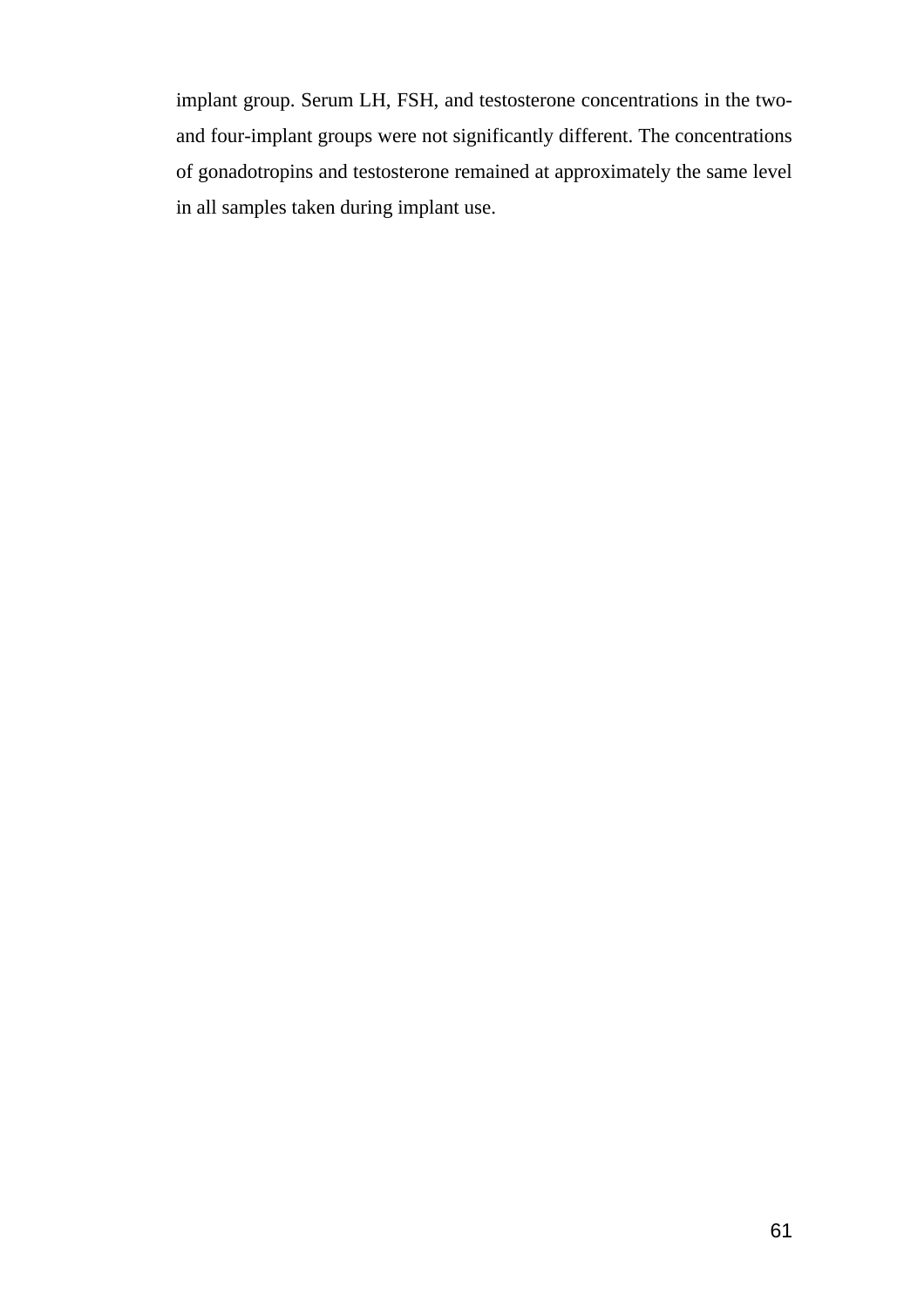implant group. Serum LH, FSH, and testosterone concentrations in the twoand four-implant groups were not significantly different. The concentrations of gonadotropins and testosterone remained at approximately the same level in all samples taken during implant use.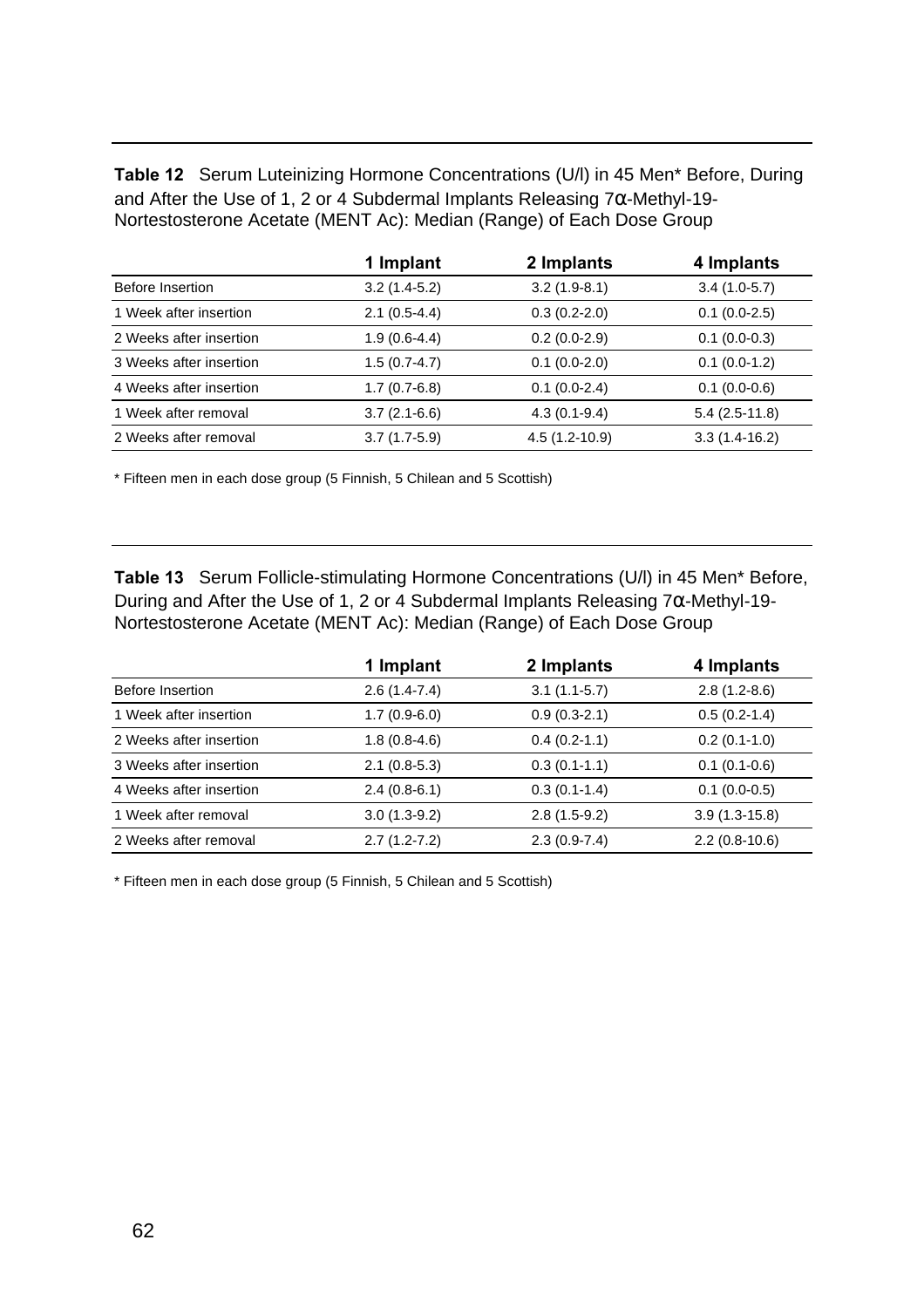**Table 12** Serum Luteinizing Hormone Concentrations (U/l) in 45 Men\* Before, During and After the Use of 1, 2 or 4 Subdermal Implants Releasing 7α-Methyl-19- Nortestosterone Acetate (MENT Ac): Median (Range) of Each Dose Group

|                         | 1 Implant      | 2 Implants      | 4 Implants      |
|-------------------------|----------------|-----------------|-----------------|
| Before Insertion        | $3.2(1.4-5.2)$ | $3.2(1.9-8.1)$  | $3.4(1.0-5.7)$  |
| 1 Week after insertion  | $2.1(0.5-4.4)$ | $0.3(0.2-2.0)$  | $0.1(0.0-2.5)$  |
| 2 Weeks after insertion | $1.9(0.6-4.4)$ | $0.2(0.0-2.9)$  | $0.1(0.0-0.3)$  |
| 3 Weeks after insertion | $1.5(0.7-4.7)$ | $0.1(0.0-2.0)$  | $0.1(0.0-1.2)$  |
| 4 Weeks after insertion | $1.7(0.7-6.8)$ | $0.1(0.0-2.4)$  | $0.1(0.0-0.6)$  |
| 1 Week after removal    | $3.7(2.1-6.6)$ | $4.3(0.1-9.4)$  | $5.4(2.5-11.8)$ |
| 2 Weeks after removal   | $3.7(1.7-5.9)$ | $4.5(1.2-10.9)$ | $3.3(1.4-16.2)$ |

\* Fifteen men in each dose group (5 Finnish, 5 Chilean and 5 Scottish)

**Table 13** Serum Follicle-stimulating Hormone Concentrations (U/l) in 45 Men\* Before, During and After the Use of 1, 2 or 4 Subdermal Implants Releasing 7α-Methyl-19- Nortestosterone Acetate (MENT Ac): Median (Range) of Each Dose Group

|                         | 1 Implant        | 2 Implants     | 4 Implants      |
|-------------------------|------------------|----------------|-----------------|
| Before Insertion        | $2.6(1.4-7.4)$   | $3.1(1.1-5.7)$ | $2.8(1.2-8.6)$  |
| 1 Week after insertion  | $1.7(0.9-6.0)$   | $0.9(0.3-2.1)$ | $0.5(0.2-1.4)$  |
| 2 Weeks after insertion | $1.8(0.8-4.6)$   | $0.4(0.2-1.1)$ | $0.2(0.1-1.0)$  |
| 3 Weeks after insertion | $2.1(0.8-5.3)$   | $0.3(0.1-1.1)$ | $0.1(0.1-0.6)$  |
| 4 Weeks after insertion | $2.4(0.8-6.1)$   | $0.3(0.1-1.4)$ | $0.1(0.0-0.5)$  |
| 1 Week after removal    | $3.0(1.3-9.2)$   | $2.8(1.5-9.2)$ | $3.9(1.3-15.8)$ |
| 2 Weeks after removal   | $2.7(1.2 - 7.2)$ | $2.3(0.9-7.4)$ | $2.2(0.8-10.6)$ |

\* Fifteen men in each dose group (5 Finnish, 5 Chilean and 5 Scottish)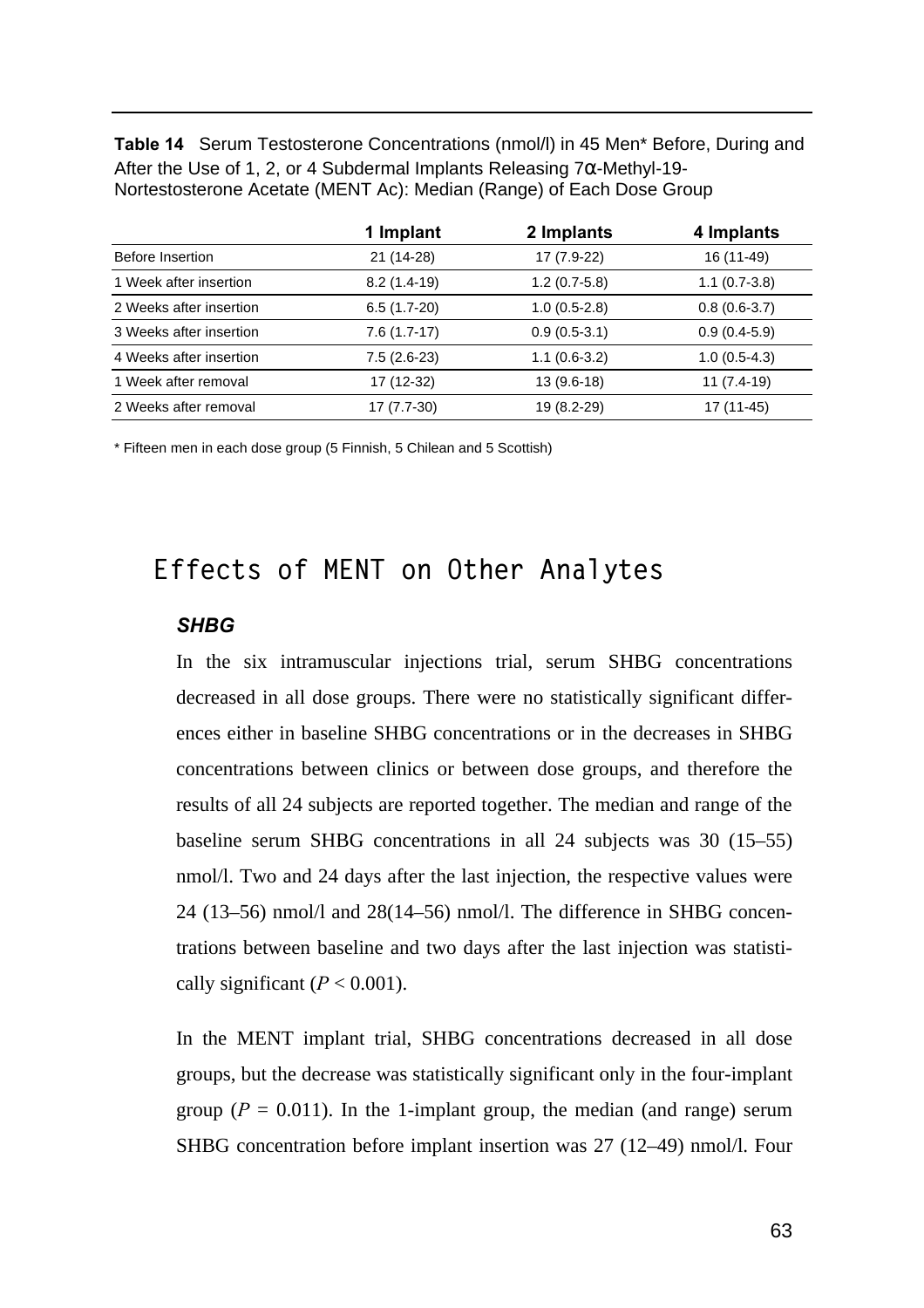**Table 14** Serum Testosterone Concentrations (nmol/l) in 45 Men\* Before, During and After the Use of 1, 2, or 4 Subdermal Implants Releasing  $7\alpha$ -Methyl-19-Nortestosterone Acetate (MENT Ac): Median (Range) of Each Dose Group

|                         | 1 Implant     | 2 Implants     | 4 Implants     |
|-------------------------|---------------|----------------|----------------|
| Before Insertion        | 21 (14-28)    | 17 (7.9-22)    | 16 (11-49)     |
| 1 Week after insertion  | $8.2(1.4-19)$ | $1.2(0.7-5.8)$ | $1.1(0.7-3.8)$ |
| 2 Weeks after insertion | $6.5(1.7-20)$ | $1.0(0.5-2.8)$ | $0.8(0.6-3.7)$ |
| 3 Weeks after insertion | $7.6(1.7-17)$ | $0.9(0.5-3.1)$ | $0.9(0.4-5.9)$ |
| 4 Weeks after insertion | $7.5(2.6-23)$ | $1.1(0.6-3.2)$ | $1.0(0.5-4.3)$ |
| 1 Week after removal    | 17 (12-32)    | 13 (9.6-18)    | 11 (7.4-19)    |
| 2 Weeks after removal   | 17 (7.7-30)   | 19 (8.2-29)    | 17 (11-45)     |

\* Fifteen men in each dose group (5 Finnish, 5 Chilean and 5 Scottish)

### **Effects of MENT on Other Analytes**

#### *SHBG*

In the six intramuscular injections trial, serum SHBG concentrations decreased in all dose groups. There were no statistically significant differences either in baseline SHBG concentrations or in the decreases in SHBG concentrations between clinics or between dose groups, and therefore the results of all 24 subjects are reported together. The median and range of the baseline serum SHBG concentrations in all 24 subjects was 30 (15–55) nmol/l. Two and 24 days after the last injection, the respective values were 24 (13–56) nmol/l and 28(14–56) nmol/l. The difference in SHBG concentrations between baseline and two days after the last injection was statistically significant  $(P < 0.001)$ .

In the MENT implant trial, SHBG concentrations decreased in all dose groups, but the decrease was statistically significant only in the four-implant group ( $P = 0.011$ ). In the 1-implant group, the median (and range) serum SHBG concentration before implant insertion was 27 (12–49) nmol/l. Four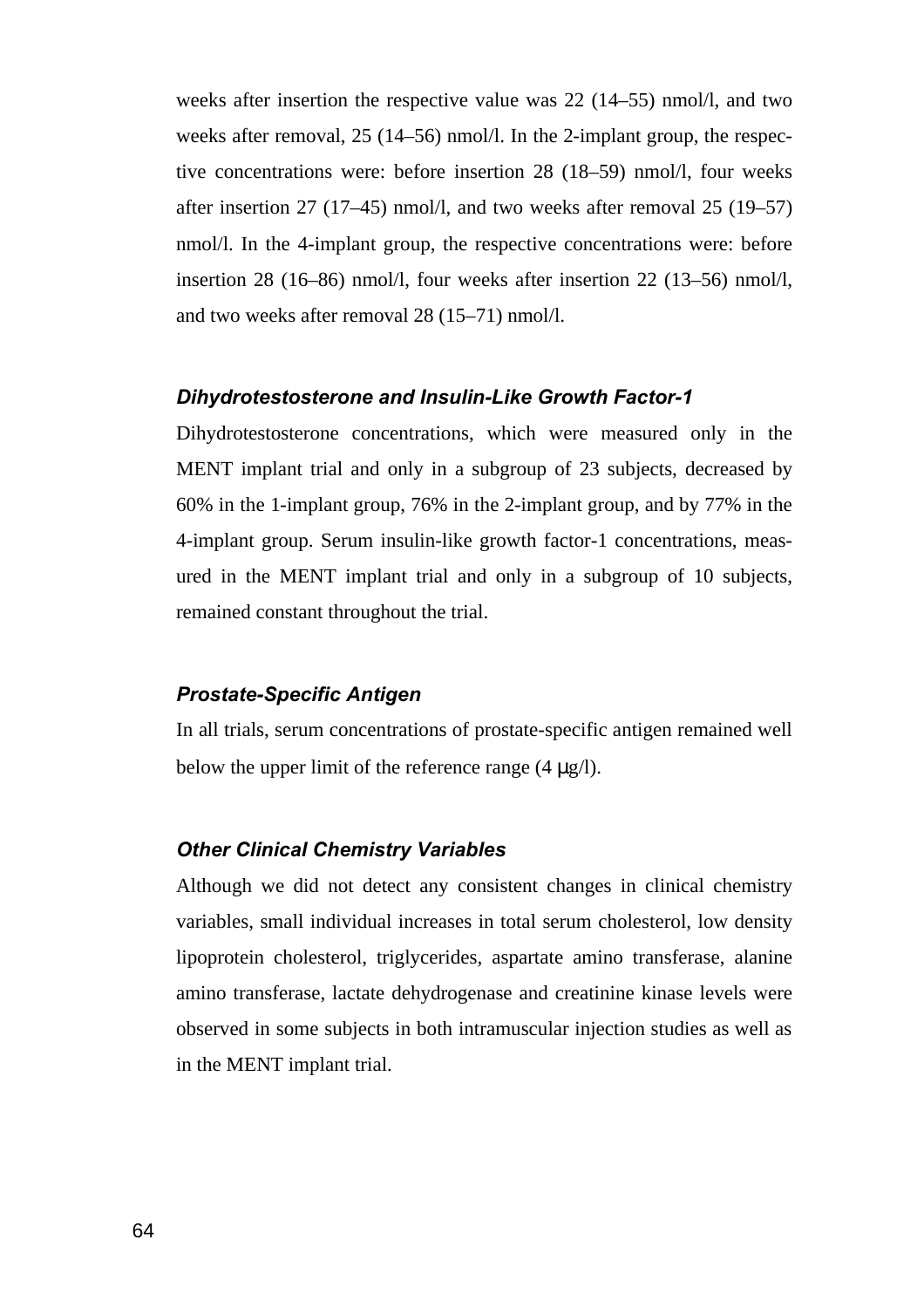weeks after insertion the respective value was 22 (14–55) nmol/l, and two weeks after removal, 25 (14–56) nmol/l. In the 2-implant group, the respective concentrations were: before insertion 28 (18–59) nmol/l, four weeks after insertion 27 (17–45) nmol/l, and two weeks after removal 25 (19–57) nmol/l. In the 4-implant group, the respective concentrations were: before insertion 28 (16–86) nmol/l, four weeks after insertion 22 (13–56) nmol/l, and two weeks after removal 28 (15–71) nmol/l.

#### *Dihydrotestosterone and Insulin-Like Growth Factor-1*

Dihydrotestosterone concentrations, which were measured only in the MENT implant trial and only in a subgroup of 23 subjects, decreased by 60% in the 1-implant group, 76% in the 2-implant group, and by 77% in the 4-implant group. Serum insulin-like growth factor-1 concentrations, measured in the MENT implant trial and only in a subgroup of 10 subjects, remained constant throughout the trial.

#### *Prostate-Specific Antigen*

In all trials, serum concentrations of prostate-specific antigen remained well below the upper limit of the reference range (4 μg/l).

#### *Other Clinical Chemistry Variables*

Although we did not detect any consistent changes in clinical chemistry variables, small individual increases in total serum cholesterol, low density lipoprotein cholesterol, triglycerides, aspartate amino transferase, alanine amino transferase, lactate dehydrogenase and creatinine kinase levels were observed in some subjects in both intramuscular injection studies as well as in the MENT implant trial.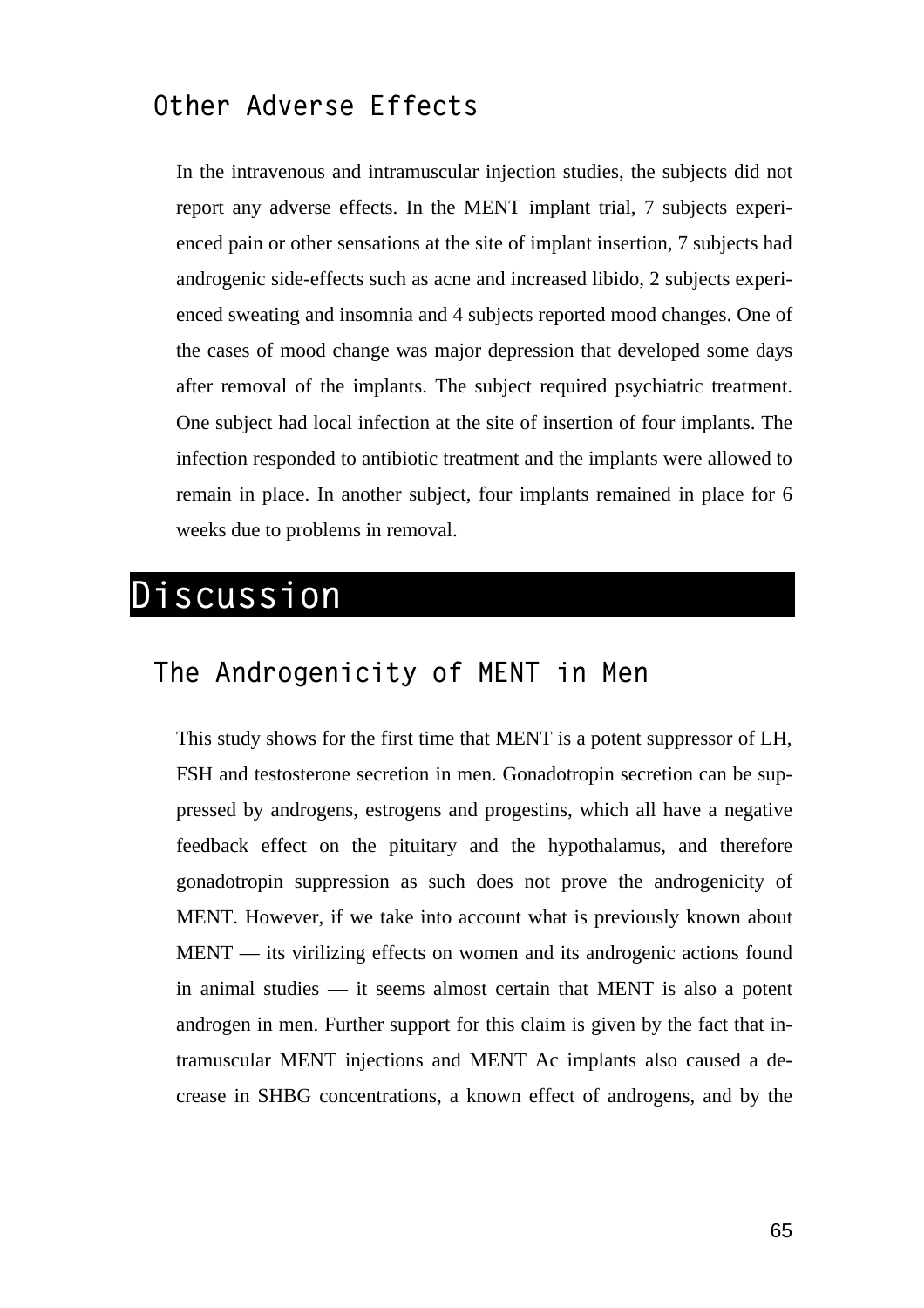### **Other Adverse Effects**

In the intravenous and intramuscular injection studies, the subjects did not report any adverse effects. In the MENT implant trial, 7 subjects experienced pain or other sensations at the site of implant insertion, 7 subjects had androgenic side-effects such as acne and increased libido, 2 subjects experienced sweating and insomnia and 4 subjects reported mood changes. One of the cases of mood change was major depression that developed some days after removal of the implants. The subject required psychiatric treatment. One subject had local infection at the site of insertion of four implants. The infection responded to antibiotic treatment and the implants were allowed to remain in place. In another subject, four implants remained in place for 6 weeks due to problems in removal.

## **Discussion**

### **The Androgenicity of MENT in Men**

This study shows for the first time that MENT is a potent suppressor of LH, FSH and testosterone secretion in men. Gonadotropin secretion can be suppressed by androgens, estrogens and progestins, which all have a negative feedback effect on the pituitary and the hypothalamus, and therefore gonadotropin suppression as such does not prove the androgenicity of MENT. However, if we take into account what is previously known about MENT — its virilizing effects on women and its androgenic actions found in animal studies — it seems almost certain that MENT is also a potent androgen in men. Further support for this claim is given by the fact that intramuscular MENT injections and MENT Ac implants also caused a decrease in SHBG concentrations, a known effect of androgens, and by the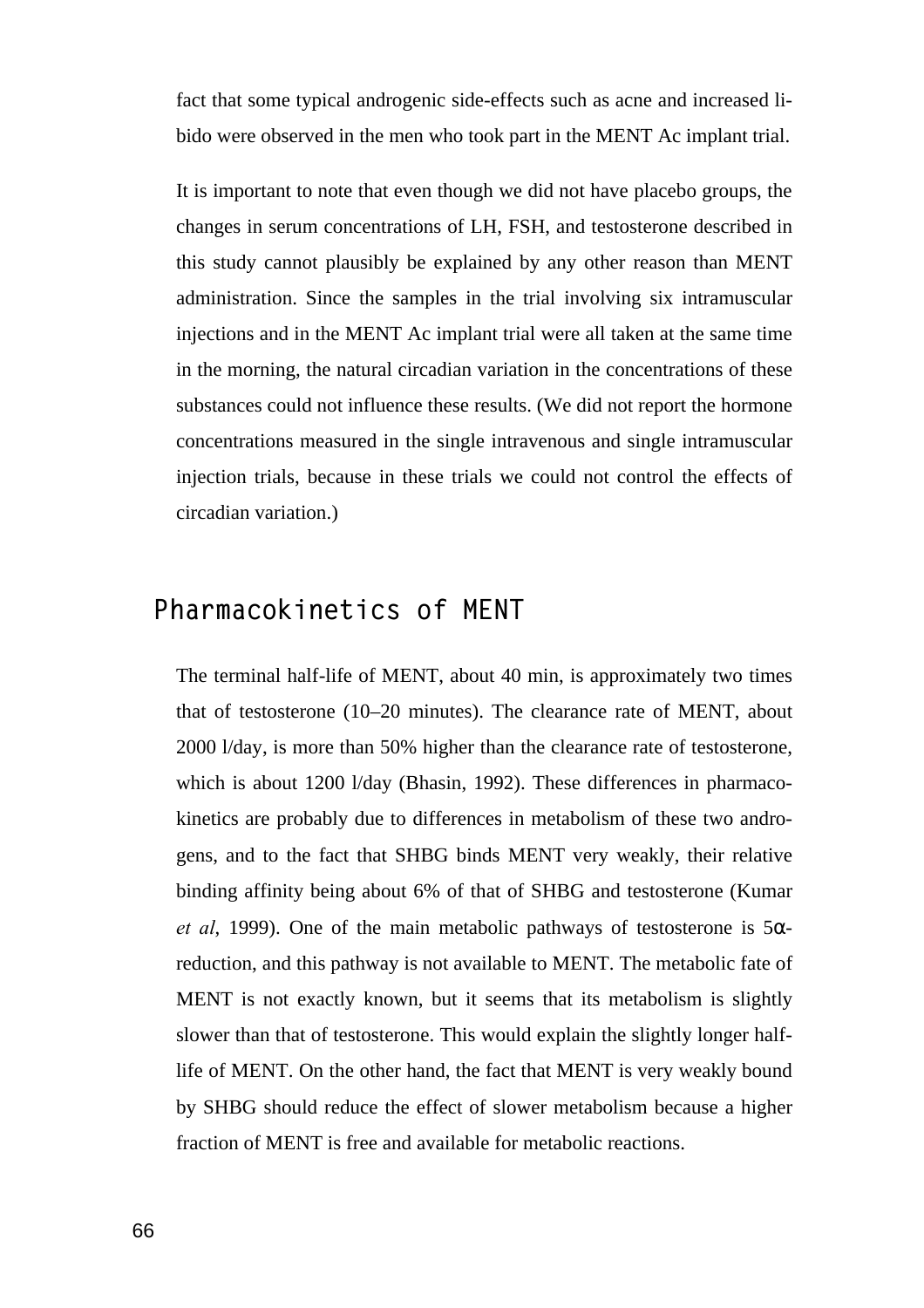fact that some typical androgenic side-effects such as acne and increased libido were observed in the men who took part in the MENT Ac implant trial.

It is important to note that even though we did not have placebo groups, the changes in serum concentrations of LH, FSH, and testosterone described in this study cannot plausibly be explained by any other reason than MENT administration. Since the samples in the trial involving six intramuscular injections and in the MENT Ac implant trial were all taken at the same time in the morning, the natural circadian variation in the concentrations of these substances could not influence these results. (We did not report the hormone concentrations measured in the single intravenous and single intramuscular injection trials, because in these trials we could not control the effects of circadian variation.)

### **Pharmacokinetics of MENT**

The terminal half-life of MENT, about 40 min, is approximately two times that of testosterone (10–20 minutes). The clearance rate of MENT, about 2000 l/day, is more than 50% higher than the clearance rate of testosterone, which is about 1200 l/day (Bhasin, 1992). These differences in pharmacokinetics are probably due to differences in metabolism of these two androgens, and to the fact that SHBG binds MENT very weakly, their relative binding affinity being about 6% of that of SHBG and testosterone (Kumar *et al*, 1999). One of the main metabolic pathways of testosterone is  $5\alpha$ reduction, and this pathway is not available to MENT. The metabolic fate of MENT is not exactly known, but it seems that its metabolism is slightly slower than that of testosterone. This would explain the slightly longer halflife of MENT. On the other hand, the fact that MENT is very weakly bound by SHBG should reduce the effect of slower metabolism because a higher fraction of MENT is free and available for metabolic reactions.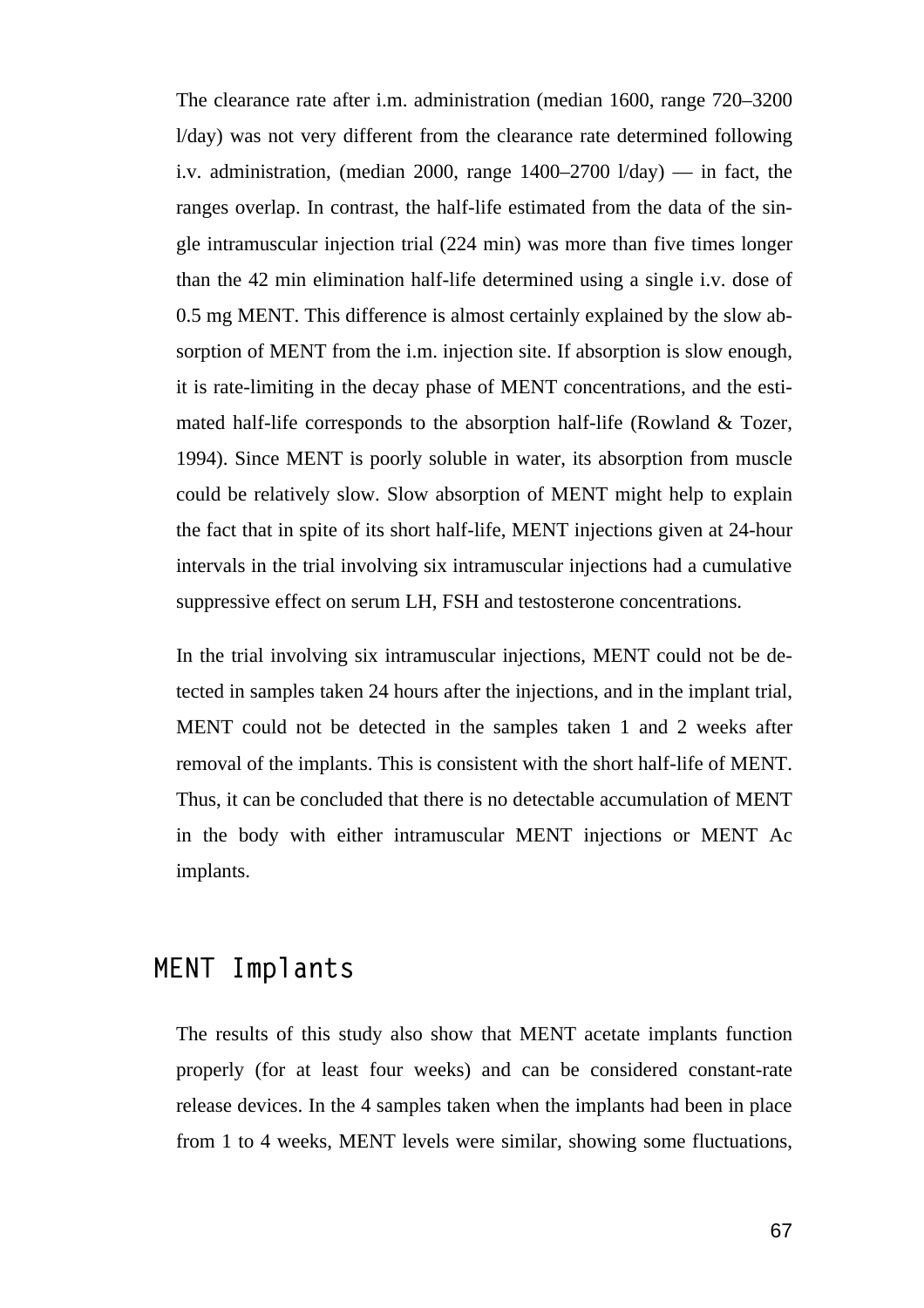The clearance rate after i.m. administration (median 1600, range 720–3200 l/day) was not very different from the clearance rate determined following i.v. administration, (median 2000, range 1400–2700 l/day) — in fact, the ranges overlap. In contrast, the half-life estimated from the data of the single intramuscular injection trial (224 min) was more than five times longer than the 42 min elimination half-life determined using a single i.v. dose of 0.5 mg MENT. This difference is almost certainly explained by the slow absorption of MENT from the i.m. injection site. If absorption is slow enough, it is rate-limiting in the decay phase of MENT concentrations, and the estimated half-life corresponds to the absorption half-life (Rowland & Tozer, 1994). Since MENT is poorly soluble in water, its absorption from muscle could be relatively slow. Slow absorption of MENT might help to explain the fact that in spite of its short half-life, MENT injections given at 24-hour intervals in the trial involving six intramuscular injections had a cumulative suppressive effect on serum LH, FSH and testosterone concentrations.

In the trial involving six intramuscular injections, MENT could not be detected in samples taken 24 hours after the injections, and in the implant trial, MENT could not be detected in the samples taken 1 and 2 weeks after removal of the implants. This is consistent with the short half-life of MENT. Thus, it can be concluded that there is no detectable accumulation of MENT in the body with either intramuscular MENT injections or MENT Ac implants.

### **MENT Implants**

The results of this study also show that MENT acetate implants function properly (for at least four weeks) and can be considered constant-rate release devices. In the 4 samples taken when the implants had been in place from 1 to 4 weeks, MENT levels were similar, showing some fluctuations,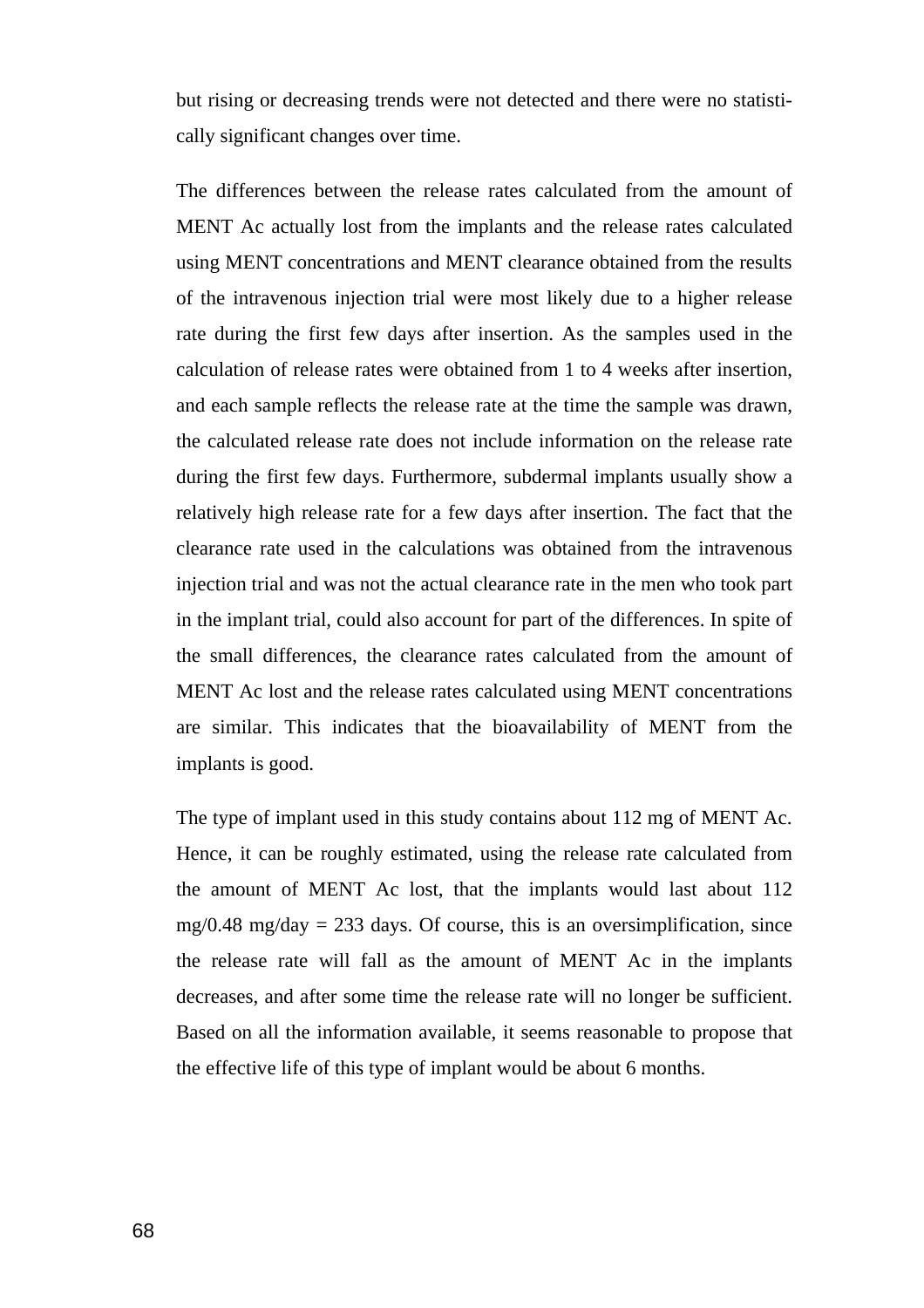but rising or decreasing trends were not detected and there were no statistically significant changes over time.

The differences between the release rates calculated from the amount of MENT Ac actually lost from the implants and the release rates calculated using MENT concentrations and MENT clearance obtained from the results of the intravenous injection trial were most likely due to a higher release rate during the first few days after insertion. As the samples used in the calculation of release rates were obtained from 1 to 4 weeks after insertion, and each sample reflects the release rate at the time the sample was drawn, the calculated release rate does not include information on the release rate during the first few days. Furthermore, subdermal implants usually show a relatively high release rate for a few days after insertion. The fact that the clearance rate used in the calculations was obtained from the intravenous injection trial and was not the actual clearance rate in the men who took part in the implant trial, could also account for part of the differences. In spite of the small differences, the clearance rates calculated from the amount of MENT Ac lost and the release rates calculated using MENT concentrations are similar. This indicates that the bioavailability of MENT from the implants is good.

The type of implant used in this study contains about 112 mg of MENT Ac. Hence, it can be roughly estimated, using the release rate calculated from the amount of MENT Ac lost, that the implants would last about 112  $mg/0.48$  mg/day = 233 days. Of course, this is an oversimplification, since the release rate will fall as the amount of MENT Ac in the implants decreases, and after some time the release rate will no longer be sufficient. Based on all the information available, it seems reasonable to propose that the effective life of this type of implant would be about 6 months.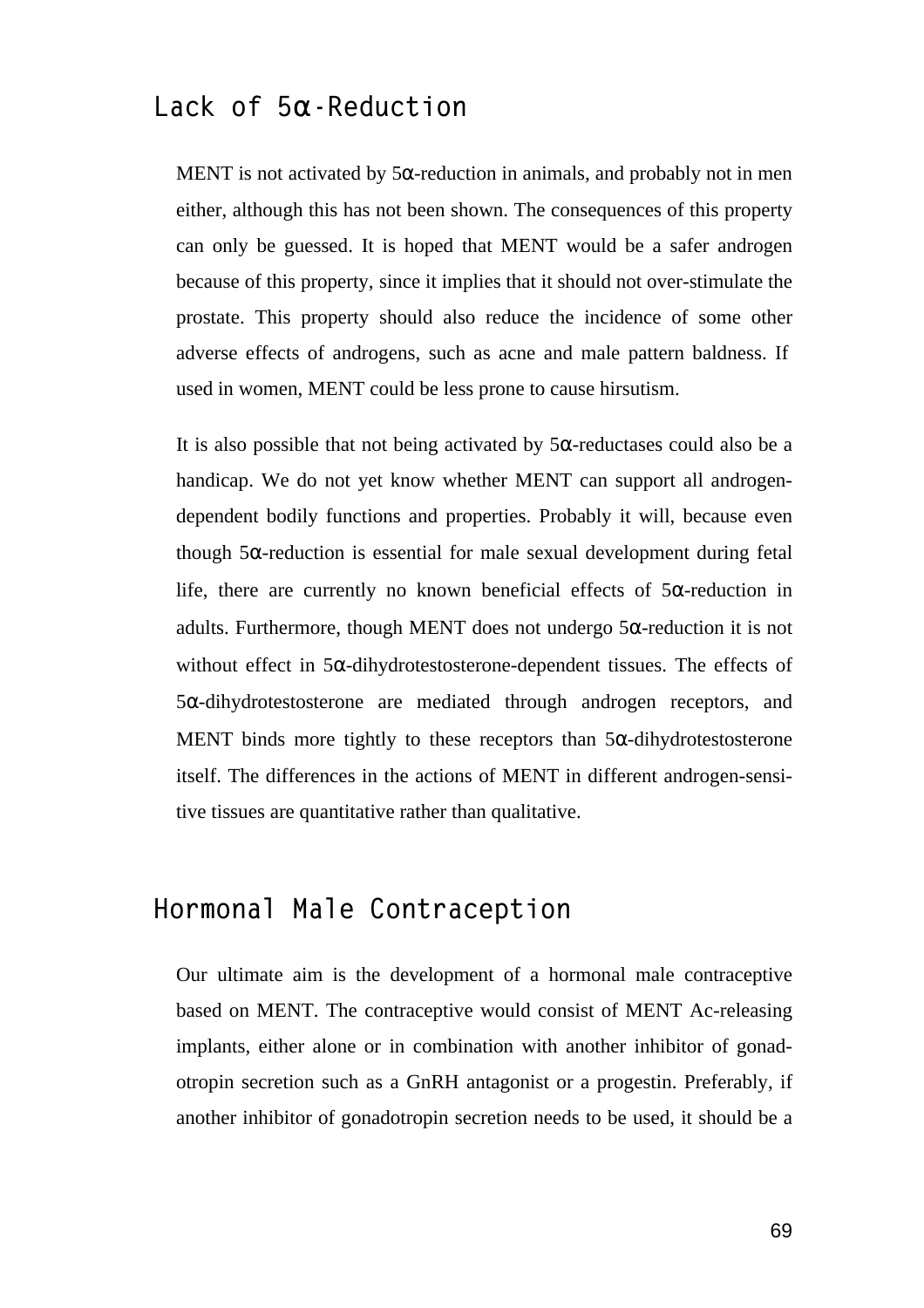### **Lack of 5a-Reduction**

MENT is not activated by  $5\alpha$ -reduction in animals, and probably not in men either, although this has not been shown. The consequences of this property can only be guessed. It is hoped that MENT would be a safer androgen because of this property, since it implies that it should not over-stimulate the prostate. This property should also reduce the incidence of some other adverse effects of androgens, such as acne and male pattern baldness. If used in women, MENT could be less prone to cause hirsutism.

It is also possible that not being activated by  $5\alpha$ -reductases could also be a handicap. We do not yet know whether MENT can support all androgendependent bodily functions and properties. Probably it will, because even though 5α-reduction is essential for male sexual development during fetal life, there are currently no known beneficial effects of  $5\alpha$ -reduction in adults. Furthermore, though MENT does not undergo 5α-reduction it is not without effect in  $5\alpha$ -dihydrotestosterone-dependent tissues. The effects of 5α-dihydrotestosterone are mediated through androgen receptors, and MENT binds more tightly to these receptors than 5α-dihydrotestosterone itself. The differences in the actions of MENT in different androgen-sensitive tissues are quantitative rather than qualitative.

### **Hormonal Male Contraception**

Our ultimate aim is the development of a hormonal male contraceptive based on MENT. The contraceptive would consist of MENT Ac-releasing implants, either alone or in combination with another inhibitor of gonadotropin secretion such as a GnRH antagonist or a progestin. Preferably, if another inhibitor of gonadotropin secretion needs to be used, it should be a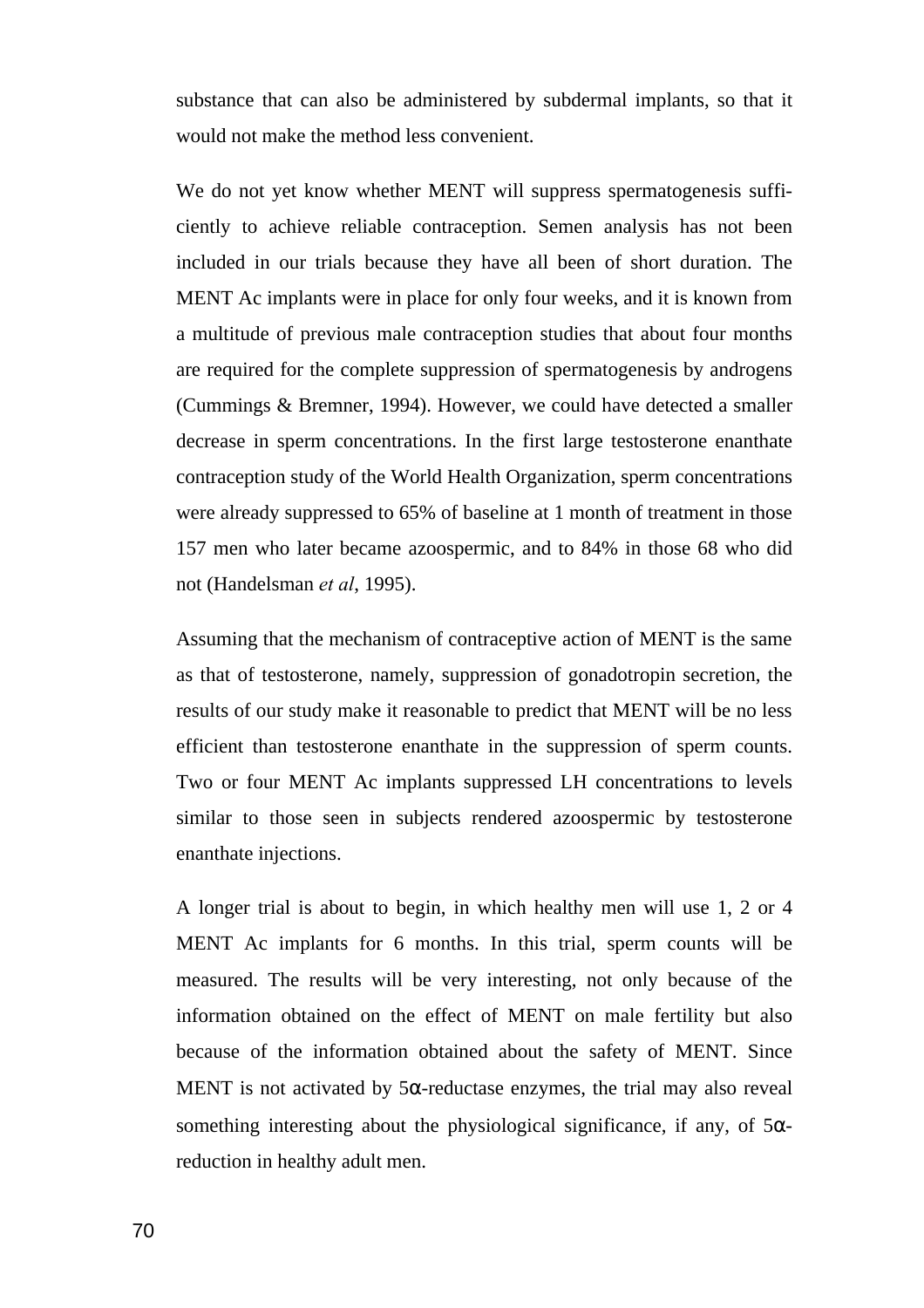substance that can also be administered by subdermal implants, so that it would not make the method less convenient.

We do not yet know whether MENT will suppress spermatogenesis sufficiently to achieve reliable contraception. Semen analysis has not been included in our trials because they have all been of short duration. The MENT Ac implants were in place for only four weeks, and it is known from a multitude of previous male contraception studies that about four months are required for the complete suppression of spermatogenesis by androgens (Cummings & Bremner, 1994). However, we could have detected a smaller decrease in sperm concentrations. In the first large testosterone enanthate contraception study of the World Health Organization, sperm concentrations were already suppressed to 65% of baseline at 1 month of treatment in those 157 men who later became azoospermic, and to 84% in those 68 who did not (Handelsman *et al*, 1995).

Assuming that the mechanism of contraceptive action of MENT is the same as that of testosterone, namely, suppression of gonadotropin secretion, the results of our study make it reasonable to predict that MENT will be no less efficient than testosterone enanthate in the suppression of sperm counts. Two or four MENT Ac implants suppressed LH concentrations to levels similar to those seen in subjects rendered azoospermic by testosterone enanthate injections.

A longer trial is about to begin, in which healthy men will use 1, 2 or 4 MENT Ac implants for 6 months. In this trial, sperm counts will be measured. The results will be very interesting, not only because of the information obtained on the effect of MENT on male fertility but also because of the information obtained about the safety of MENT. Since MENT is not activated by  $5\alpha$ -reductase enzymes, the trial may also reveal something interesting about the physiological significance, if any, of  $5\alpha$ reduction in healthy adult men.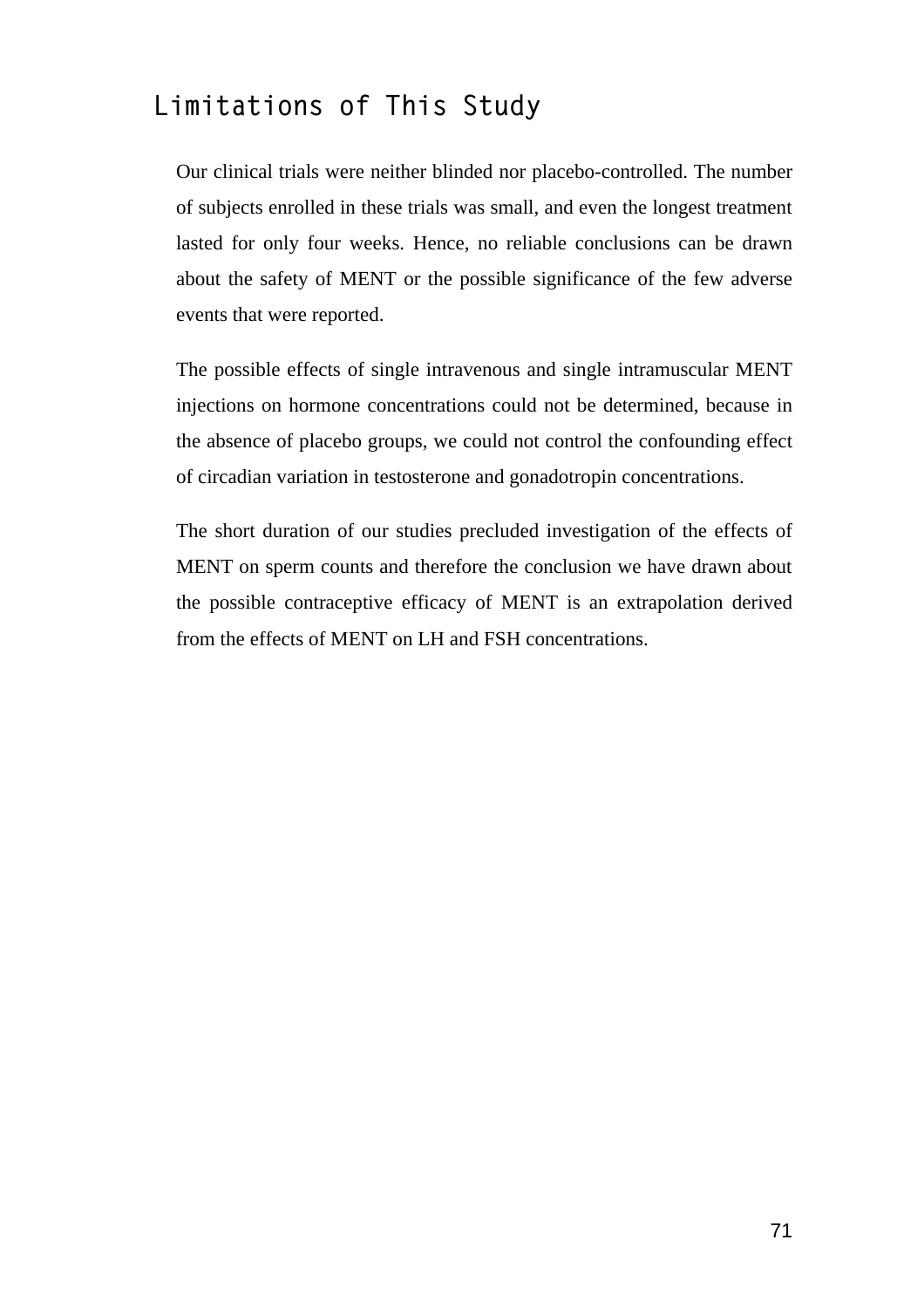### **Limitations of This Study**

Our clinical trials were neither blinded nor placebo-controlled. The number of subjects enrolled in these trials was small, and even the longest treatment lasted for only four weeks. Hence, no reliable conclusions can be drawn about the safety of MENT or the possible significance of the few adverse events that were reported.

The possible effects of single intravenous and single intramuscular MENT injections on hormone concentrations could not be determined, because in the absence of placebo groups, we could not control the confounding effect of circadian variation in testosterone and gonadotropin concentrations.

The short duration of our studies precluded investigation of the effects of MENT on sperm counts and therefore the conclusion we have drawn about the possible contraceptive efficacy of MENT is an extrapolation derived from the effects of MENT on LH and FSH concentrations.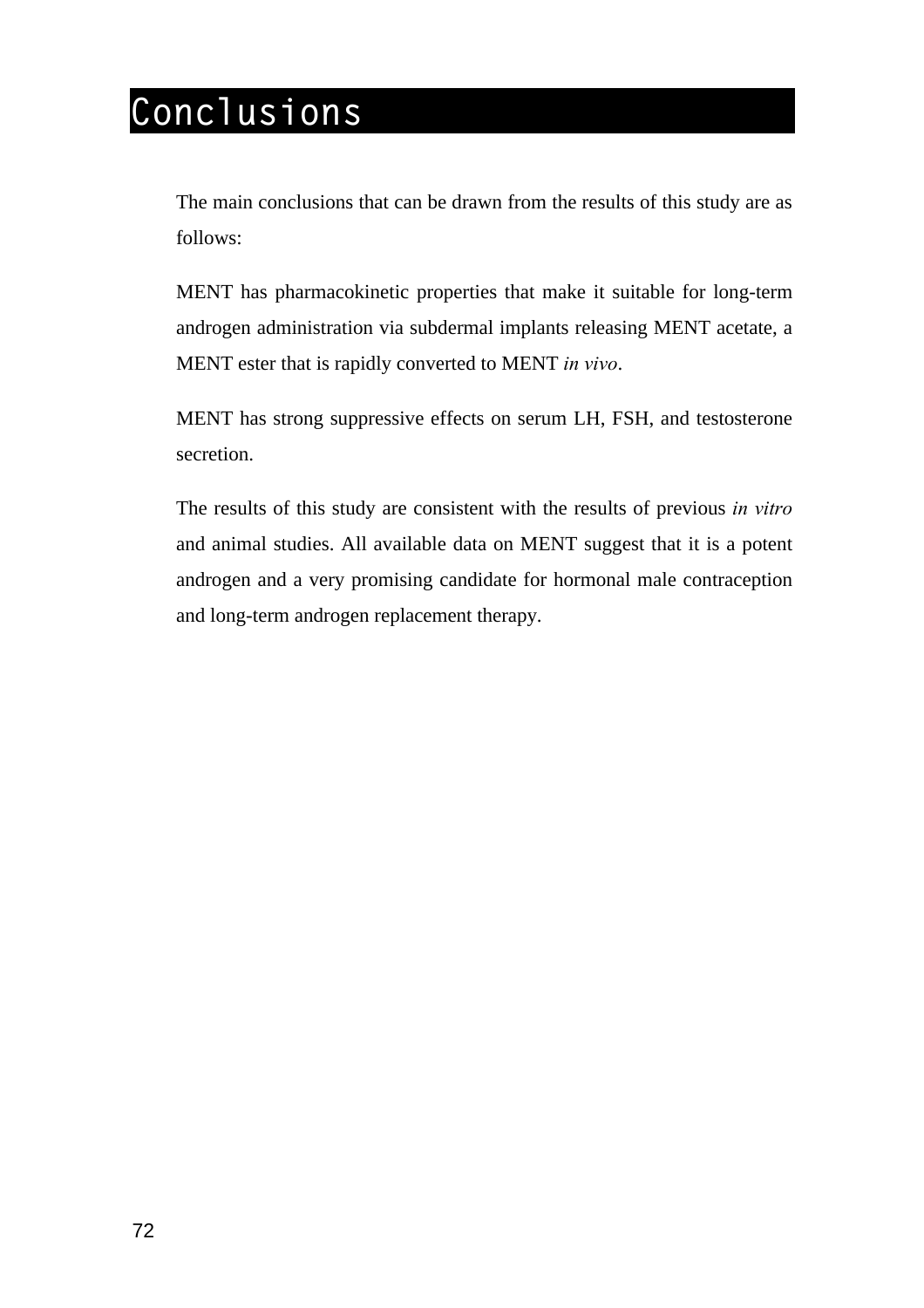# **Conclusions**

The main conclusions that can be drawn from the results of this study are as follows:

MENT has pharmacokinetic properties that make it suitable for long-term androgen administration via subdermal implants releasing MENT acetate, a MENT ester that is rapidly converted to MENT *in vivo*.

MENT has strong suppressive effects on serum LH, FSH, and testosterone secretion.

The results of this study are consistent with the results of previous *in vitro* and animal studies. All available data on MENT suggest that it is a potent androgen and a very promising candidate for hormonal male contraception and long-term androgen replacement therapy.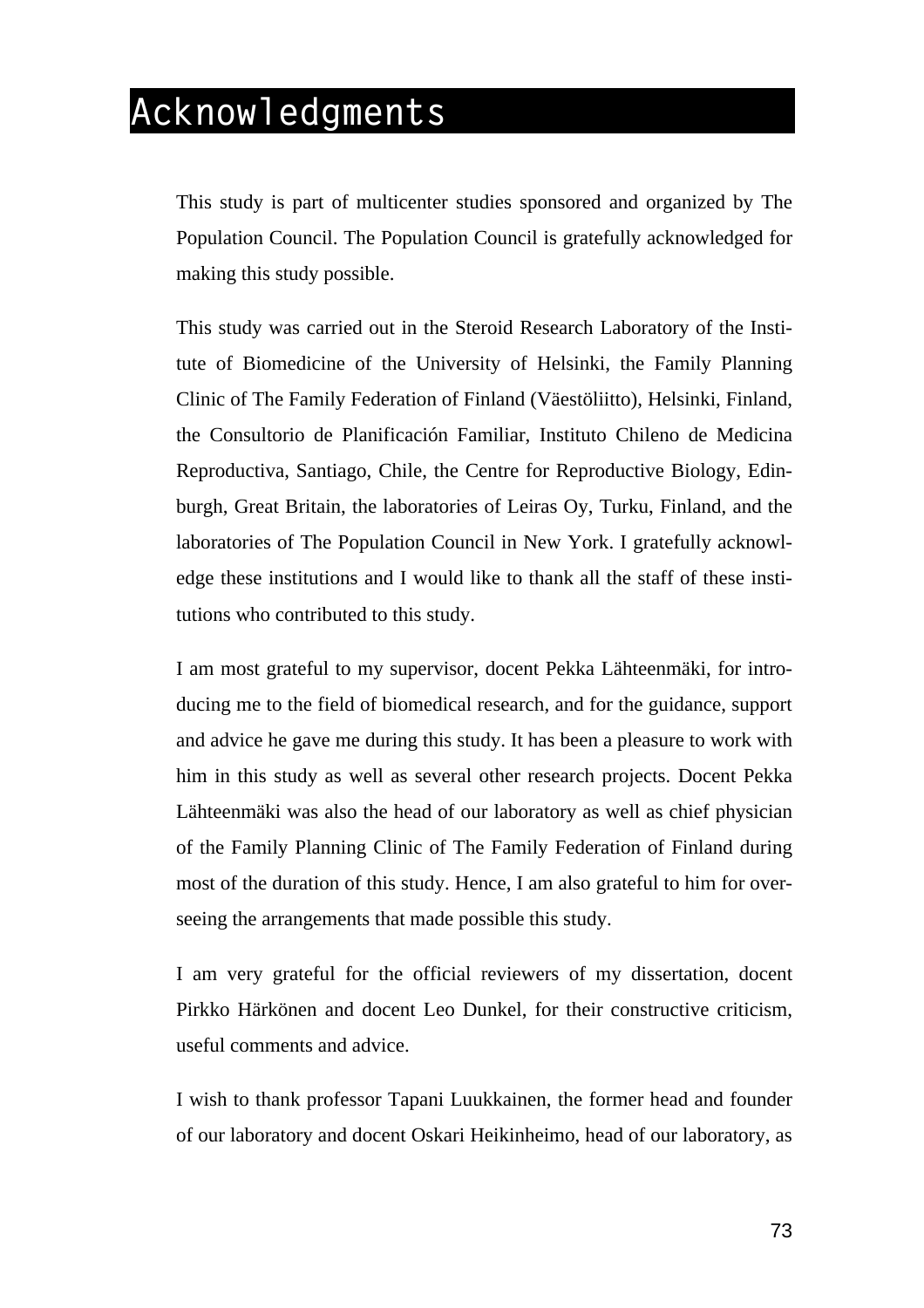## **Acknowledgments**

This study is part of multicenter studies sponsored and organized by The Population Council. The Population Council is gratefully acknowledged for making this study possible.

This study was carried out in the Steroid Research Laboratory of the Institute of Biomedicine of the University of Helsinki, the Family Planning Clinic of The Family Federation of Finland (Väestöliitto), Helsinki, Finland, the Consultorio de Planificación Familiar, Instituto Chileno de Medicina Reproductiva, Santiago, Chile, the Centre for Reproductive Biology, Edinburgh, Great Britain, the laboratories of Leiras Oy, Turku, Finland, and the laboratories of The Population Council in New York. I gratefully acknowledge these institutions and I would like to thank all the staff of these institutions who contributed to this study.

I am most grateful to my supervisor, docent Pekka Lähteenmäki, for introducing me to the field of biomedical research, and for the guidance, support and advice he gave me during this study. It has been a pleasure to work with him in this study as well as several other research projects. Docent Pekka Lähteenmäki was also the head of our laboratory as well as chief physician of the Family Planning Clinic of The Family Federation of Finland during most of the duration of this study. Hence, I am also grateful to him for overseeing the arrangements that made possible this study.

I am very grateful for the official reviewers of my dissertation, docent Pirkko Härkönen and docent Leo Dunkel, for their constructive criticism, useful comments and advice.

I wish to thank professor Tapani Luukkainen, the former head and founder of our laboratory and docent Oskari Heikinheimo, head of our laboratory, as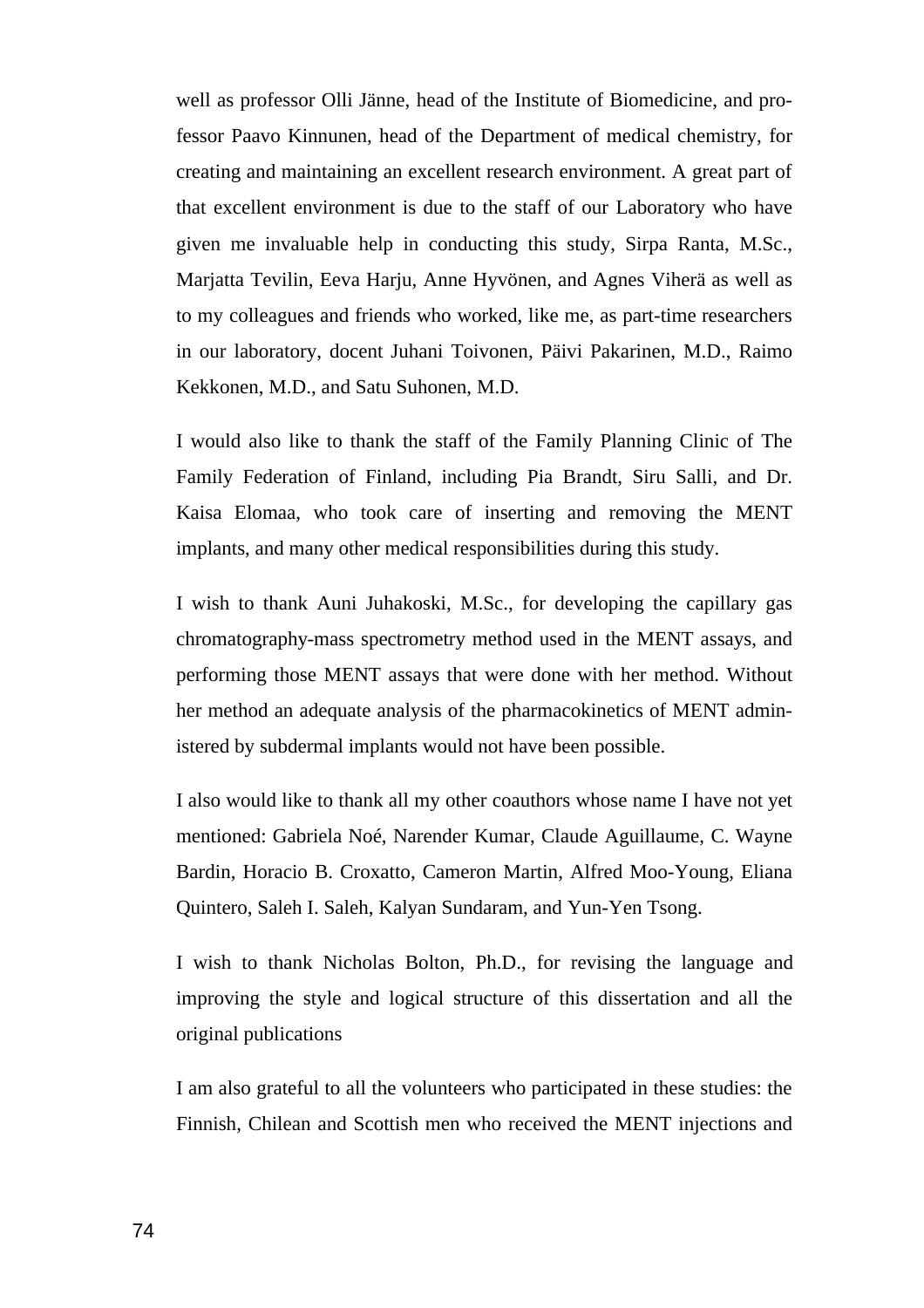well as professor Olli Jänne, head of the Institute of Biomedicine, and professor Paavo Kinnunen, head of the Department of medical chemistry, for creating and maintaining an excellent research environment. A great part of that excellent environment is due to the staff of our Laboratory who have given me invaluable help in conducting this study, Sirpa Ranta, M.Sc., Marjatta Tevilin, Eeva Harju, Anne Hyvönen, and Agnes Viherä as well as to my colleagues and friends who worked, like me, as part-time researchers in our laboratory, docent Juhani Toivonen, Päivi Pakarinen, M.D., Raimo Kekkonen, M.D., and Satu Suhonen, M.D.

I would also like to thank the staff of the Family Planning Clinic of The Family Federation of Finland, including Pia Brandt, Siru Salli, and Dr. Kaisa Elomaa, who took care of inserting and removing the MENT implants, and many other medical responsibilities during this study.

I wish to thank Auni Juhakoski, M.Sc., for developing the capillary gas chromatography-mass spectrometry method used in the MENT assays, and performing those MENT assays that were done with her method. Without her method an adequate analysis of the pharmacokinetics of MENT administered by subdermal implants would not have been possible.

I also would like to thank all my other coauthors whose name I have not yet mentioned: Gabriela Noé, Narender Kumar, Claude Aguillaume, C. Wayne Bardin, Horacio B. Croxatto, Cameron Martin, Alfred Moo-Young, Eliana Quintero, Saleh I. Saleh, Kalyan Sundaram, and Yun-Yen Tsong.

I wish to thank Nicholas Bolton, Ph.D., for revising the language and improving the style and logical structure of this dissertation and all the original publications

I am also grateful to all the volunteers who participated in these studies: the Finnish, Chilean and Scottish men who received the MENT injections and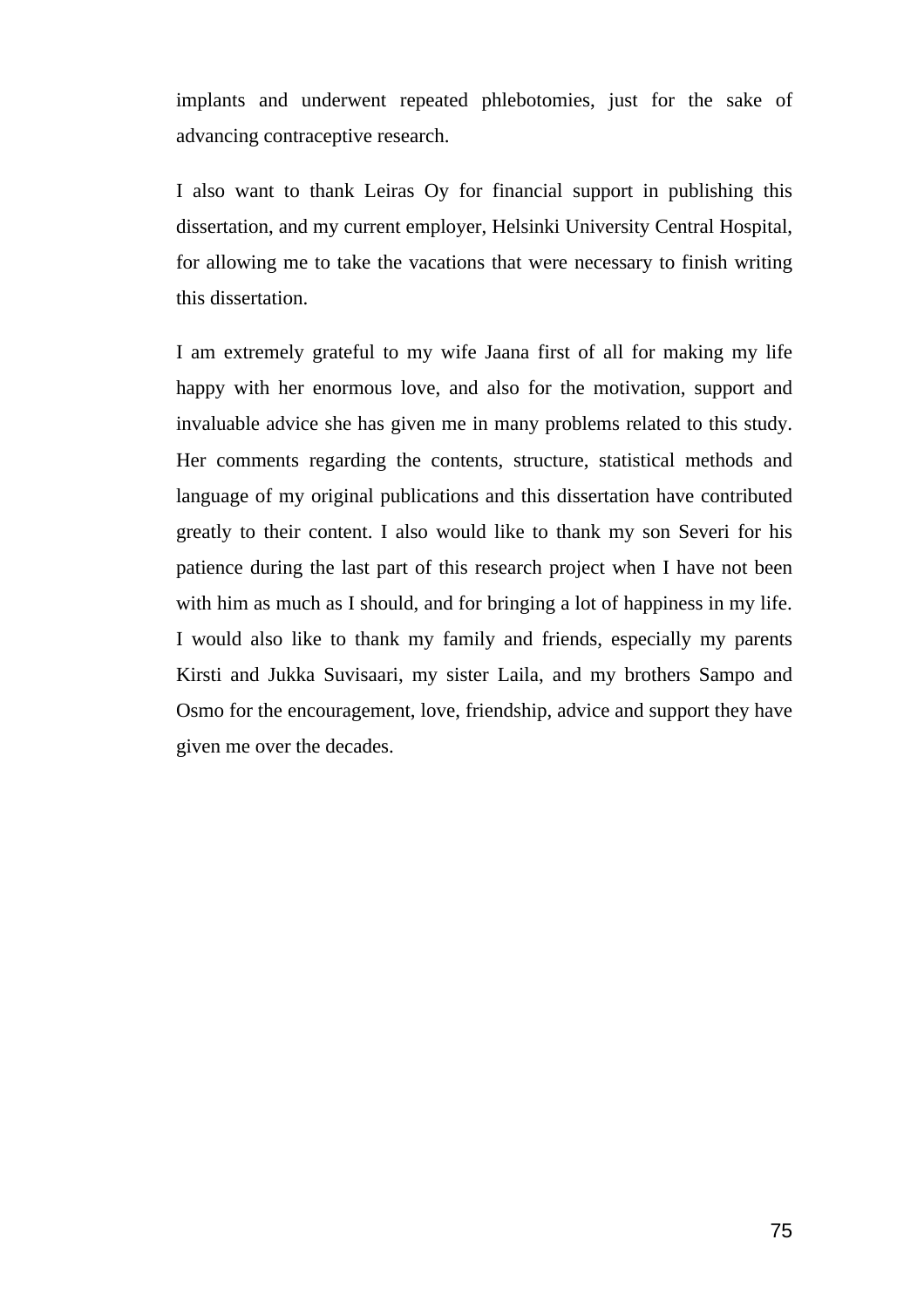implants and underwent repeated phlebotomies, just for the sake of advancing contraceptive research.

I also want to thank Leiras Oy for financial support in publishing this dissertation, and my current employer, Helsinki University Central Hospital, for allowing me to take the vacations that were necessary to finish writing this dissertation.

I am extremely grateful to my wife Jaana first of all for making my life happy with her enormous love, and also for the motivation, support and invaluable advice she has given me in many problems related to this study. Her comments regarding the contents, structure, statistical methods and language of my original publications and this dissertation have contributed greatly to their content. I also would like to thank my son Severi for his patience during the last part of this research project when I have not been with him as much as I should, and for bringing a lot of happiness in my life. I would also like to thank my family and friends, especially my parents Kirsti and Jukka Suvisaari, my sister Laila, and my brothers Sampo and Osmo for the encouragement, love, friendship, advice and support they have given me over the decades.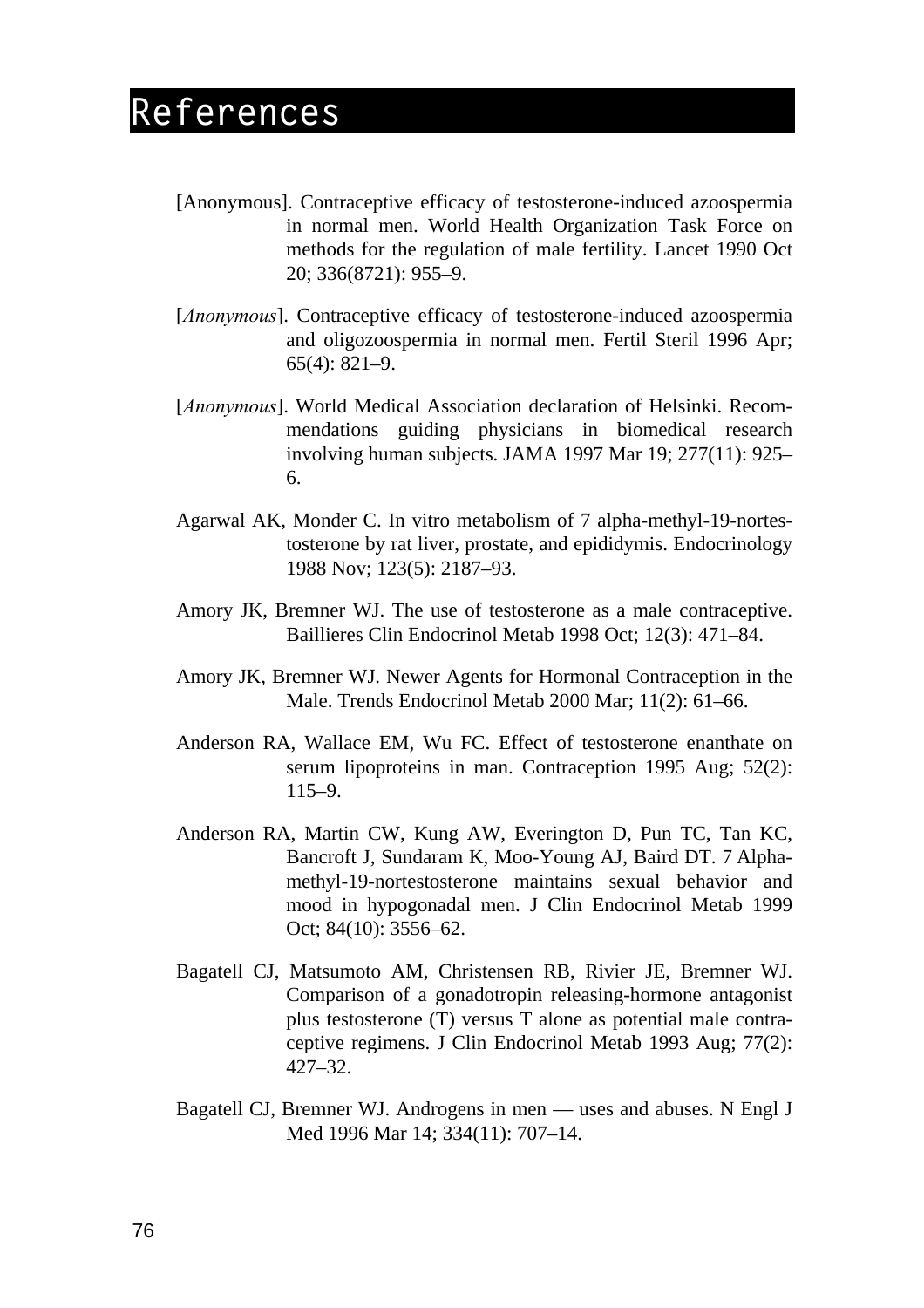## **References**

- [Anonymous]. Contraceptive efficacy of testosterone-induced azoospermia in normal men. World Health Organization Task Force on methods for the regulation of male fertility. Lancet 1990 Oct 20; 336(8721): 955–9.
- [*Anonymous*]. Contraceptive efficacy of testosterone-induced azoospermia and oligozoospermia in normal men. Fertil Steril 1996 Apr; 65(4): 821–9.
- [*Anonymous*]. World Medical Association declaration of Helsinki. Recommendations guiding physicians in biomedical research involving human subjects. JAMA 1997 Mar 19; 277(11): 925– 6.
- Agarwal AK, Monder C. In vitro metabolism of 7 alpha-methyl-19-nortestosterone by rat liver, prostate, and epididymis. Endocrinology 1988 Nov; 123(5): 2187–93.
- Amory JK, Bremner WJ. The use of testosterone as a male contraceptive. Baillieres Clin Endocrinol Metab 1998 Oct; 12(3): 471–84.
- Amory JK, Bremner WJ. Newer Agents for Hormonal Contraception in the Male. Trends Endocrinol Metab 2000 Mar; 11(2): 61–66.
- Anderson RA, Wallace EM, Wu FC. Effect of testosterone enanthate on serum lipoproteins in man. Contraception 1995 Aug; 52(2): 115–9.
- Anderson RA, Martin CW, Kung AW, Everington D, Pun TC, Tan KC, Bancroft J, Sundaram K, Moo-Young AJ, Baird DT. 7 Alphamethyl-19-nortestosterone maintains sexual behavior and mood in hypogonadal men. J Clin Endocrinol Metab 1999 Oct; 84(10): 3556–62.
- Bagatell CJ, Matsumoto AM, Christensen RB, Rivier JE, Bremner WJ. Comparison of a gonadotropin releasing-hormone antagonist plus testosterone (T) versus T alone as potential male contraceptive regimens. J Clin Endocrinol Metab 1993 Aug; 77(2): 427–32.
- Bagatell CJ, Bremner WJ. Androgens in men uses and abuses. N Engl J Med 1996 Mar 14; 334(11): 707–14.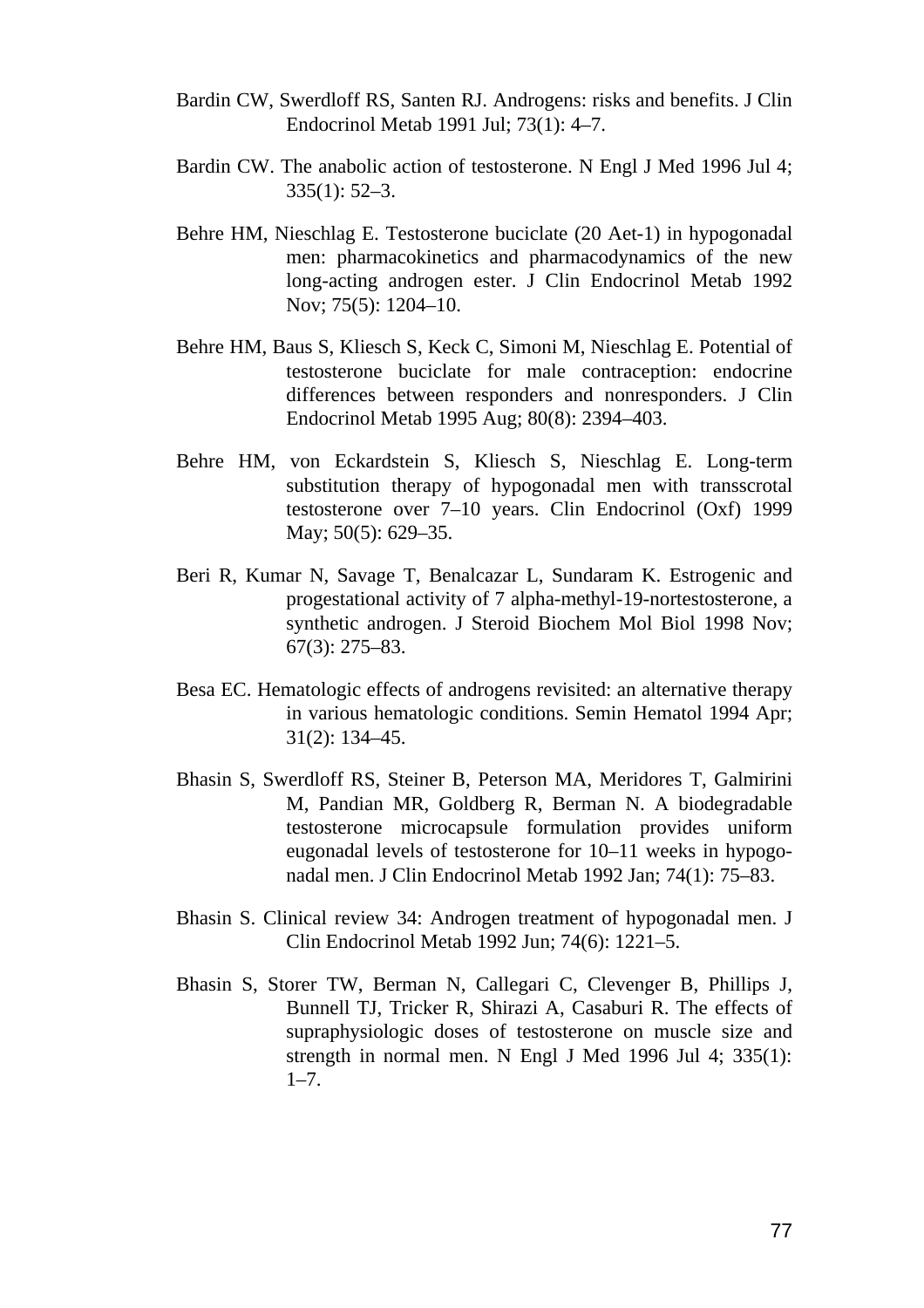- Bardin CW, Swerdloff RS, Santen RJ. Androgens: risks and benefits. J Clin Endocrinol Metab 1991 Jul; 73(1): 4–7.
- Bardin CW. The anabolic action of testosterone. N Engl J Med 1996 Jul 4; 335(1): 52–3.
- Behre HM, Nieschlag E. Testosterone buciclate (20 Aet-1) in hypogonadal men: pharmacokinetics and pharmacodynamics of the new long-acting androgen ester. J Clin Endocrinol Metab 1992 Nov; 75(5): 1204–10.
- Behre HM, Baus S, Kliesch S, Keck C, Simoni M, Nieschlag E. Potential of testosterone buciclate for male contraception: endocrine differences between responders and nonresponders. J Clin Endocrinol Metab 1995 Aug; 80(8): 2394–403.
- Behre HM, von Eckardstein S, Kliesch S, Nieschlag E. Long-term substitution therapy of hypogonadal men with transscrotal testosterone over 7–10 years. Clin Endocrinol (Oxf) 1999 May; 50(5): 629–35.
- Beri R, Kumar N, Savage T, Benalcazar L, Sundaram K. Estrogenic and progestational activity of 7 alpha-methyl-19-nortestosterone, a synthetic androgen. J Steroid Biochem Mol Biol 1998 Nov; 67(3): 275–83.
- Besa EC. Hematologic effects of androgens revisited: an alternative therapy in various hematologic conditions. Semin Hematol 1994 Apr; 31(2): 134–45.
- Bhasin S, Swerdloff RS, Steiner B, Peterson MA, Meridores T, Galmirini M, Pandian MR, Goldberg R, Berman N. A biodegradable testosterone microcapsule formulation provides uniform eugonadal levels of testosterone for 10–11 weeks in hypogonadal men. J Clin Endocrinol Metab 1992 Jan; 74(1): 75–83.
- Bhasin S. Clinical review 34: Androgen treatment of hypogonadal men. J Clin Endocrinol Metab 1992 Jun; 74(6): 1221–5.
- Bhasin S, Storer TW, Berman N, Callegari C, Clevenger B, Phillips J, Bunnell TJ, Tricker R, Shirazi A, Casaburi R. The effects of supraphysiologic doses of testosterone on muscle size and strength in normal men. N Engl J Med 1996 Jul 4; 335(1):  $1 - 7$ .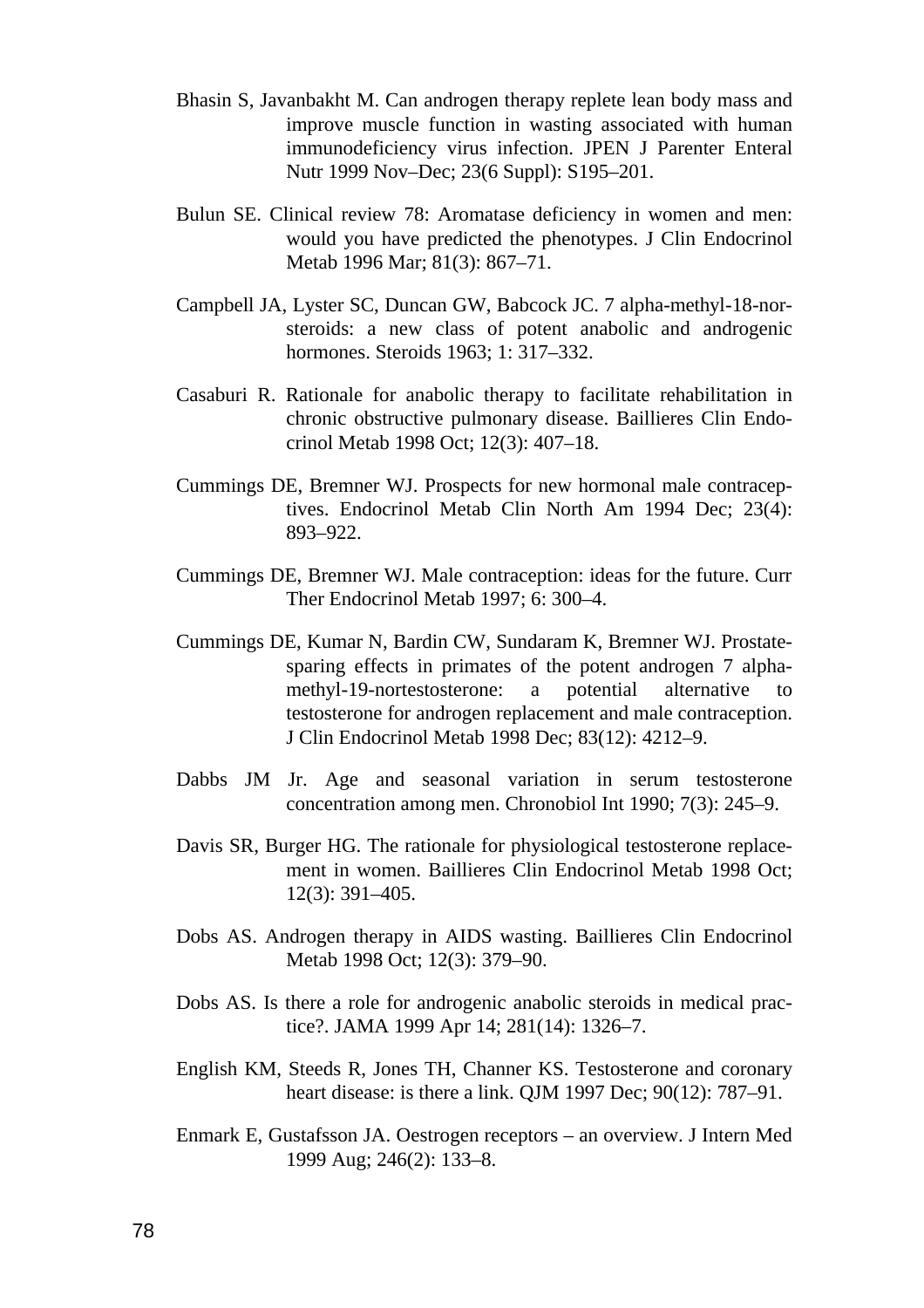- Bhasin S, Javanbakht M. Can androgen therapy replete lean body mass and improve muscle function in wasting associated with human immunodeficiency virus infection. JPEN J Parenter Enteral Nutr 1999 Nov–Dec; 23(6 Suppl): S195–201.
- Bulun SE. Clinical review 78: Aromatase deficiency in women and men: would you have predicted the phenotypes. J Clin Endocrinol Metab 1996 Mar; 81(3): 867–71.
- Campbell JA, Lyster SC, Duncan GW, Babcock JC. 7 alpha-methyl-18-norsteroids: a new class of potent anabolic and androgenic hormones. Steroids 1963; 1: 317–332.
- Casaburi R. Rationale for anabolic therapy to facilitate rehabilitation in chronic obstructive pulmonary disease. Baillieres Clin Endocrinol Metab 1998 Oct; 12(3): 407–18.
- Cummings DE, Bremner WJ. Prospects for new hormonal male contraceptives. Endocrinol Metab Clin North Am 1994 Dec; 23(4): 893–922.
- Cummings DE, Bremner WJ. Male contraception: ideas for the future. Curr Ther Endocrinol Metab 1997; 6: 300–4.
- Cummings DE, Kumar N, Bardin CW, Sundaram K, Bremner WJ. Prostatesparing effects in primates of the potent androgen 7 alphamethyl-19-nortestosterone: a potential alternative to testosterone for androgen replacement and male contraception. J Clin Endocrinol Metab 1998 Dec; 83(12): 4212–9.
- Dabbs JM Jr. Age and seasonal variation in serum testosterone concentration among men. Chronobiol Int 1990; 7(3): 245–9.
- Davis SR, Burger HG. The rationale for physiological testosterone replacement in women. Baillieres Clin Endocrinol Metab 1998 Oct; 12(3): 391–405.
- Dobs AS. Androgen therapy in AIDS wasting. Baillieres Clin Endocrinol Metab 1998 Oct; 12(3): 379–90.
- Dobs AS. Is there a role for androgenic anabolic steroids in medical practice?. JAMA 1999 Apr 14; 281(14): 1326–7.
- English KM, Steeds R, Jones TH, Channer KS. Testosterone and coronary heart disease: is there a link. QJM 1997 Dec; 90(12): 787–91.
- Enmark E, Gustafsson JA. Oestrogen receptors an overview. J Intern Med 1999 Aug; 246(2): 133–8.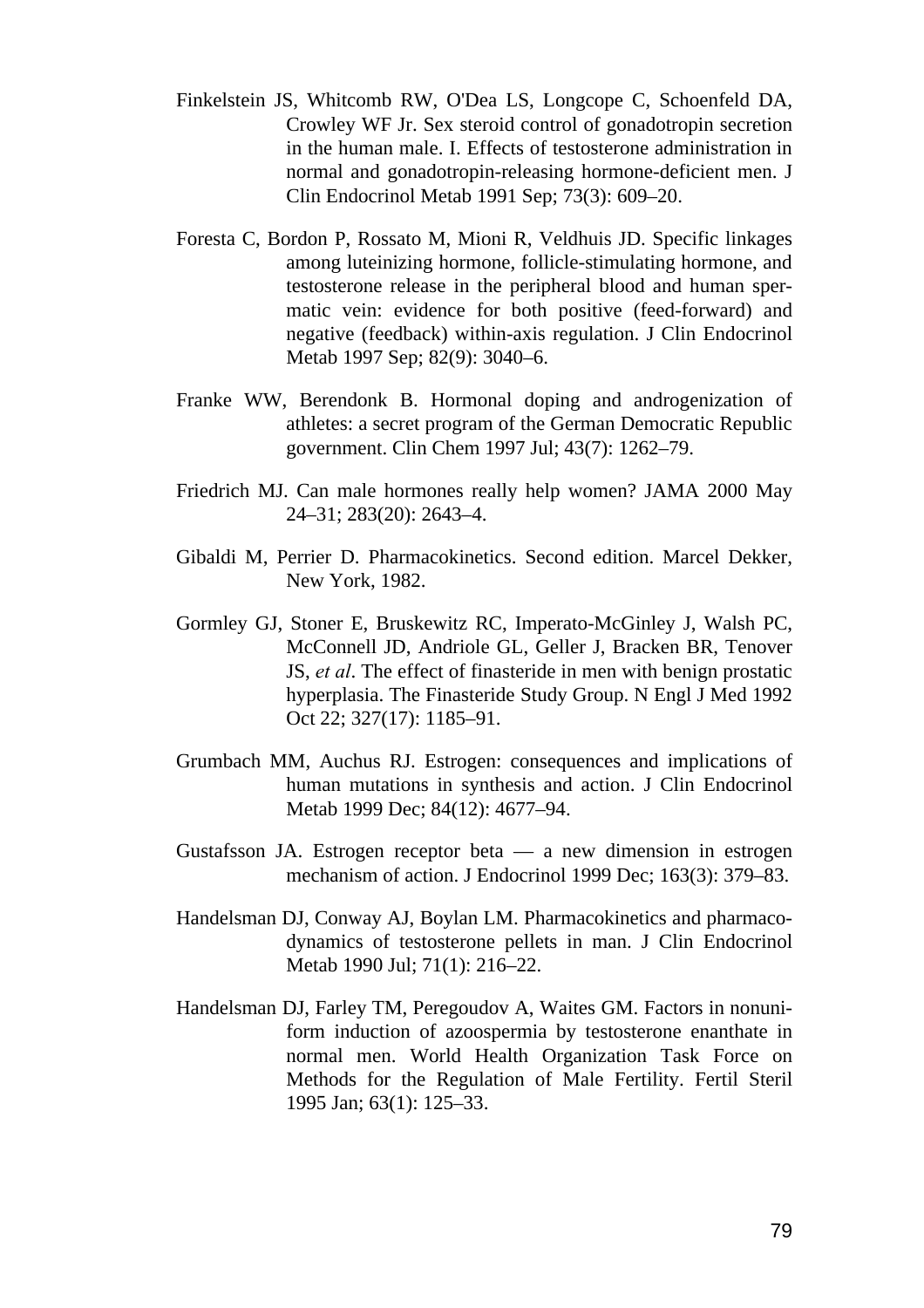- Finkelstein JS, Whitcomb RW, O'Dea LS, Longcope C, Schoenfeld DA, Crowley WF Jr. Sex steroid control of gonadotropin secretion in the human male. I. Effects of testosterone administration in normal and gonadotropin-releasing hormone-deficient men. J Clin Endocrinol Metab 1991 Sep; 73(3): 609–20.
- Foresta C, Bordon P, Rossato M, Mioni R, Veldhuis JD. Specific linkages among luteinizing hormone, follicle-stimulating hormone, and testosterone release in the peripheral blood and human spermatic vein: evidence for both positive (feed-forward) and negative (feedback) within-axis regulation. J Clin Endocrinol Metab 1997 Sep; 82(9): 3040–6.
- Franke WW, Berendonk B. Hormonal doping and androgenization of athletes: a secret program of the German Democratic Republic government. Clin Chem 1997 Jul; 43(7): 1262–79.
- Friedrich MJ. Can male hormones really help women? JAMA 2000 May 24–31; 283(20): 2643–4.
- Gibaldi M, Perrier D. Pharmacokinetics. Second edition. Marcel Dekker, New York, 1982.
- Gormley GJ, Stoner E, Bruskewitz RC, Imperato-McGinley J, Walsh PC, McConnell JD, Andriole GL, Geller J, Bracken BR, Tenover JS, *et al*. The effect of finasteride in men with benign prostatic hyperplasia. The Finasteride Study Group. N Engl J Med 1992 Oct 22; 327(17): 1185–91.
- Grumbach MM, Auchus RJ. Estrogen: consequences and implications of human mutations in synthesis and action. J Clin Endocrinol Metab 1999 Dec; 84(12): 4677–94.
- Gustafsson JA. Estrogen receptor beta a new dimension in estrogen mechanism of action. J Endocrinol 1999 Dec; 163(3): 379–83.
- Handelsman DJ, Conway AJ, Boylan LM. Pharmacokinetics and pharmacodynamics of testosterone pellets in man. J Clin Endocrinol Metab 1990 Jul; 71(1): 216–22.
- Handelsman DJ, Farley TM, Peregoudov A, Waites GM. Factors in nonuniform induction of azoospermia by testosterone enanthate in normal men. World Health Organization Task Force on Methods for the Regulation of Male Fertility. Fertil Steril 1995 Jan; 63(1): 125–33.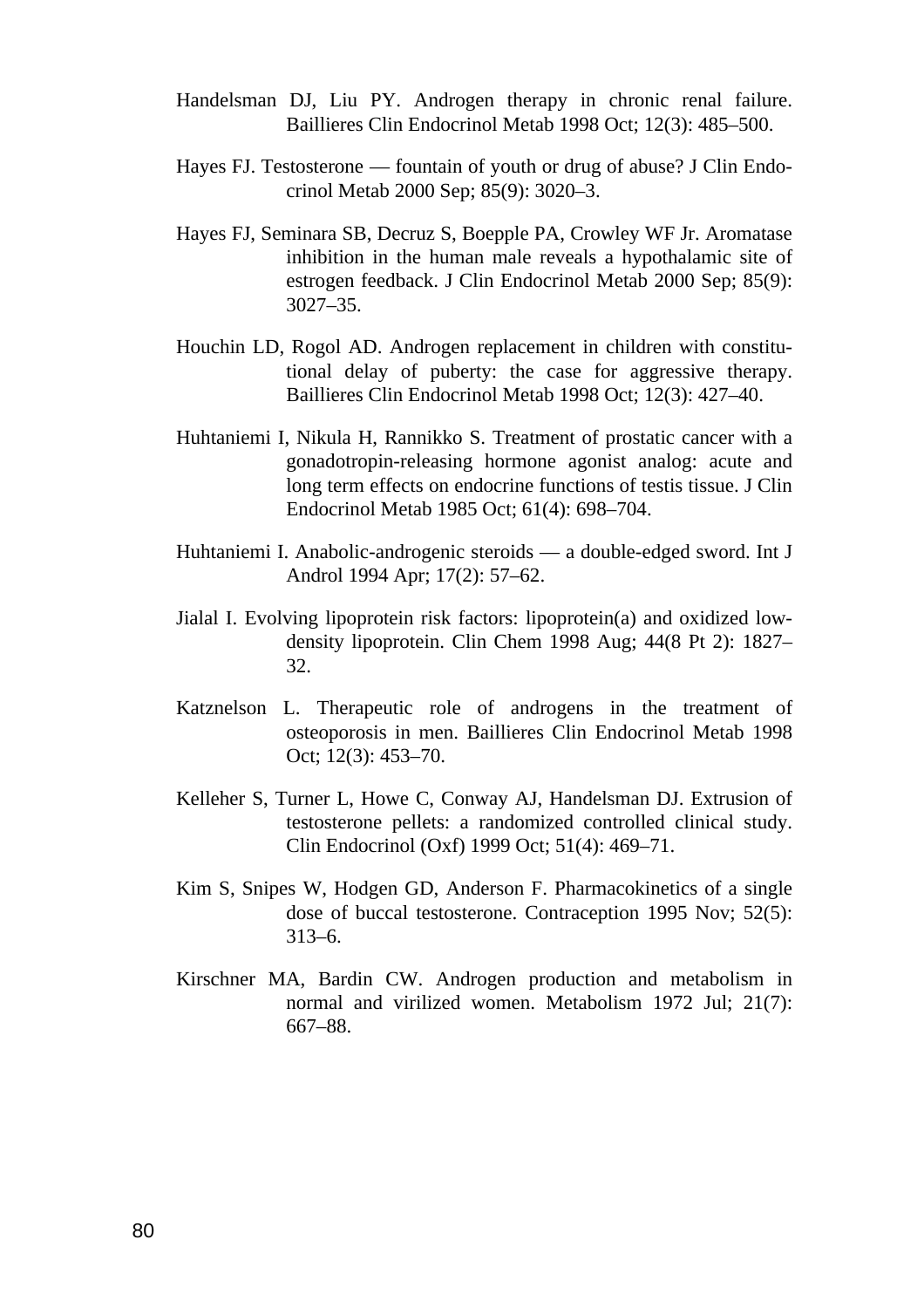- Handelsman DJ, Liu PY. Androgen therapy in chronic renal failure. Baillieres Clin Endocrinol Metab 1998 Oct; 12(3): 485–500.
- Hayes FJ. Testosterone fountain of youth or drug of abuse? J Clin Endocrinol Metab 2000 Sep; 85(9): 3020–3.
- Hayes FJ, Seminara SB, Decruz S, Boepple PA, Crowley WF Jr. Aromatase inhibition in the human male reveals a hypothalamic site of estrogen feedback. J Clin Endocrinol Metab 2000 Sep; 85(9): 3027–35.
- Houchin LD, Rogol AD. Androgen replacement in children with constitutional delay of puberty: the case for aggressive therapy. Baillieres Clin Endocrinol Metab 1998 Oct; 12(3): 427–40.
- Huhtaniemi I, Nikula H, Rannikko S. Treatment of prostatic cancer with a gonadotropin-releasing hormone agonist analog: acute and long term effects on endocrine functions of testis tissue. J Clin Endocrinol Metab 1985 Oct; 61(4): 698–704.
- Huhtaniemi I. Anabolic-androgenic steroids a double-edged sword. Int J Androl 1994 Apr; 17(2): 57–62.
- Jialal I. Evolving lipoprotein risk factors: lipoprotein(a) and oxidized lowdensity lipoprotein. Clin Chem 1998 Aug; 44(8 Pt 2): 1827– 32.
- Katznelson L. Therapeutic role of androgens in the treatment of osteoporosis in men. Baillieres Clin Endocrinol Metab 1998 Oct; 12(3): 453–70.
- Kelleher S, Turner L, Howe C, Conway AJ, Handelsman DJ. Extrusion of testosterone pellets: a randomized controlled clinical study. Clin Endocrinol (Oxf) 1999 Oct; 51(4): 469–71.
- Kim S, Snipes W, Hodgen GD, Anderson F. Pharmacokinetics of a single dose of buccal testosterone. Contraception 1995 Nov; 52(5): 313–6.
- Kirschner MA, Bardin CW. Androgen production and metabolism in normal and virilized women. Metabolism 1972 Jul; 21(7): 667–88.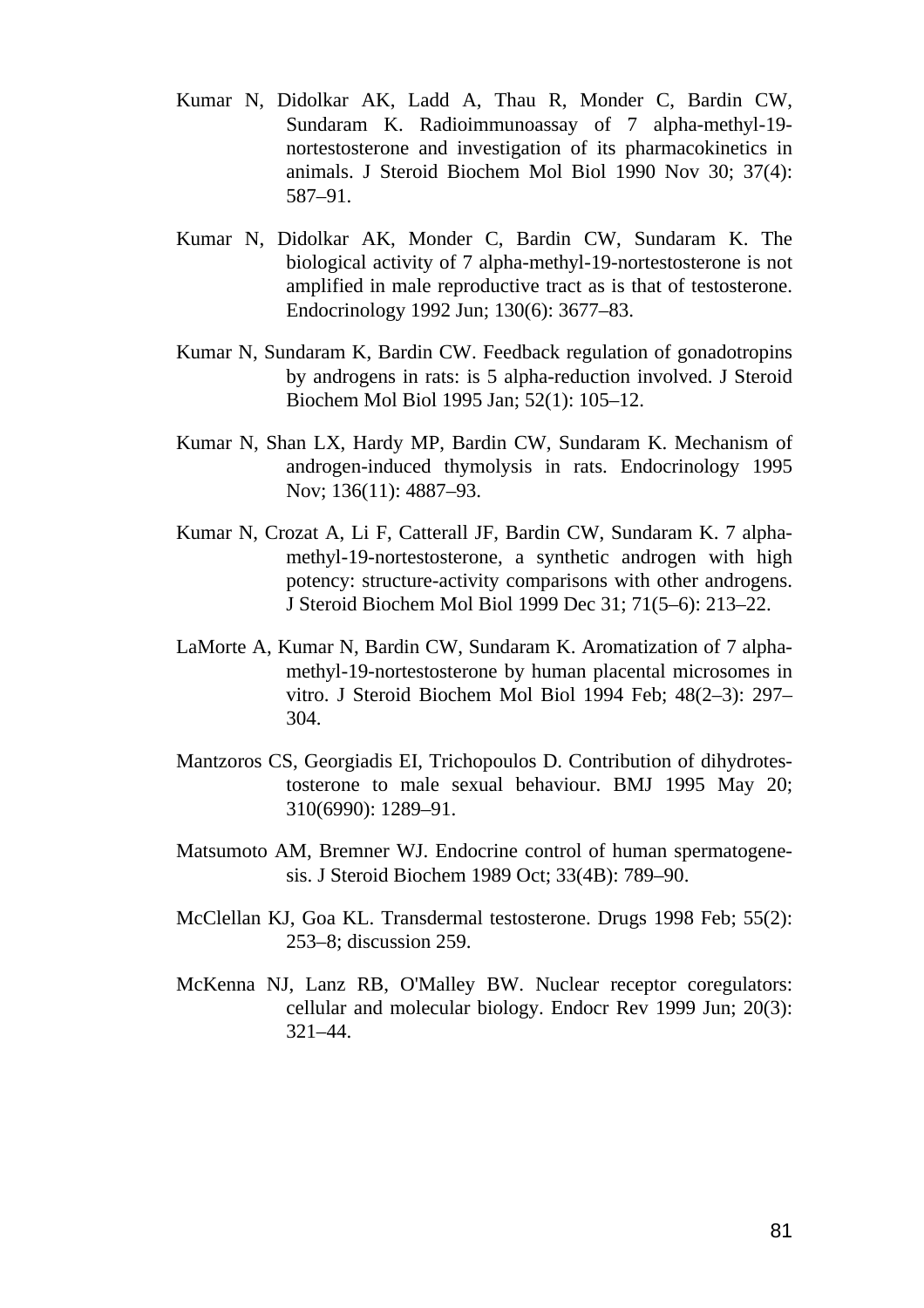- Kumar N, Didolkar AK, Ladd A, Thau R, Monder C, Bardin CW, Sundaram K. Radioimmunoassay of 7 alpha-methyl-19 nortestosterone and investigation of its pharmacokinetics in animals. J Steroid Biochem Mol Biol 1990 Nov 30; 37(4): 587–91.
- Kumar N, Didolkar AK, Monder C, Bardin CW, Sundaram K. The biological activity of 7 alpha-methyl-19-nortestosterone is not amplified in male reproductive tract as is that of testosterone. Endocrinology 1992 Jun; 130(6): 3677–83.
- Kumar N, Sundaram K, Bardin CW. Feedback regulation of gonadotropins by androgens in rats: is 5 alpha-reduction involved. J Steroid Biochem Mol Biol 1995 Jan; 52(1): 105–12.
- Kumar N, Shan LX, Hardy MP, Bardin CW, Sundaram K. Mechanism of androgen-induced thymolysis in rats. Endocrinology 1995 Nov; 136(11): 4887–93.
- Kumar N, Crozat A, Li F, Catterall JF, Bardin CW, Sundaram K. 7 alphamethyl-19-nortestosterone, a synthetic androgen with high potency: structure-activity comparisons with other androgens. J Steroid Biochem Mol Biol 1999 Dec 31; 71(5–6): 213–22.
- LaMorte A, Kumar N, Bardin CW, Sundaram K. Aromatization of 7 alphamethyl-19-nortestosterone by human placental microsomes in vitro. J Steroid Biochem Mol Biol 1994 Feb; 48(2–3): 297– 304.
- Mantzoros CS, Georgiadis EI, Trichopoulos D. Contribution of dihydrotestosterone to male sexual behaviour. BMJ 1995 May 20; 310(6990): 1289–91.
- Matsumoto AM, Bremner WJ. Endocrine control of human spermatogenesis. J Steroid Biochem 1989 Oct; 33(4B): 789–90.
- McClellan KJ, Goa KL. Transdermal testosterone. Drugs 1998 Feb; 55(2): 253–8; discussion 259.
- McKenna NJ, Lanz RB, O'Malley BW. Nuclear receptor coregulators: cellular and molecular biology. Endocr Rev 1999 Jun; 20(3): 321–44.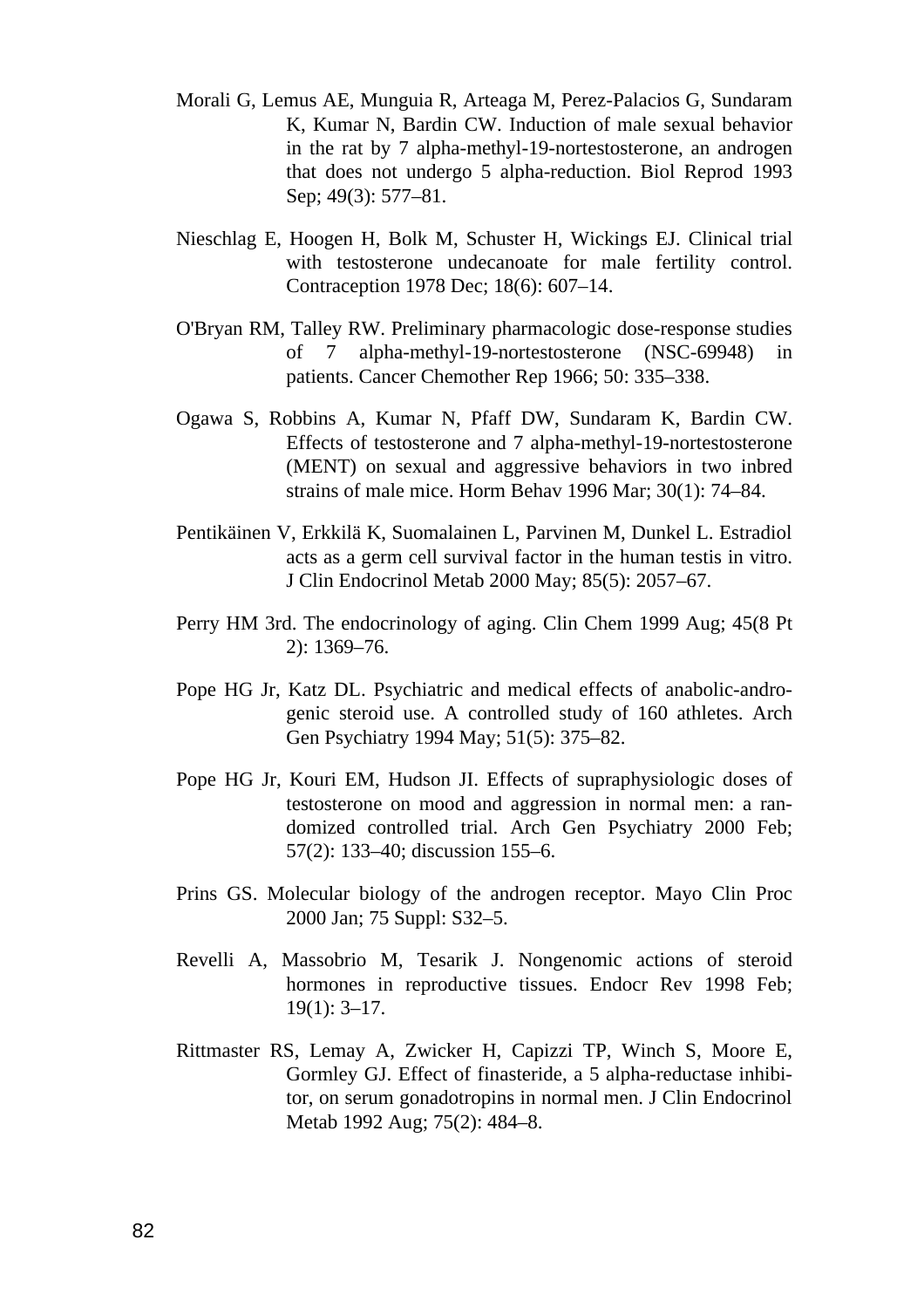- Morali G, Lemus AE, Munguia R, Arteaga M, Perez-Palacios G, Sundaram K, Kumar N, Bardin CW. Induction of male sexual behavior in the rat by 7 alpha-methyl-19-nortestosterone, an androgen that does not undergo 5 alpha-reduction. Biol Reprod 1993 Sep; 49(3): 577–81.
- Nieschlag E, Hoogen H, Bolk M, Schuster H, Wickings EJ. Clinical trial with testosterone undecanoate for male fertility control. Contraception 1978 Dec; 18(6): 607–14.
- O'Bryan RM, Talley RW. Preliminary pharmacologic dose-response studies of 7 alpha-methyl-19-nortestosterone (NSC-69948) in patients. Cancer Chemother Rep 1966; 50: 335–338.
- Ogawa S, Robbins A, Kumar N, Pfaff DW, Sundaram K, Bardin CW. Effects of testosterone and 7 alpha-methyl-19-nortestosterone (MENT) on sexual and aggressive behaviors in two inbred strains of male mice. Horm Behav 1996 Mar; 30(1): 74–84.
- Pentikäinen V, Erkkilä K, Suomalainen L, Parvinen M, Dunkel L. Estradiol acts as a germ cell survival factor in the human testis in vitro. J Clin Endocrinol Metab 2000 May; 85(5): 2057–67.
- Perry HM 3rd. The endocrinology of aging. Clin Chem 1999 Aug; 45(8 Pt 2): 1369–76.
- Pope HG Jr, Katz DL. Psychiatric and medical effects of anabolic-androgenic steroid use. A controlled study of 160 athletes. Arch Gen Psychiatry 1994 May; 51(5): 375–82.
- Pope HG Jr, Kouri EM, Hudson JI. Effects of supraphysiologic doses of testosterone on mood and aggression in normal men: a randomized controlled trial. Arch Gen Psychiatry 2000 Feb; 57(2): 133–40; discussion 155–6.
- Prins GS. Molecular biology of the androgen receptor. Mayo Clin Proc 2000 Jan; 75 Suppl: S32–5.
- Revelli A, Massobrio M, Tesarik J. Nongenomic actions of steroid hormones in reproductive tissues. Endocr Rev 1998 Feb; 19(1): 3–17.
- Rittmaster RS, Lemay A, Zwicker H, Capizzi TP, Winch S, Moore E, Gormley GJ. Effect of finasteride, a 5 alpha-reductase inhibitor, on serum gonadotropins in normal men. J Clin Endocrinol Metab 1992 Aug; 75(2): 484–8.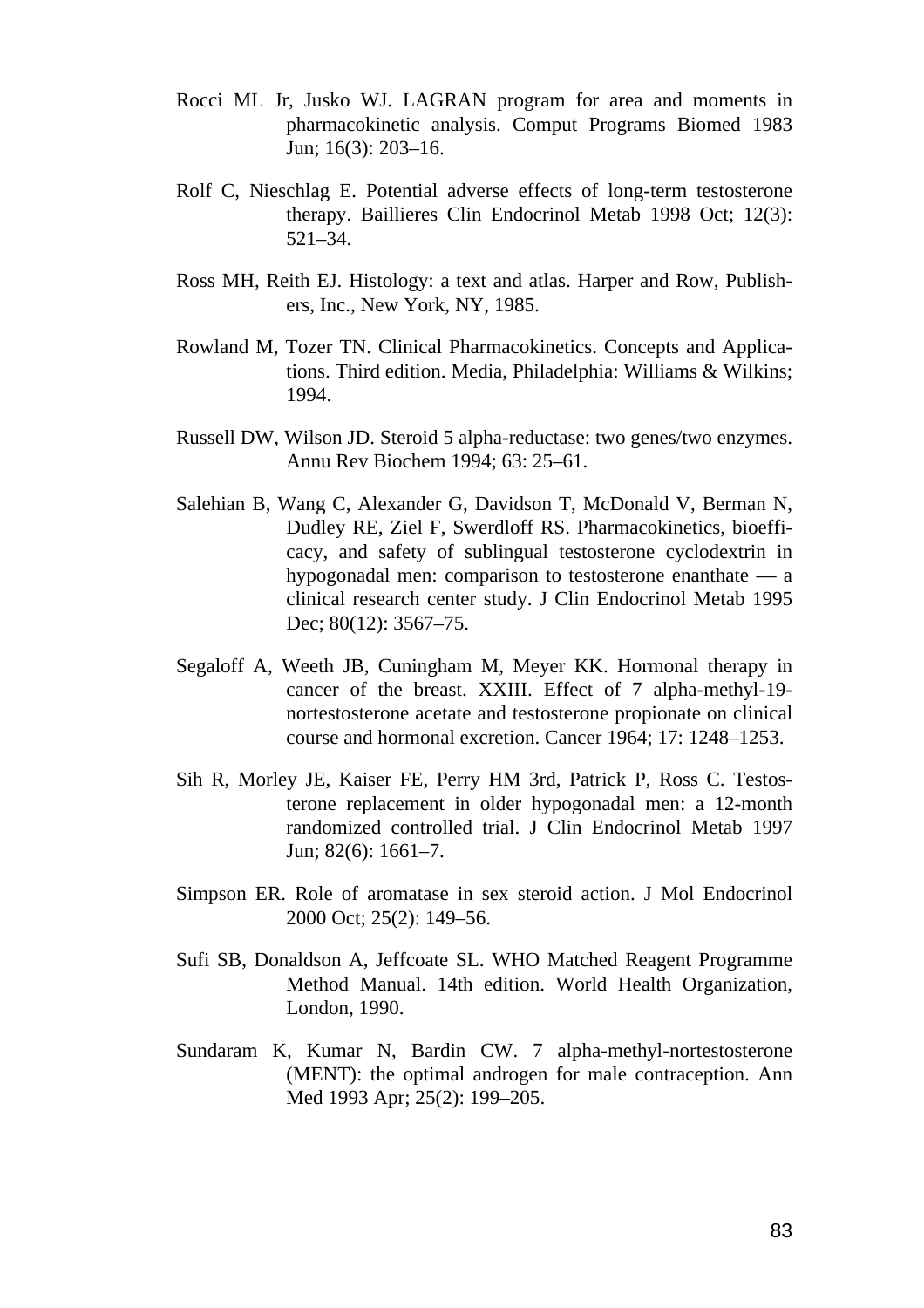- Rocci ML Jr, Jusko WJ. LAGRAN program for area and moments in pharmacokinetic analysis. Comput Programs Biomed 1983 Jun; 16(3): 203–16.
- Rolf C, Nieschlag E. Potential adverse effects of long-term testosterone therapy. Baillieres Clin Endocrinol Metab 1998 Oct; 12(3): 521–34.
- Ross MH, Reith EJ. Histology: a text and atlas. Harper and Row, Publishers, Inc., New York, NY, 1985.
- Rowland M, Tozer TN. Clinical Pharmacokinetics. Concepts and Applications. Third edition. Media, Philadelphia: Williams & Wilkins; 1994.
- Russell DW, Wilson JD. Steroid 5 alpha-reductase: two genes/two enzymes. Annu Rev Biochem 1994; 63: 25–61.
- Salehian B, Wang C, Alexander G, Davidson T, McDonald V, Berman N, Dudley RE, Ziel F, Swerdloff RS. Pharmacokinetics, bioefficacy, and safety of sublingual testosterone cyclodextrin in hypogonadal men: comparison to testosterone enanthate — a clinical research center study. J Clin Endocrinol Metab 1995 Dec; 80(12): 3567–75.
- Segaloff A, Weeth JB, Cuningham M, Meyer KK. Hormonal therapy in cancer of the breast. XXIII. Effect of 7 alpha-methyl-19 nortestosterone acetate and testosterone propionate on clinical course and hormonal excretion. Cancer 1964; 17: 1248–1253.
- Sih R, Morley JE, Kaiser FE, Perry HM 3rd, Patrick P, Ross C. Testosterone replacement in older hypogonadal men: a 12-month randomized controlled trial. J Clin Endocrinol Metab 1997 Jun; 82(6): 1661–7.
- Simpson ER. Role of aromatase in sex steroid action. J Mol Endocrinol 2000 Oct; 25(2): 149–56.
- Sufi SB, Donaldson A, Jeffcoate SL. WHO Matched Reagent Programme Method Manual. 14th edition. World Health Organization, London, 1990.
- Sundaram K, Kumar N, Bardin CW. 7 alpha-methyl-nortestosterone (MENT): the optimal androgen for male contraception. Ann Med 1993 Apr; 25(2): 199–205.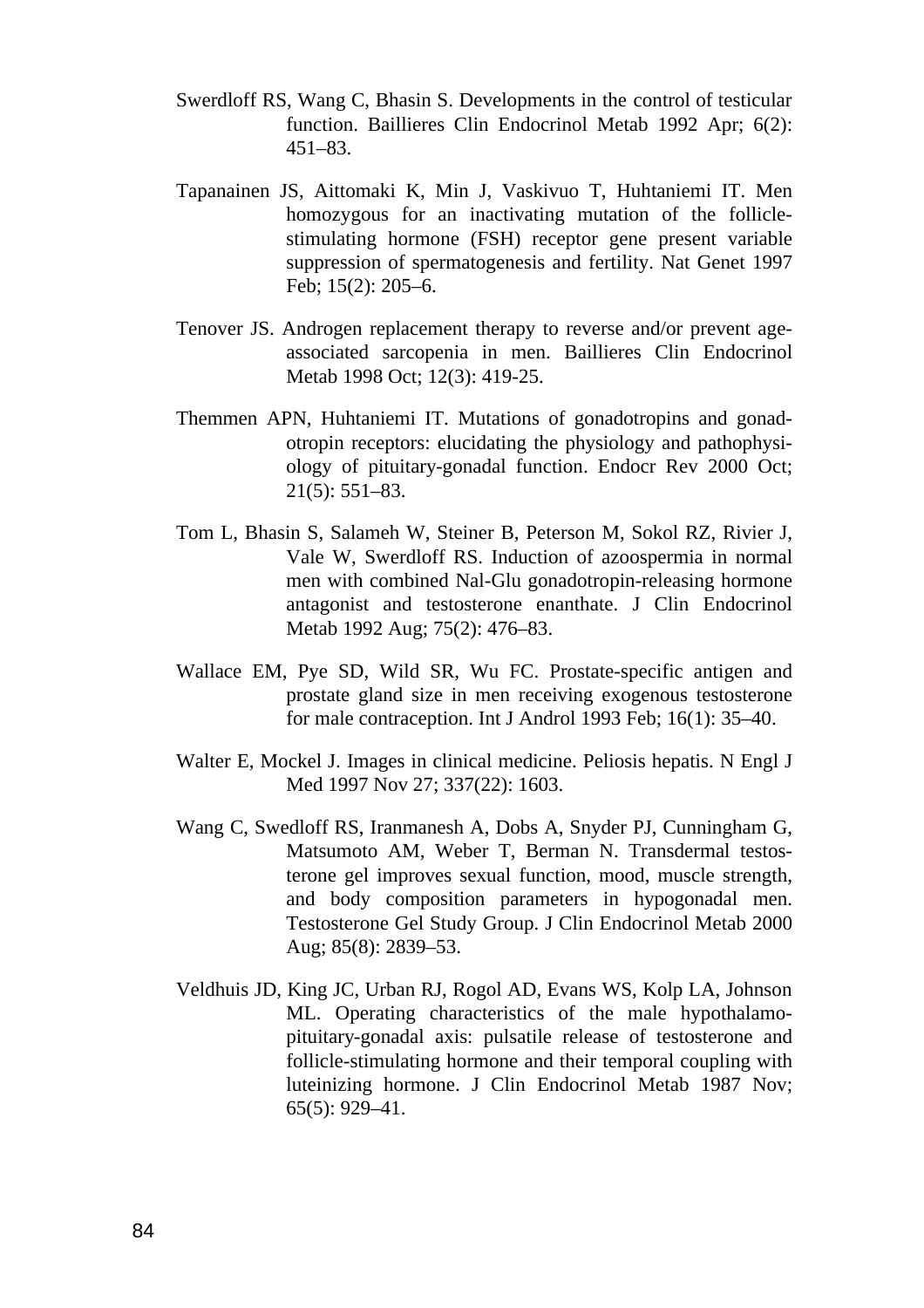- Swerdloff RS, Wang C, Bhasin S. Developments in the control of testicular function. Baillieres Clin Endocrinol Metab 1992 Apr; 6(2): 451–83.
- Tapanainen JS, Aittomaki K, Min J, Vaskivuo T, Huhtaniemi IT. Men homozygous for an inactivating mutation of the folliclestimulating hormone (FSH) receptor gene present variable suppression of spermatogenesis and fertility. Nat Genet 1997 Feb; 15(2): 205–6.
- Tenover JS. Androgen replacement therapy to reverse and/or prevent ageassociated sarcopenia in men. Baillieres Clin Endocrinol Metab 1998 Oct; 12(3): 419-25.
- Themmen APN, Huhtaniemi IT. Mutations of gonadotropins and gonadotropin receptors: elucidating the physiology and pathophysiology of pituitary-gonadal function. Endocr Rev 2000 Oct; 21(5): 551–83.
- Tom L, Bhasin S, Salameh W, Steiner B, Peterson M, Sokol RZ, Rivier J, Vale W, Swerdloff RS. Induction of azoospermia in normal men with combined Nal-Glu gonadotropin-releasing hormone antagonist and testosterone enanthate. J Clin Endocrinol Metab 1992 Aug; 75(2): 476–83.
- Wallace EM, Pye SD, Wild SR, Wu FC. Prostate-specific antigen and prostate gland size in men receiving exogenous testosterone for male contraception. Int J Androl 1993 Feb; 16(1): 35–40.
- Walter E, Mockel J. Images in clinical medicine. Peliosis hepatis. N Engl J Med 1997 Nov 27; 337(22): 1603.
- Wang C, Swedloff RS, Iranmanesh A, Dobs A, Snyder PJ, Cunningham G, Matsumoto AM, Weber T, Berman N. Transdermal testosterone gel improves sexual function, mood, muscle strength, and body composition parameters in hypogonadal men. Testosterone Gel Study Group. J Clin Endocrinol Metab 2000 Aug; 85(8): 2839–53.
- Veldhuis JD, King JC, Urban RJ, Rogol AD, Evans WS, Kolp LA, Johnson ML. Operating characteristics of the male hypothalamopituitary-gonadal axis: pulsatile release of testosterone and follicle-stimulating hormone and their temporal coupling with luteinizing hormone. J Clin Endocrinol Metab 1987 Nov; 65(5): 929–41.